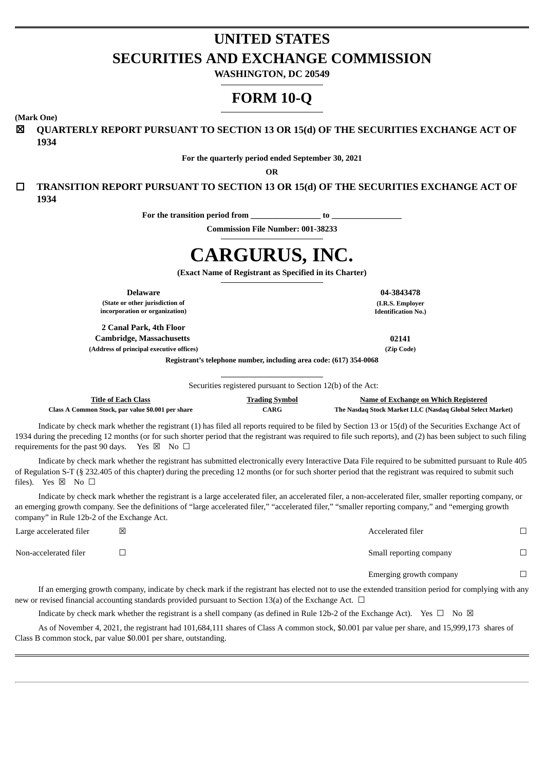# **UNITED STATES SECURITIES AND EXCHANGE COMMISSION**

**WASHINGTON, DC 20549**

# **FORM 10-Q**

**(Mark One)**

☒ **QUARTERLY REPORT PURSUANT TO SECTION 13 OR 15(d) OF THE SECURITIES EXCHANGE ACT OF 1934**

**For the quarterly period ended September 30, 2021**

**OR**

☐ **TRANSITION REPORT PURSUANT TO SECTION 13 OR 15(d) OF THE SECURITIES EXCHANGE ACT OF 1934**

**For the transition period from \_\_\_\_\_\_\_\_\_\_\_\_\_\_\_\_\_ to \_\_\_\_\_\_\_\_\_\_\_\_\_\_\_\_\_**

**Commission File Number: 001-38233**

# **CARGURUS, INC.**

**(Exact Name of Registrant as Specified in its Charter)**

**Delaware 04-3843478**

**(State or other jurisdiction of incorporation or organization)**

**2 Canal Park, 4th Floor Cambridge, Massachusetts 02141 (Address of principal executive offices) (Zip Code)**

**(I.R.S. Employer Identification No.)**

**Registrant's telephone number, including area code: (617) 354-0068**

Securities registered pursuant to Section 12(b) of the Act:

| Title of Each Class                               | <b>Trading Symbol</b>      | Name of Exchange on Which Registered                      |
|---------------------------------------------------|----------------------------|-----------------------------------------------------------|
| Class A Common Stock, par value \$0.001 per share | $\mathcal{C} \mathbf{ARG}$ | The Nasdaq Stock Market LLC (Nasdaq Global Select Market) |

Indicate by check mark whether the registrant (1) has filed all reports required to be filed by Section 13 or 15(d) of the Securities Exchange Act of 1934 during the preceding 12 months (or for such shorter period that the registrant was required to file such reports), and (2) has been subject to such filing requirements for the past 90 days. Yes  $\boxtimes$  No  $\Box$ 

Indicate by check mark whether the registrant has submitted electronically every Interactive Data File required to be submitted pursuant to Rule 405 of Regulation S-T (§ 232.405 of this chapter) during the preceding 12 months (or for such shorter period that the registrant was required to submit such files). Yes  $\boxtimes$  No  $\square$ 

Indicate by check mark whether the registrant is a large accelerated filer, an accelerated filer, a non-accelerated filer, smaller reporting company, or an emerging growth company. See the definitions of "large accelerated filer," "accelerated filer," "smaller reporting company," and "emerging growth company" in Rule 12b-2 of the Exchange Act.

| Large accelerated filer | ⊠ | Accelerated filer       |  |
|-------------------------|---|-------------------------|--|
| Non-accelerated filer   |   | Small reporting company |  |
|                         |   | Emerging growth company |  |

If an emerging growth company, indicate by check mark if the registrant has elected not to use the extended transition period for complying with any new or revised financial accounting standards provided pursuant to Section 13(a) of the Exchange Act.  $\Box$ 

Indicate by check mark whether the registrant is a shell company (as defined in Rule 12b-2 of the Exchange Act). Yes  $\Box$  No  $\boxtimes$ 

As of November 4, 2021, the registrant had 101,684,111 shares of Class A common stock, \$0.001 par value per share, and 15,999,173 shares of Class B common stock, par value \$0.001 per share, outstanding.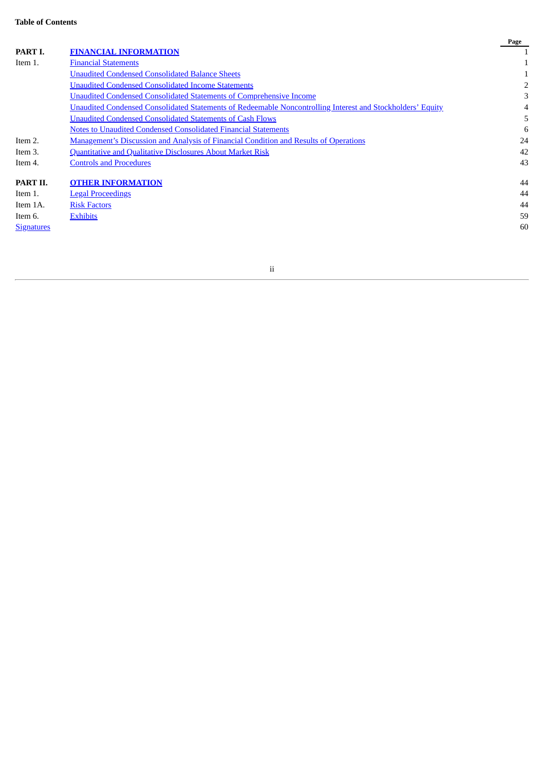|                   |                                                                                                            | Page |
|-------------------|------------------------------------------------------------------------------------------------------------|------|
| PART I.           | <b>FINANCIAL INFORMATION</b>                                                                               |      |
| Item 1.           | <b>Financial Statements</b>                                                                                |      |
|                   | <b>Unaudited Condensed Consolidated Balance Sheets</b>                                                     |      |
|                   | <b>Unaudited Condensed Consolidated Income Statements</b>                                                  |      |
|                   | <b>Unaudited Condensed Consolidated Statements of Comprehensive Income</b>                                 | 3    |
|                   | Unaudited Condensed Consolidated Statements of Redeemable Noncontrolling Interest and Stockholders' Equity | 4    |
|                   | <b>Unaudited Condensed Consolidated Statements of Cash Flows</b>                                           |      |
|                   | <b>Notes to Unaudited Condensed Consolidated Financial Statements</b>                                      | 6    |
| Item 2.           | <b>Management's Discussion and Analysis of Financial Condition and Results of Operations</b>               | 24   |
| Item 3.           | <b>Quantitative and Qualitative Disclosures About Market Risk</b>                                          | 42   |
| Item 4.           | <b>Controls and Procedures</b>                                                                             | 43   |
| PART II.          | <b>OTHER INFORMATION</b>                                                                                   | 44   |
| Item 1.           | <b>Legal Proceedings</b>                                                                                   | 44   |
| Item 1A.          | <b>Risk Factors</b>                                                                                        | 44   |
| Item 6.           | <b>Exhibits</b>                                                                                            | 59   |
| <b>Signatures</b> |                                                                                                            | 60   |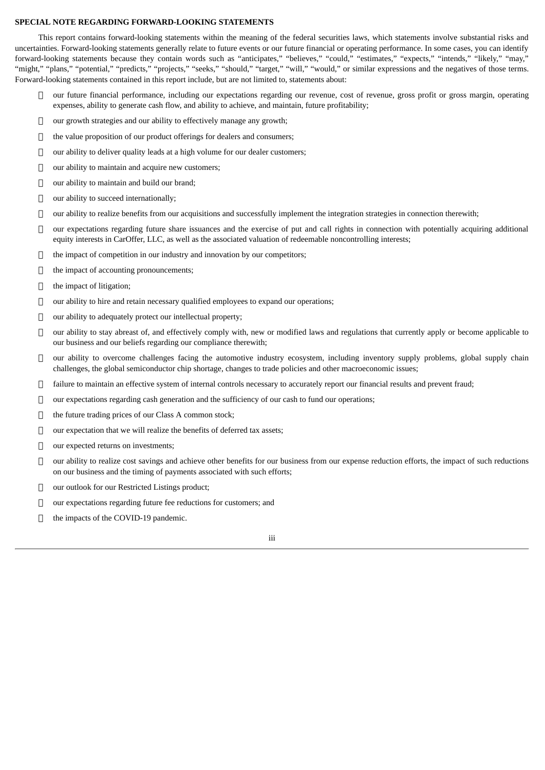### **SPECIAL NOTE REGARDING FORWARD‑LOOKING STATEMENTS**

This report contains forward-looking statements within the meaning of the federal securities laws, which statements involve substantial risks and uncertainties. Forward-looking statements generally relate to future events or our future financial or operating performance. In some cases, you can identify forward-looking statements because they contain words such as "anticipates," "believes," "could," "estimates," "expects," "intends," "likely," "may," "might," "plans," "potential," "predicts," "projects," "seeks," "should," "target," "will," "would," or similar expressions and the negatives of those terms. Forward-looking statements contained in this report include, but are not limited to, statements about:

- our future financial performance, including our expectations regarding our revenue, cost of revenue, gross profit or gross margin, operating expenses, ability to generate cash flow, and ability to achieve, and maintain, future profitability;
- $\Box$  our growth strategies and our ability to effectively manage any growth;
- $\Box$  the value proposition of our product offerings for dealers and consumers;
- $\Box$  our ability to deliver quality leads at a high volume for our dealer customers;
- $\Box$  our ability to maintain and acquire new customers;
- $\Box$  our ability to maintain and build our brand;
- □ our ability to succeed internationally;
- $\Box$  our ability to realize benefits from our acquisitions and successfully implement the integration strategies in connection therewith;
- $\Box$  our expectations regarding future share issuances and the exercise of put and call rights in connection with potentially acquiring additional equity interests in CarOffer, LLC, as well as the associated valuation of redeemable noncontrolling interests;
- the impact of competition in our industry and innovation by our competitors;
- $\Box$  the impact of accounting pronouncements;
- $\Box$  the impact of litigation;
- $\Box$  our ability to hire and retain necessary qualified employees to expand our operations;
- $\Box$  our ability to adequately protect our intellectual property;
- $\Box$  our ability to stay abreast of, and effectively comply with, new or modified laws and regulations that currently apply or become applicable to our business and our beliefs regarding our compliance therewith;
- our ability to overcome challenges facing the automotive industry ecosystem, including inventory supply problems, global supply chain challenges, the global semiconductor chip shortage, changes to trade policies and other macroeconomic issues;
- $\Box$  failure to maintain an effective system of internal controls necessary to accurately report our financial results and prevent fraud;
- $\Box$  our expectations regarding cash generation and the sufficiency of our cash to fund our operations;
- $\Box$  the future trading prices of our Class A common stock;
- $\Box$  our expectation that we will realize the benefits of deferred tax assets;
- □ our expected returns on investments;
- $\Box$  our ability to realize cost savings and achieve other benefits for our business from our expense reduction efforts, the impact of such reductions on our business and the timing of payments associated with such efforts;
- our outlook for our Restricted Listings product;
- our expectations regarding future fee reductions for customers; and
- $\Box$  the impacts of the COVID-19 pandemic.

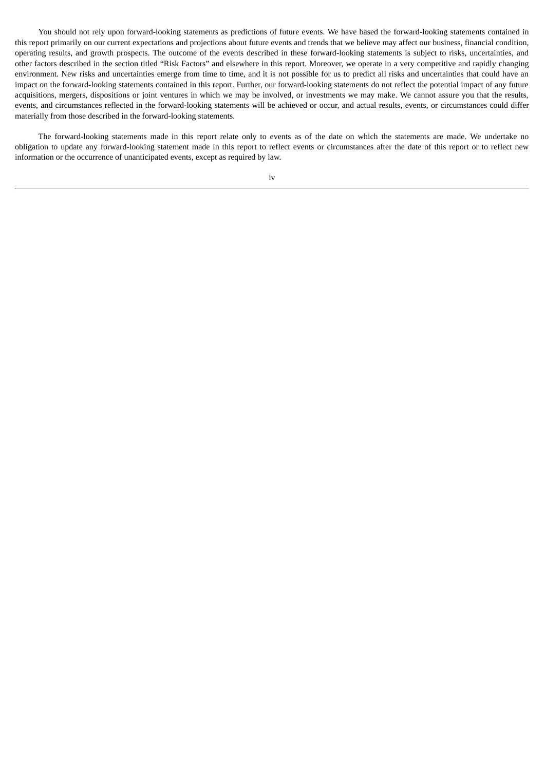You should not rely upon forward-looking statements as predictions of future events. We have based the forward-looking statements contained in this report primarily on our current expectations and projections about future events and trends that we believe may affect our business, financial condition, operating results, and growth prospects. The outcome of the events described in these forward‑looking statements is subject to risks, uncertainties, and other factors described in the section titled "Risk Factors" and elsewhere in this report. Moreover, we operate in a very competitive and rapidly changing environment. New risks and uncertainties emerge from time to time, and it is not possible for us to predict all risks and uncertainties that could have an impact on the forward-looking statements contained in this report. Further, our forward-looking statements do not reflect the potential impact of any future acquisitions, mergers, dispositions or joint ventures in which we may be involved, or investments we may make. We cannot assure you that the results, events, and circumstances reflected in the forward-looking statements will be achieved or occur, and actual results, events, or circumstances could differ materially from those described in the forward-looking statements.

The forward-looking statements made in this report relate only to events as of the date on which the statements are made. We undertake no obligation to update any forward‑looking statement made in this report to reflect events or circumstances after the date of this report or to reflect new information or the occurrence of unanticipated events, except as required by law.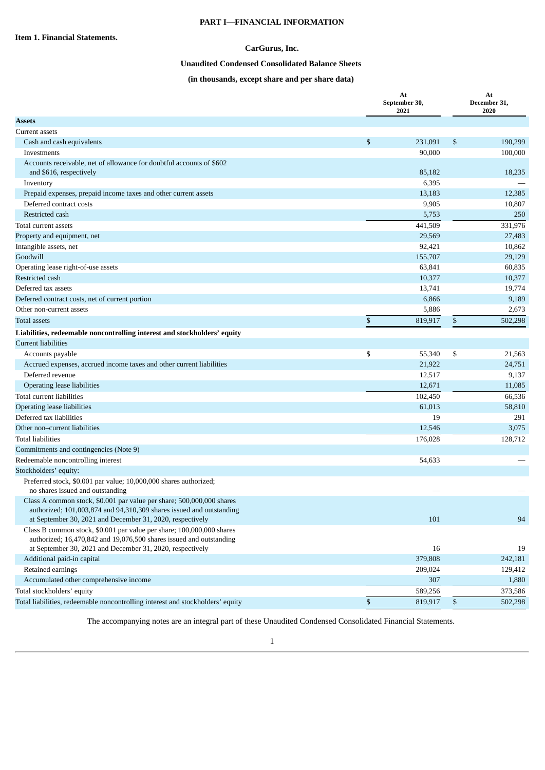### **PART I—FINANCIAL INFORMATION**

### **CarGurus, Inc.**

### **Unaudited Condensed Consolidated Balance Sheets**

### **(in thousands, except share and per share data)**

<span id="page-4-2"></span><span id="page-4-1"></span><span id="page-4-0"></span>

| <b>Assets</b><br>Current assets<br>\$<br>231,091<br>\$<br>190,299<br>Cash and cash equivalents<br>90,000<br>100,000<br>Investments<br>Accounts receivable, net of allowance for doubtful accounts of \$602<br>85,182<br>18,235<br>and \$616, respectively<br>6,395<br>Inventory<br>13,183<br>Prepaid expenses, prepaid income taxes and other current assets<br>12,385<br>Deferred contract costs<br>9,905<br>10,807<br>5,753<br>Restricted cash<br>250<br>441,509<br>331,976<br>Total current assets<br>29,569<br>27,483<br>Property and equipment, net<br>Intangible assets, net<br>92,421<br>10,862<br>Goodwill<br>155,707<br>29,129<br>63,841<br>Operating lease right-of-use assets<br>60,835<br>10,377<br>Restricted cash<br>10,377<br>Deferred tax assets<br>13,741<br>19,774<br>6,866<br>Deferred contract costs, net of current portion<br>9,189<br>Other non-current assets<br>5,886<br>2,673<br>\$<br>\$<br><b>Total assets</b><br>819,917<br>502,298<br>Liabilities, redeemable noncontrolling interest and stockholders' equity<br><b>Current liabilities</b><br>\$<br>55,340<br>\$<br>Accounts payable<br>21,563<br>Accrued expenses, accrued income taxes and other current liabilities<br>21,922<br>24,751<br>Deferred revenue<br>12,517<br>9,137<br>Operating lease liabilities<br>12,671<br>11,085<br>Total current liabilities<br>102,450<br>66,536<br><b>Operating lease liabilities</b><br>61,013<br>58,810<br>Deferred tax liabilities<br>291<br>19<br>Other non-current liabilities<br>12,546<br>3,075<br>128,712<br><b>Total liabilities</b><br>176,028<br>Commitments and contingencies (Note 9)<br>Redeemable noncontrolling interest<br>54,633<br>Stockholders' equity:<br>Preferred stock, \$0.001 par value; 10,000,000 shares authorized;<br>no shares issued and outstanding<br>Class A common stock, \$0.001 par value per share; 500,000,000 shares<br>authorized; 101,003,874 and 94,310,309 shares issued and outstanding<br>at September 30, 2021 and December 31, 2020, respectively<br>101<br>94<br>Class B common stock, \$0.001 par value per share; 100,000,000 shares<br>authorized; 16,470,842 and 19,076,500 shares issued and outstanding<br>at September 30, 2021 and December 31, 2020, respectively<br>16<br>19<br>Additional paid-in capital<br>379,808<br>242,181<br>Retained earnings<br>209,024<br>129,412<br>Accumulated other comprehensive income<br>307<br>1,880<br>Total stockholders' equity<br>589,256<br>373,586<br>\$<br>Total liabilities, redeemable noncontrolling interest and stockholders' equity<br>819,917<br>\$<br>502,298 |  | At<br>September 30,<br>2021 | At<br>December 31,<br>2020 |
|--------------------------------------------------------------------------------------------------------------------------------------------------------------------------------------------------------------------------------------------------------------------------------------------------------------------------------------------------------------------------------------------------------------------------------------------------------------------------------------------------------------------------------------------------------------------------------------------------------------------------------------------------------------------------------------------------------------------------------------------------------------------------------------------------------------------------------------------------------------------------------------------------------------------------------------------------------------------------------------------------------------------------------------------------------------------------------------------------------------------------------------------------------------------------------------------------------------------------------------------------------------------------------------------------------------------------------------------------------------------------------------------------------------------------------------------------------------------------------------------------------------------------------------------------------------------------------------------------------------------------------------------------------------------------------------------------------------------------------------------------------------------------------------------------------------------------------------------------------------------------------------------------------------------------------------------------------------------------------------------------------------------------------------------------------------------------------------------------------------------------------------------------------------------------------------------------------------------------------------------------------------------------------------------------------------------------------------------------------------------------------------------------------------------------------------------------------------------------------------------------------------------------------------------------------------------------------------------------|--|-----------------------------|----------------------------|
|                                                                                                                                                                                                                                                                                                                                                                                                                                                                                                                                                                                                                                                                                                                                                                                                                                                                                                                                                                                                                                                                                                                                                                                                                                                                                                                                                                                                                                                                                                                                                                                                                                                                                                                                                                                                                                                                                                                                                                                                                                                                                                                                                                                                                                                                                                                                                                                                                                                                                                                                                                                                  |  |                             |                            |
|                                                                                                                                                                                                                                                                                                                                                                                                                                                                                                                                                                                                                                                                                                                                                                                                                                                                                                                                                                                                                                                                                                                                                                                                                                                                                                                                                                                                                                                                                                                                                                                                                                                                                                                                                                                                                                                                                                                                                                                                                                                                                                                                                                                                                                                                                                                                                                                                                                                                                                                                                                                                  |  |                             |                            |
|                                                                                                                                                                                                                                                                                                                                                                                                                                                                                                                                                                                                                                                                                                                                                                                                                                                                                                                                                                                                                                                                                                                                                                                                                                                                                                                                                                                                                                                                                                                                                                                                                                                                                                                                                                                                                                                                                                                                                                                                                                                                                                                                                                                                                                                                                                                                                                                                                                                                                                                                                                                                  |  |                             |                            |
|                                                                                                                                                                                                                                                                                                                                                                                                                                                                                                                                                                                                                                                                                                                                                                                                                                                                                                                                                                                                                                                                                                                                                                                                                                                                                                                                                                                                                                                                                                                                                                                                                                                                                                                                                                                                                                                                                                                                                                                                                                                                                                                                                                                                                                                                                                                                                                                                                                                                                                                                                                                                  |  |                             |                            |
|                                                                                                                                                                                                                                                                                                                                                                                                                                                                                                                                                                                                                                                                                                                                                                                                                                                                                                                                                                                                                                                                                                                                                                                                                                                                                                                                                                                                                                                                                                                                                                                                                                                                                                                                                                                                                                                                                                                                                                                                                                                                                                                                                                                                                                                                                                                                                                                                                                                                                                                                                                                                  |  |                             |                            |
|                                                                                                                                                                                                                                                                                                                                                                                                                                                                                                                                                                                                                                                                                                                                                                                                                                                                                                                                                                                                                                                                                                                                                                                                                                                                                                                                                                                                                                                                                                                                                                                                                                                                                                                                                                                                                                                                                                                                                                                                                                                                                                                                                                                                                                                                                                                                                                                                                                                                                                                                                                                                  |  |                             |                            |
|                                                                                                                                                                                                                                                                                                                                                                                                                                                                                                                                                                                                                                                                                                                                                                                                                                                                                                                                                                                                                                                                                                                                                                                                                                                                                                                                                                                                                                                                                                                                                                                                                                                                                                                                                                                                                                                                                                                                                                                                                                                                                                                                                                                                                                                                                                                                                                                                                                                                                                                                                                                                  |  |                             |                            |
|                                                                                                                                                                                                                                                                                                                                                                                                                                                                                                                                                                                                                                                                                                                                                                                                                                                                                                                                                                                                                                                                                                                                                                                                                                                                                                                                                                                                                                                                                                                                                                                                                                                                                                                                                                                                                                                                                                                                                                                                                                                                                                                                                                                                                                                                                                                                                                                                                                                                                                                                                                                                  |  |                             |                            |
|                                                                                                                                                                                                                                                                                                                                                                                                                                                                                                                                                                                                                                                                                                                                                                                                                                                                                                                                                                                                                                                                                                                                                                                                                                                                                                                                                                                                                                                                                                                                                                                                                                                                                                                                                                                                                                                                                                                                                                                                                                                                                                                                                                                                                                                                                                                                                                                                                                                                                                                                                                                                  |  |                             |                            |
|                                                                                                                                                                                                                                                                                                                                                                                                                                                                                                                                                                                                                                                                                                                                                                                                                                                                                                                                                                                                                                                                                                                                                                                                                                                                                                                                                                                                                                                                                                                                                                                                                                                                                                                                                                                                                                                                                                                                                                                                                                                                                                                                                                                                                                                                                                                                                                                                                                                                                                                                                                                                  |  |                             |                            |
|                                                                                                                                                                                                                                                                                                                                                                                                                                                                                                                                                                                                                                                                                                                                                                                                                                                                                                                                                                                                                                                                                                                                                                                                                                                                                                                                                                                                                                                                                                                                                                                                                                                                                                                                                                                                                                                                                                                                                                                                                                                                                                                                                                                                                                                                                                                                                                                                                                                                                                                                                                                                  |  |                             |                            |
|                                                                                                                                                                                                                                                                                                                                                                                                                                                                                                                                                                                                                                                                                                                                                                                                                                                                                                                                                                                                                                                                                                                                                                                                                                                                                                                                                                                                                                                                                                                                                                                                                                                                                                                                                                                                                                                                                                                                                                                                                                                                                                                                                                                                                                                                                                                                                                                                                                                                                                                                                                                                  |  |                             |                            |
|                                                                                                                                                                                                                                                                                                                                                                                                                                                                                                                                                                                                                                                                                                                                                                                                                                                                                                                                                                                                                                                                                                                                                                                                                                                                                                                                                                                                                                                                                                                                                                                                                                                                                                                                                                                                                                                                                                                                                                                                                                                                                                                                                                                                                                                                                                                                                                                                                                                                                                                                                                                                  |  |                             |                            |
|                                                                                                                                                                                                                                                                                                                                                                                                                                                                                                                                                                                                                                                                                                                                                                                                                                                                                                                                                                                                                                                                                                                                                                                                                                                                                                                                                                                                                                                                                                                                                                                                                                                                                                                                                                                                                                                                                                                                                                                                                                                                                                                                                                                                                                                                                                                                                                                                                                                                                                                                                                                                  |  |                             |                            |
|                                                                                                                                                                                                                                                                                                                                                                                                                                                                                                                                                                                                                                                                                                                                                                                                                                                                                                                                                                                                                                                                                                                                                                                                                                                                                                                                                                                                                                                                                                                                                                                                                                                                                                                                                                                                                                                                                                                                                                                                                                                                                                                                                                                                                                                                                                                                                                                                                                                                                                                                                                                                  |  |                             |                            |
|                                                                                                                                                                                                                                                                                                                                                                                                                                                                                                                                                                                                                                                                                                                                                                                                                                                                                                                                                                                                                                                                                                                                                                                                                                                                                                                                                                                                                                                                                                                                                                                                                                                                                                                                                                                                                                                                                                                                                                                                                                                                                                                                                                                                                                                                                                                                                                                                                                                                                                                                                                                                  |  |                             |                            |
|                                                                                                                                                                                                                                                                                                                                                                                                                                                                                                                                                                                                                                                                                                                                                                                                                                                                                                                                                                                                                                                                                                                                                                                                                                                                                                                                                                                                                                                                                                                                                                                                                                                                                                                                                                                                                                                                                                                                                                                                                                                                                                                                                                                                                                                                                                                                                                                                                                                                                                                                                                                                  |  |                             |                            |
|                                                                                                                                                                                                                                                                                                                                                                                                                                                                                                                                                                                                                                                                                                                                                                                                                                                                                                                                                                                                                                                                                                                                                                                                                                                                                                                                                                                                                                                                                                                                                                                                                                                                                                                                                                                                                                                                                                                                                                                                                                                                                                                                                                                                                                                                                                                                                                                                                                                                                                                                                                                                  |  |                             |                            |
|                                                                                                                                                                                                                                                                                                                                                                                                                                                                                                                                                                                                                                                                                                                                                                                                                                                                                                                                                                                                                                                                                                                                                                                                                                                                                                                                                                                                                                                                                                                                                                                                                                                                                                                                                                                                                                                                                                                                                                                                                                                                                                                                                                                                                                                                                                                                                                                                                                                                                                                                                                                                  |  |                             |                            |
|                                                                                                                                                                                                                                                                                                                                                                                                                                                                                                                                                                                                                                                                                                                                                                                                                                                                                                                                                                                                                                                                                                                                                                                                                                                                                                                                                                                                                                                                                                                                                                                                                                                                                                                                                                                                                                                                                                                                                                                                                                                                                                                                                                                                                                                                                                                                                                                                                                                                                                                                                                                                  |  |                             |                            |
|                                                                                                                                                                                                                                                                                                                                                                                                                                                                                                                                                                                                                                                                                                                                                                                                                                                                                                                                                                                                                                                                                                                                                                                                                                                                                                                                                                                                                                                                                                                                                                                                                                                                                                                                                                                                                                                                                                                                                                                                                                                                                                                                                                                                                                                                                                                                                                                                                                                                                                                                                                                                  |  |                             |                            |
|                                                                                                                                                                                                                                                                                                                                                                                                                                                                                                                                                                                                                                                                                                                                                                                                                                                                                                                                                                                                                                                                                                                                                                                                                                                                                                                                                                                                                                                                                                                                                                                                                                                                                                                                                                                                                                                                                                                                                                                                                                                                                                                                                                                                                                                                                                                                                                                                                                                                                                                                                                                                  |  |                             |                            |
|                                                                                                                                                                                                                                                                                                                                                                                                                                                                                                                                                                                                                                                                                                                                                                                                                                                                                                                                                                                                                                                                                                                                                                                                                                                                                                                                                                                                                                                                                                                                                                                                                                                                                                                                                                                                                                                                                                                                                                                                                                                                                                                                                                                                                                                                                                                                                                                                                                                                                                                                                                                                  |  |                             |                            |
|                                                                                                                                                                                                                                                                                                                                                                                                                                                                                                                                                                                                                                                                                                                                                                                                                                                                                                                                                                                                                                                                                                                                                                                                                                                                                                                                                                                                                                                                                                                                                                                                                                                                                                                                                                                                                                                                                                                                                                                                                                                                                                                                                                                                                                                                                                                                                                                                                                                                                                                                                                                                  |  |                             |                            |
|                                                                                                                                                                                                                                                                                                                                                                                                                                                                                                                                                                                                                                                                                                                                                                                                                                                                                                                                                                                                                                                                                                                                                                                                                                                                                                                                                                                                                                                                                                                                                                                                                                                                                                                                                                                                                                                                                                                                                                                                                                                                                                                                                                                                                                                                                                                                                                                                                                                                                                                                                                                                  |  |                             |                            |
|                                                                                                                                                                                                                                                                                                                                                                                                                                                                                                                                                                                                                                                                                                                                                                                                                                                                                                                                                                                                                                                                                                                                                                                                                                                                                                                                                                                                                                                                                                                                                                                                                                                                                                                                                                                                                                                                                                                                                                                                                                                                                                                                                                                                                                                                                                                                                                                                                                                                                                                                                                                                  |  |                             |                            |
|                                                                                                                                                                                                                                                                                                                                                                                                                                                                                                                                                                                                                                                                                                                                                                                                                                                                                                                                                                                                                                                                                                                                                                                                                                                                                                                                                                                                                                                                                                                                                                                                                                                                                                                                                                                                                                                                                                                                                                                                                                                                                                                                                                                                                                                                                                                                                                                                                                                                                                                                                                                                  |  |                             |                            |
|                                                                                                                                                                                                                                                                                                                                                                                                                                                                                                                                                                                                                                                                                                                                                                                                                                                                                                                                                                                                                                                                                                                                                                                                                                                                                                                                                                                                                                                                                                                                                                                                                                                                                                                                                                                                                                                                                                                                                                                                                                                                                                                                                                                                                                                                                                                                                                                                                                                                                                                                                                                                  |  |                             |                            |
|                                                                                                                                                                                                                                                                                                                                                                                                                                                                                                                                                                                                                                                                                                                                                                                                                                                                                                                                                                                                                                                                                                                                                                                                                                                                                                                                                                                                                                                                                                                                                                                                                                                                                                                                                                                                                                                                                                                                                                                                                                                                                                                                                                                                                                                                                                                                                                                                                                                                                                                                                                                                  |  |                             |                            |
|                                                                                                                                                                                                                                                                                                                                                                                                                                                                                                                                                                                                                                                                                                                                                                                                                                                                                                                                                                                                                                                                                                                                                                                                                                                                                                                                                                                                                                                                                                                                                                                                                                                                                                                                                                                                                                                                                                                                                                                                                                                                                                                                                                                                                                                                                                                                                                                                                                                                                                                                                                                                  |  |                             |                            |
|                                                                                                                                                                                                                                                                                                                                                                                                                                                                                                                                                                                                                                                                                                                                                                                                                                                                                                                                                                                                                                                                                                                                                                                                                                                                                                                                                                                                                                                                                                                                                                                                                                                                                                                                                                                                                                                                                                                                                                                                                                                                                                                                                                                                                                                                                                                                                                                                                                                                                                                                                                                                  |  |                             |                            |
|                                                                                                                                                                                                                                                                                                                                                                                                                                                                                                                                                                                                                                                                                                                                                                                                                                                                                                                                                                                                                                                                                                                                                                                                                                                                                                                                                                                                                                                                                                                                                                                                                                                                                                                                                                                                                                                                                                                                                                                                                                                                                                                                                                                                                                                                                                                                                                                                                                                                                                                                                                                                  |  |                             |                            |
|                                                                                                                                                                                                                                                                                                                                                                                                                                                                                                                                                                                                                                                                                                                                                                                                                                                                                                                                                                                                                                                                                                                                                                                                                                                                                                                                                                                                                                                                                                                                                                                                                                                                                                                                                                                                                                                                                                                                                                                                                                                                                                                                                                                                                                                                                                                                                                                                                                                                                                                                                                                                  |  |                             |                            |
|                                                                                                                                                                                                                                                                                                                                                                                                                                                                                                                                                                                                                                                                                                                                                                                                                                                                                                                                                                                                                                                                                                                                                                                                                                                                                                                                                                                                                                                                                                                                                                                                                                                                                                                                                                                                                                                                                                                                                                                                                                                                                                                                                                                                                                                                                                                                                                                                                                                                                                                                                                                                  |  |                             |                            |
|                                                                                                                                                                                                                                                                                                                                                                                                                                                                                                                                                                                                                                                                                                                                                                                                                                                                                                                                                                                                                                                                                                                                                                                                                                                                                                                                                                                                                                                                                                                                                                                                                                                                                                                                                                                                                                                                                                                                                                                                                                                                                                                                                                                                                                                                                                                                                                                                                                                                                                                                                                                                  |  |                             |                            |
|                                                                                                                                                                                                                                                                                                                                                                                                                                                                                                                                                                                                                                                                                                                                                                                                                                                                                                                                                                                                                                                                                                                                                                                                                                                                                                                                                                                                                                                                                                                                                                                                                                                                                                                                                                                                                                                                                                                                                                                                                                                                                                                                                                                                                                                                                                                                                                                                                                                                                                                                                                                                  |  |                             |                            |
|                                                                                                                                                                                                                                                                                                                                                                                                                                                                                                                                                                                                                                                                                                                                                                                                                                                                                                                                                                                                                                                                                                                                                                                                                                                                                                                                                                                                                                                                                                                                                                                                                                                                                                                                                                                                                                                                                                                                                                                                                                                                                                                                                                                                                                                                                                                                                                                                                                                                                                                                                                                                  |  |                             |                            |
|                                                                                                                                                                                                                                                                                                                                                                                                                                                                                                                                                                                                                                                                                                                                                                                                                                                                                                                                                                                                                                                                                                                                                                                                                                                                                                                                                                                                                                                                                                                                                                                                                                                                                                                                                                                                                                                                                                                                                                                                                                                                                                                                                                                                                                                                                                                                                                                                                                                                                                                                                                                                  |  |                             |                            |
|                                                                                                                                                                                                                                                                                                                                                                                                                                                                                                                                                                                                                                                                                                                                                                                                                                                                                                                                                                                                                                                                                                                                                                                                                                                                                                                                                                                                                                                                                                                                                                                                                                                                                                                                                                                                                                                                                                                                                                                                                                                                                                                                                                                                                                                                                                                                                                                                                                                                                                                                                                                                  |  |                             |                            |
|                                                                                                                                                                                                                                                                                                                                                                                                                                                                                                                                                                                                                                                                                                                                                                                                                                                                                                                                                                                                                                                                                                                                                                                                                                                                                                                                                                                                                                                                                                                                                                                                                                                                                                                                                                                                                                                                                                                                                                                                                                                                                                                                                                                                                                                                                                                                                                                                                                                                                                                                                                                                  |  |                             |                            |
|                                                                                                                                                                                                                                                                                                                                                                                                                                                                                                                                                                                                                                                                                                                                                                                                                                                                                                                                                                                                                                                                                                                                                                                                                                                                                                                                                                                                                                                                                                                                                                                                                                                                                                                                                                                                                                                                                                                                                                                                                                                                                                                                                                                                                                                                                                                                                                                                                                                                                                                                                                                                  |  |                             |                            |
|                                                                                                                                                                                                                                                                                                                                                                                                                                                                                                                                                                                                                                                                                                                                                                                                                                                                                                                                                                                                                                                                                                                                                                                                                                                                                                                                                                                                                                                                                                                                                                                                                                                                                                                                                                                                                                                                                                                                                                                                                                                                                                                                                                                                                                                                                                                                                                                                                                                                                                                                                                                                  |  |                             |                            |

The accompanying notes are an integral part of these Unaudited Condensed Consolidated Financial Statements.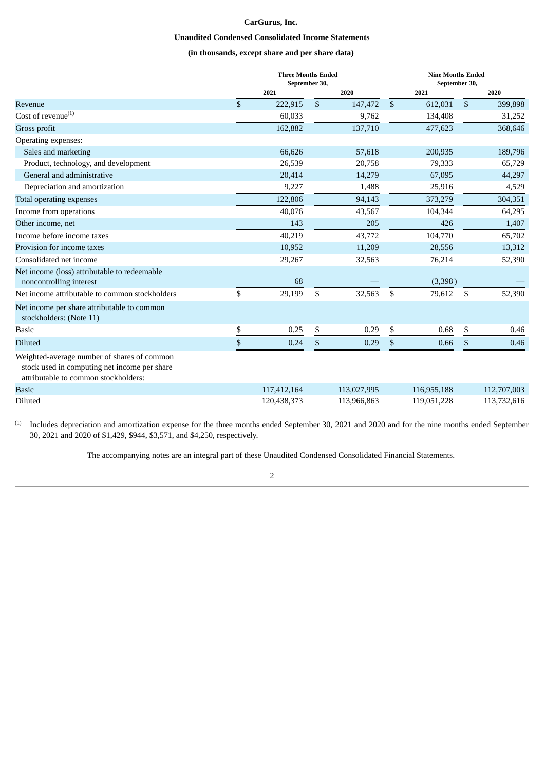### **CarGurus, Inc.**

### **Unaudited Condensed Consolidated Income Statements**

### **(in thousands, except share and per share data)**

<span id="page-5-0"></span>

|                                                                                                                                     | <b>Three Months Ended</b><br>September 30, |    |             |                | <b>Nine Months Ended</b><br>September 30, |              |             |
|-------------------------------------------------------------------------------------------------------------------------------------|--------------------------------------------|----|-------------|----------------|-------------------------------------------|--------------|-------------|
|                                                                                                                                     | 2021                                       |    | 2020        |                | 2021                                      |              | 2020        |
| Revenue                                                                                                                             | \$<br>222,915                              | \$ | 147,472     | $\mathfrak{s}$ | 612,031                                   | $\mathbb{S}$ | 399,898     |
| Cost of revenue $^{(1)}$                                                                                                            | 60,033                                     |    | 9,762       |                | 134,408                                   |              | 31,252      |
| Gross profit                                                                                                                        | 162,882                                    |    | 137,710     |                | 477,623                                   |              | 368,646     |
| Operating expenses:                                                                                                                 |                                            |    |             |                |                                           |              |             |
| Sales and marketing                                                                                                                 | 66,626                                     |    | 57,618      |                | 200,935                                   |              | 189,796     |
| Product, technology, and development                                                                                                | 26,539                                     |    | 20,758      |                | 79,333                                    |              | 65,729      |
| General and administrative                                                                                                          | 20,414                                     |    | 14,279      |                | 67,095                                    |              | 44,297      |
| Depreciation and amortization                                                                                                       | 9,227                                      |    | 1,488       |                | 25,916                                    |              | 4,529       |
| Total operating expenses                                                                                                            | 122,806                                    |    | 94,143      |                | 373,279                                   |              | 304,351     |
| Income from operations                                                                                                              | 40,076                                     |    | 43,567      |                | 104,344                                   |              | 64,295      |
| Other income, net                                                                                                                   | 143                                        |    | 205         |                | 426                                       |              | 1,407       |
| Income before income taxes                                                                                                          | 40,219                                     |    | 43,772      |                | 104,770                                   |              | 65,702      |
| Provision for income taxes                                                                                                          | 10,952                                     |    | 11,209      |                | 28,556                                    |              | 13,312      |
| Consolidated net income                                                                                                             | 29,267                                     |    | 32,563      |                | 76,214                                    |              | 52,390      |
| Net income (loss) attributable to redeemable<br>noncontrolling interest                                                             | 68                                         |    |             |                | (3,398)                                   |              |             |
| Net income attributable to common stockholders                                                                                      | \$<br>29,199                               | \$ | 32,563      | \$             | 79,612                                    | \$           | 52,390      |
| Net income per share attributable to common<br>stockholders: (Note 11)                                                              |                                            |    |             |                |                                           |              |             |
| <b>Basic</b>                                                                                                                        | \$<br>0.25                                 | \$ | 0.29        | \$             | 0.68                                      | \$           | 0.46        |
| <b>Diluted</b>                                                                                                                      | \$<br>0.24                                 | \$ | 0.29        | \$             | 0.66                                      | \$           | 0.46        |
| Weighted-average number of shares of common<br>stock used in computing net income per share<br>attributable to common stockholders: |                                            |    |             |                |                                           |              |             |
| <b>Basic</b>                                                                                                                        | 117,412,164                                |    | 113,027,995 |                | 116,955,188                               |              | 112,707,003 |
| <b>Diluted</b>                                                                                                                      | 120,438,373                                |    | 113,966,863 |                | 119,051,228                               |              | 113,732,616 |

 $<sup>(1)</sup>$  Includes depreciation and amortization expense for the three months ended September 30, 2021 and 2020 and for the nine months ended September</sup> 30, 2021 and 2020 of \$1,429, \$944, \$3,571, and \$4,250, respectively.

The accompanying notes are an integral part of these Unaudited Condensed Consolidated Financial Statements.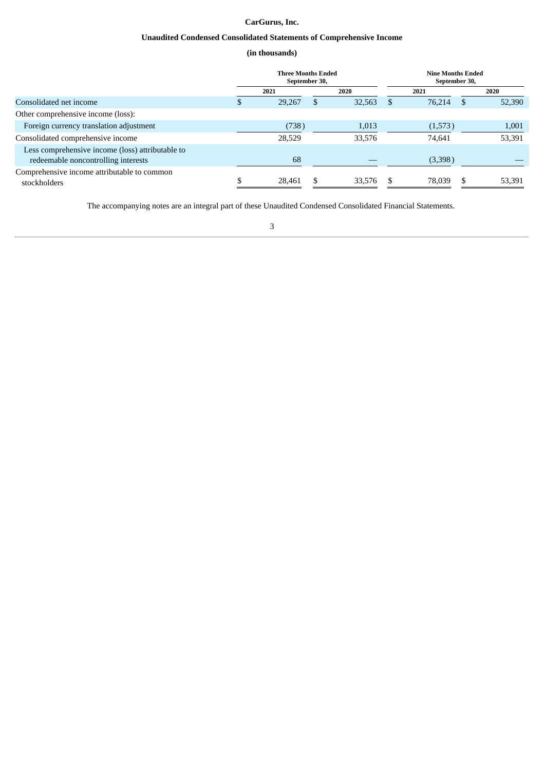### **CarGurus, Inc.**

### **Unaudited Condensed Consolidated Statements of Comprehensive Income**

### **(in thousands)**

<span id="page-6-0"></span>

|                                                                                         |    | <b>Three Months Ended</b><br>September 30, |     |        |    | <b>Nine Months Ended</b><br>September 30, |    |        |  |
|-----------------------------------------------------------------------------------------|----|--------------------------------------------|-----|--------|----|-------------------------------------------|----|--------|--|
|                                                                                         |    | 2021                                       |     | 2020   |    | 2021                                      |    | 2020   |  |
| Consolidated net income                                                                 | D. | 29,267                                     | \$  | 32,563 |    | 76,214                                    | -5 | 52,390 |  |
| Other comprehensive income (loss):                                                      |    |                                            |     |        |    |                                           |    |        |  |
| Foreign currency translation adjustment                                                 |    | (738)                                      |     | 1,013  |    | (1,573)                                   |    | 1,001  |  |
| Consolidated comprehensive income                                                       |    | 28,529                                     |     | 33,576 |    | 74.641                                    |    | 53,391 |  |
| Less comprehensive income (loss) attributable to<br>redeemable noncontrolling interests |    | 68                                         |     |        |    | (3,398)                                   |    |        |  |
| Comprehensive income attributable to common<br>stockholders                             |    | 28,461                                     | \$. | 33,576 | -S | 78,039                                    | .S | 53,391 |  |

The accompanying notes are an integral part of these Unaudited Condensed Consolidated Financial Statements.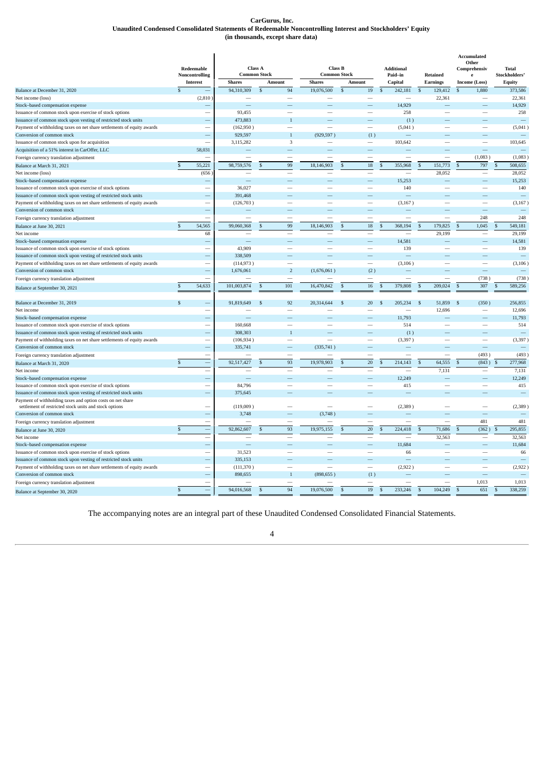#### **CarGurus, Inc. Unaudited Condensed Consolidated Statements of Redeemable Noncontrolling Interest and Stockholders' Equity (in thousands, except share data)**

<span id="page-7-0"></span>

|                                                                        |               | Redeemable               |                     | Class A        |                          | <b>Class B</b>           |              |                          | <b>Additional</b> |                          |               |                 | Accumulated<br>Other<br>Comprehensiv | <b>Total</b>             |
|------------------------------------------------------------------------|---------------|--------------------------|---------------------|----------------|--------------------------|--------------------------|--------------|--------------------------|-------------------|--------------------------|---------------|-----------------|--------------------------------------|--------------------------|
|                                                                        |               | Noncontrolling           | <b>Common Stock</b> |                |                          | <b>Common Stock</b>      |              |                          | Paid-in           |                          |               | <b>Retained</b> | e                                    | Stockholders'            |
|                                                                        |               | <b>Interest</b>          | <b>Shares</b>       |                | Amount                   | <b>Shares</b>            |              | Amount                   | Capital           |                          |               | <b>Earnings</b> | <b>Income (Loss)</b>                 | <b>Equity</b>            |
| Balance at December 31, 2020                                           | $\mathcal{L}$ |                          | 94,310,309          | $\mathfrak s$  | 94                       | 19,076,500               | $\mathbf{s}$ | $19\,$<br>$\mathbf{s}$   |                   | 242,181                  | $\mathbf{s}$  | 129,412         | $\mathbf{s}$<br>1,880                | 373,586                  |
| Net income (loss)                                                      |               | (2,810)                  |                     |                |                          |                          |              | $\overline{\phantom{0}}$ |                   | $\overline{\phantom{0}}$ |               | 22,361          | $\overline{\phantom{a}}$             | 22,361                   |
| Stock-based compensation expense                                       |               |                          |                     |                |                          |                          |              |                          |                   | 14.929                   |               |                 |                                      | 14,929                   |
| Issuance of common stock upon exercise of stock options                |               | $\overline{\phantom{0}}$ | 93,455              |                |                          |                          |              | $\overline{\phantom{0}}$ |                   | 258                      |               |                 |                                      | 258                      |
| Issuance of common stock upon vesting of restricted stock units        |               |                          | 473,883             |                | $\mathbf{1}$             |                          |              |                          |                   | (1)                      |               |                 |                                      | <u>in</u>                |
| Payment of withholding taxes on net share settlements of equity awards |               | $\overline{\phantom{0}}$ | (162,950)           |                | $\overline{\phantom{0}}$ |                          |              | $\overline{\phantom{a}}$ |                   | (5,041)                  |               |                 |                                      | (5,041)                  |
| Conversion of common stock                                             |               |                          | 929,597             |                | $\mathbf{1}$             | (929, 597)               |              | (1)                      |                   |                          |               |                 |                                      |                          |
| Issuance of common stock upon for acquisition                          |               |                          | 3,115,282           |                | 3                        | $\overline{\phantom{a}}$ |              | $\overline{\phantom{m}}$ |                   | 103,642                  |               |                 | $\overline{\phantom{0}}$             | 103,645                  |
| Acquisition of a 51% interest in CarOffer, LLC                         |               | 58,031                   |                     |                |                          |                          |              |                          |                   |                          |               |                 |                                      |                          |
| Foreign currency translation adjustment                                |               |                          |                     |                |                          |                          |              | $\overline{\phantom{0}}$ |                   |                          |               |                 | (1,083)                              | (1,083)                  |
| Balance at March 31, 2021                                              | \$            | 55,221                   | 98,759,576          | $\mathcal{S}$  | 99                       | 18,146,903               | S            | 18<br>$\mathbf{s}$       |                   | 355,968                  | $\mathcal{S}$ | 151,773         | 797<br>$\mathbf{s}$                  | $\mathbb{S}$<br>508.655  |
| Net income (loss)                                                      |               | (656)                    |                     |                | $\overline{\phantom{0}}$ |                          |              | L.                       |                   |                          |               | 28,052          | L.                                   | 28,052                   |
| Stock-based compensation expense                                       |               |                          |                     |                |                          |                          |              |                          |                   | 15,253                   |               |                 |                                      | 15,253                   |
| Issuance of common stock upon exercise of stock options                |               | $\overline{\phantom{0}}$ | 36,027              |                |                          |                          |              | $\overline{\phantom{a}}$ |                   | 140                      |               |                 | $\sim$                               | 140                      |
| Issuance of common stock upon vesting of restricted stock units        |               |                          | 391,468             |                |                          |                          |              |                          |                   |                          |               |                 |                                      |                          |
| Payment of withholding taxes on net share settlements of equity awards |               | ÷                        | (126, 703)          |                |                          |                          |              | $\overline{\phantom{0}}$ |                   | (3,167)                  |               |                 |                                      | (3, 167)                 |
| Conversion of common stock                                             |               |                          |                     |                |                          |                          |              |                          |                   |                          |               |                 |                                      |                          |
| Foreign currency translation adjustment                                |               |                          |                     |                |                          |                          |              |                          |                   |                          |               |                 | 248                                  | 248                      |
| Balance at June 30, 2021                                               | \$            | 54,565                   | 99,060,368          | \$             | 99                       | 18,146,903               | S            | 18<br>$\mathfrak{s}$     |                   | 368,194                  | S             | 179,825         | $\mathfrak{s}$<br>1,045              | 549,181<br><sup>\$</sup> |
| Net income                                                             |               | 68                       |                     |                | $\overline{\phantom{0}}$ |                          |              | $\equiv$                 |                   |                          |               | 29,199          | $\overline{\phantom{0}}$             | 29,199                   |
| Stock-based compensation expense                                       |               |                          |                     |                |                          |                          |              |                          |                   | 14,581                   |               |                 |                                      | 14,581                   |
| Issuance of common stock upon exercise of stock options                |               |                          | 43,909              |                |                          |                          |              | $\overline{\phantom{0}}$ |                   | 139                      |               |                 |                                      | 139                      |
| Issuance of common stock upon vesting of restricted stock units        |               |                          | 338,509             |                |                          |                          |              |                          |                   |                          |               |                 |                                      |                          |
| Payment of withholding taxes on net share settlements of equity awards |               |                          | (114, 973)          |                |                          |                          |              | $\overline{\phantom{0}}$ |                   | (3, 106)                 |               |                 |                                      | (3, 106)                 |
| Conversion of common stock                                             |               |                          | 1,676,061           |                | $\overline{2}$           | (1,676,061)              |              | (2)                      |                   |                          |               |                 |                                      |                          |
| Foreign currency translation adjustment                                |               |                          |                     |                | $\overline{\phantom{0}}$ |                          |              | $\overline{\phantom{0}}$ |                   | $\overline{\phantom{0}}$ |               |                 | (738)                                | (738)                    |
|                                                                        | $\mathbb{S}$  | 54,633                   | 101,003,874         | $\mathfrak{s}$ | 101                      | 16,470,842               | \$           | 16<br>$\mathbf{s}$       |                   | 379,808                  | .S            | 209,024         | 307<br>$\mathcal{S}$                 | 589.256<br>$\mathcal{S}$ |
| Balance at September 30, 2021                                          |               |                          |                     |                |                          |                          |              |                          |                   |                          |               |                 |                                      |                          |
| Balance at December 31, 2019                                           | $\mathbf{s}$  |                          | 91,819,649          | $\mathfrak{s}$ | 92                       | 20,314,644               | \$           | 20<br>$\mathbf{s}$       |                   | 205,234                  | $\mathbb{S}$  | 51,859          | (350)<br><sup>\$</sup>               | 256,855                  |
| Net income                                                             |               | $\overline{\phantom{0}}$ |                     |                |                          |                          |              | -                        |                   |                          |               | 12,696          |                                      | 12,696                   |
| Stock-based compensation expense                                       |               |                          |                     |                |                          |                          |              |                          |                   | 11,793                   |               |                 |                                      | 11,793                   |
| Issuance of common stock upon exercise of stock options                |               |                          | 160,668             |                |                          |                          |              | $\overline{\phantom{0}}$ |                   | 514                      |               |                 |                                      | 514                      |
| Issuance of common stock upon vesting of restricted stock units        |               |                          | 308,303             |                | $\mathbf{1}$             |                          |              |                          |                   | (1)                      |               |                 |                                      |                          |
| Payment of withholding taxes on net share settlements of equity awards |               | $\overline{\phantom{0}}$ | (106, 934)          |                | $\overline{\phantom{0}}$ |                          |              | $\overline{\phantom{a}}$ |                   | (3,397)                  |               |                 | $\overline{\phantom{a}}$             | (3, 397)                 |
| Conversion of common stock                                             |               |                          | 335,741             |                |                          | (335,741)                |              |                          |                   |                          |               |                 |                                      |                          |
| Foreign currency translation adjustment                                |               |                          |                     |                | $\overline{\phantom{a}}$ |                          |              | <u>.</u>                 |                   |                          |               |                 | (493)                                | (493)                    |
| Balance at March 31, 2020                                              | $\mathbb{S}$  | $\frac{1}{2}$            | 92,517,427          | $\mathbf{s}$   | 93                       | 19,978,903               | \$           | 20<br>$\mathsf{\$}$      |                   | 214,143                  | $\mathbf{s}$  | 64,555          | (843)<br>$\mathbf{s}$                | 277,968<br>$\mathcal{S}$ |
| Net income                                                             |               | $\overline{\phantom{a}}$ |                     |                | $\equiv$                 |                          |              | L.                       |                   |                          |               | 7,131           | $\overline{\phantom{0}}$             | 7,131                    |
| Stock-based compensation expense                                       |               |                          |                     |                |                          |                          |              |                          |                   | 12,249                   |               |                 |                                      | 12,249                   |
| Issuance of common stock upon exercise of stock options                |               | $\overline{\phantom{0}}$ | 84,796              |                |                          |                          |              |                          |                   | 415                      |               |                 |                                      | 415                      |
| Issuance of common stock upon vesting of restricted stock units        |               |                          | 375,645             |                |                          |                          |              |                          |                   |                          |               |                 |                                      |                          |
| Payment of withholding taxes and option costs on net share             |               |                          |                     |                |                          |                          |              |                          |                   |                          |               |                 |                                      |                          |
| settlement of restricted stock units and stock options                 |               |                          | (119,009)           |                |                          |                          |              |                          |                   | (2,389)                  |               |                 |                                      | (2,389)                  |
| Conversion of common stock                                             |               |                          | 3,748               |                |                          | (3,748)                  |              |                          |                   |                          |               |                 |                                      |                          |
| Foreign currency translation adjustment                                |               | $\overline{\phantom{0}}$ |                     |                |                          |                          |              |                          |                   | $\overline{\phantom{0}}$ |               |                 | 481                                  | 481                      |
| Balance at June 30, 2020                                               | \$            |                          | 92,862,607          | \$             | 93                       | 19,975,155               | S            | $20\,$<br>$\mathbf{s}$   |                   | 224,418                  | S             | 71,686          | (362)<br>\$                          | 295,855<br>\$            |
| Net income                                                             |               |                          |                     |                |                          |                          |              |                          |                   |                          |               | 32,563          |                                      | 32,563                   |
| Stock-based compensation expense                                       |               |                          |                     |                |                          |                          |              |                          |                   | 11,684                   |               |                 |                                      | 11,684                   |
| Issuance of common stock upon exercise of stock options                |               |                          | 31,523              |                |                          |                          |              |                          |                   | 66                       |               |                 |                                      | 66                       |
| Issuance of common stock upon vesting of restricted stock units        |               |                          | 335,153             |                |                          |                          |              |                          |                   |                          |               |                 |                                      |                          |
| Payment of withholding taxes on net share settlements of equity awards |               |                          | (111, 370)          |                |                          |                          |              |                          |                   | (2,922)                  |               |                 |                                      | (2,922)                  |
| Conversion of common stock                                             |               |                          | 898,655             |                | $\mathbf{1}$             | (898, 655)               |              | (1)                      |                   |                          |               |                 |                                      |                          |
|                                                                        |               |                          |                     |                |                          |                          |              |                          |                   |                          |               |                 | 1.013                                | 1.013                    |
| Foreign currency translation adjustment                                |               |                          |                     |                |                          |                          |              |                          |                   |                          |               |                 |                                      |                          |
| Balance at September 30, 2020                                          | $\mathbf{s}$  | $\equiv$                 | 94,016,568          | $\mathbf{s}$   | 94                       | 19,076,500               | \$           | 19<br>$\mathsf{\$}$      |                   | 233,246                  | \$            | 104,249         | 651<br>$\mathbf{s}$                  | $\mathbb{S}$<br>338,259  |

The accompanying notes are an integral part of these Unaudited Condensed Consolidated Financial Statements.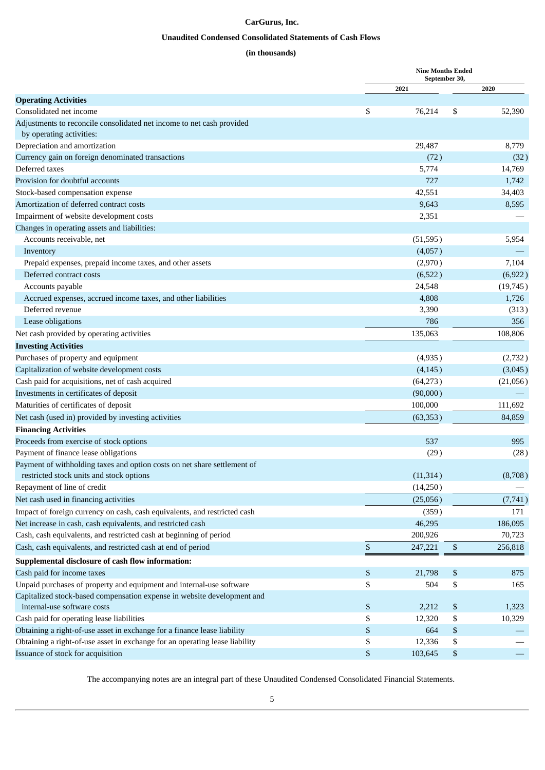### **CarGurus, Inc.**

### **Unaudited Condensed Consolidated Statements of Cash Flows**

### **(in thousands)**

<span id="page-8-0"></span>

|                                                                             |             | <b>Nine Months Ended</b><br>September 30, |                    |          |
|-----------------------------------------------------------------------------|-------------|-------------------------------------------|--------------------|----------|
|                                                                             |             | 2021                                      |                    | 2020     |
| <b>Operating Activities</b>                                                 |             |                                           |                    |          |
| Consolidated net income                                                     | \$          | 76,214                                    | \$                 | 52,390   |
| Adjustments to reconcile consolidated net income to net cash provided       |             |                                           |                    |          |
| by operating activities:                                                    |             |                                           |                    |          |
| Depreciation and amortization                                               |             | 29,487                                    |                    | 8,779    |
| Currency gain on foreign denominated transactions                           |             | (72)                                      |                    | (32)     |
| Deferred taxes                                                              |             | 5,774                                     |                    | 14,769   |
| Provision for doubtful accounts                                             |             | 727                                       |                    | 1,742    |
| Stock-based compensation expense                                            |             | 42,551                                    |                    | 34,403   |
| Amortization of deferred contract costs                                     |             | 9,643                                     |                    | 8,595    |
| Impairment of website development costs                                     |             | 2,351                                     |                    |          |
| Changes in operating assets and liabilities:                                |             |                                           |                    |          |
| Accounts receivable, net                                                    |             | (51, 595)                                 |                    | 5,954    |
| Inventory                                                                   |             | (4,057)                                   |                    |          |
| Prepaid expenses, prepaid income taxes, and other assets                    |             | (2,970)                                   |                    | 7,104    |
| Deferred contract costs                                                     |             | (6,522)                                   |                    | (6,922)  |
| Accounts payable                                                            |             | 24,548                                    |                    | (19,745) |
| Accrued expenses, accrued income taxes, and other liabilities               |             | 4,808                                     |                    | 1,726    |
| Deferred revenue                                                            |             | 3,390                                     |                    | (313)    |
| Lease obligations                                                           |             | 786                                       |                    | 356      |
| Net cash provided by operating activities                                   |             | 135,063                                   |                    | 108,806  |
| <b>Investing Activities</b>                                                 |             |                                           |                    |          |
| Purchases of property and equipment                                         |             | (4,935)                                   |                    | (2,732)  |
| Capitalization of website development costs                                 |             | (4, 145)                                  |                    | (3,045)  |
| Cash paid for acquisitions, net of cash acquired                            |             | (64,273)                                  |                    | (21,056) |
| Investments in certificates of deposit                                      |             | (90,000)                                  |                    |          |
| Maturities of certificates of deposit                                       |             | 100,000                                   |                    | 111,692  |
| Net cash (used in) provided by investing activities                         |             | (63, 353)                                 |                    | 84,859   |
| <b>Financing Activities</b>                                                 |             |                                           |                    |          |
| Proceeds from exercise of stock options                                     |             | 537                                       |                    | 995      |
| Payment of finance lease obligations                                        |             | (29)                                      |                    | (28)     |
| Payment of withholding taxes and option costs on net share settlement of    |             |                                           |                    |          |
| restricted stock units and stock options                                    |             | (11, 314)                                 |                    | (8,708)  |
| Repayment of line of credit                                                 |             | (14,250)                                  |                    |          |
| Net cash used in financing activities                                       |             | (25,056)                                  |                    | (7,741)  |
| Impact of foreign currency on cash, cash equivalents, and restricted cash   |             | (359)                                     |                    | 171      |
| Net increase in cash, cash equivalents, and restricted cash                 |             | 46,295                                    |                    | 186,095  |
| Cash, cash equivalents, and restricted cash at beginning of period          |             | 200,926                                   |                    | 70,723   |
| Cash, cash equivalents, and restricted cash at end of period                | $\mathbb S$ | 247,221                                   | $\$$               | 256,818  |
| Supplemental disclosure of cash flow information:                           |             |                                           |                    |          |
| Cash paid for income taxes                                                  | \$          | 21,798                                    | \$                 | 875      |
| Unpaid purchases of property and equipment and internal-use software        | \$          | 504                                       | \$                 | 165      |
| Capitalized stock-based compensation expense in website development and     |             |                                           |                    |          |
| internal-use software costs                                                 | \$          | 2,212                                     | $\$$               | 1,323    |
| Cash paid for operating lease liabilities                                   | \$          | 12,320                                    | \$                 | 10,329   |
| Obtaining a right-of-use asset in exchange for a finance lease liability    | \$          | 664                                       | $\pmb{\mathbb{S}}$ |          |
| Obtaining a right-of-use asset in exchange for an operating lease liability | \$          | 12,336                                    | \$                 |          |
| Issuance of stock for acquisition                                           | $\$$        | 103,645                                   | $\boldsymbol{\$}$  |          |

The accompanying notes are an integral part of these Unaudited Condensed Consolidated Financial Statements.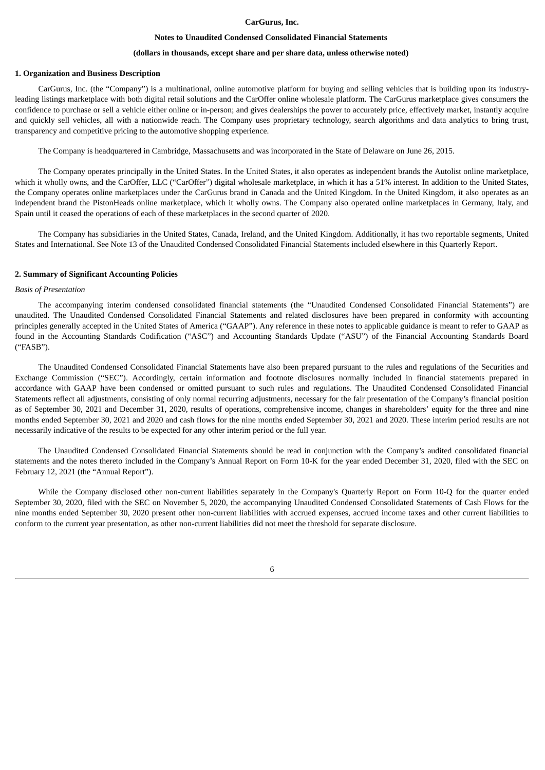#### **CarGurus, Inc.**

#### **Notes to Unaudited Condensed Consolidated Financial Statements**

#### **(dollars in thousands, except share and per share data, unless otherwise noted)**

#### <span id="page-9-0"></span>**1. Organization and Business Description**

CarGurus, Inc. (the "Company") is a multinational, online automotive platform for buying and selling vehicles that is building upon its industryleading listings marketplace with both digital retail solutions and the CarOffer online wholesale platform. The CarGurus marketplace gives consumers the confidence to purchase or sell a vehicle either online or in-person; and gives dealerships the power to accurately price, effectively market, instantly acquire and quickly sell vehicles, all with a nationwide reach. The Company uses proprietary technology, search algorithms and data analytics to bring trust, transparency and competitive pricing to the automotive shopping experience.

The Company is headquartered in Cambridge, Massachusetts and was incorporated in the State of Delaware on June 26, 2015.

The Company operates principally in the United States. In the United States, it also operates as independent brands the Autolist online marketplace, which it wholly owns, and the CarOffer, LLC ("CarOffer") digital wholesale marketplace, in which it has a 51% interest. In addition to the United States, the Company operates online marketplaces under the CarGurus brand in Canada and the United Kingdom. In the United Kingdom, it also operates as an independent brand the PistonHeads online marketplace, which it wholly owns. The Company also operated online marketplaces in Germany, Italy, and Spain until it ceased the operations of each of these marketplaces in the second quarter of 2020.

The Company has subsidiaries in the United States, Canada, Ireland, and the United Kingdom. Additionally, it has two reportable segments, United States and International. See Note 13 of the Unaudited Condensed Consolidated Financial Statements included elsewhere in this Quarterly Report.

#### **2. Summary of Significant Accounting Policies**

#### *Basis of Presentation*

The accompanying interim condensed consolidated financial statements (the "Unaudited Condensed Consolidated Financial Statements") are unaudited. The Unaudited Condensed Consolidated Financial Statements and related disclosures have been prepared in conformity with accounting principles generally accepted in the United States of America ("GAAP"). Any reference in these notes to applicable guidance is meant to refer to GAAP as found in the Accounting Standards Codification ("ASC") and Accounting Standards Update ("ASU") of the Financial Accounting Standards Board ("FASB").

The Unaudited Condensed Consolidated Financial Statements have also been prepared pursuant to the rules and regulations of the Securities and Exchange Commission ("SEC"). Accordingly, certain information and footnote disclosures normally included in financial statements prepared in accordance with GAAP have been condensed or omitted pursuant to such rules and regulations. The Unaudited Condensed Consolidated Financial Statements reflect all adjustments, consisting of only normal recurring adjustments, necessary for the fair presentation of the Company's financial position as of September 30, 2021 and December 31, 2020, results of operations, comprehensive income, changes in shareholders' equity for the three and nine months ended September 30, 2021 and 2020 and cash flows for the nine months ended September 30, 2021 and 2020. These interim period results are not necessarily indicative of the results to be expected for any other interim period or the full year.

The Unaudited Condensed Consolidated Financial Statements should be read in conjunction with the Company's audited consolidated financial statements and the notes thereto included in the Company's Annual Report on Form 10-K for the year ended December 31, 2020, filed with the SEC on February 12, 2021 (the "Annual Report").

While the Company disclosed other non-current liabilities separately in the Company's Quarterly Report on Form 10-Q for the quarter ended September 30, 2020, filed with the SEC on November 5, 2020, the accompanying Unaudited Condensed Consolidated Statements of Cash Flows for the nine months ended September 30, 2020 present other non-current liabilities with accrued expenses, accrued income taxes and other current liabilities to conform to the current year presentation, as other non-current liabilities did not meet the threshold for separate disclosure.

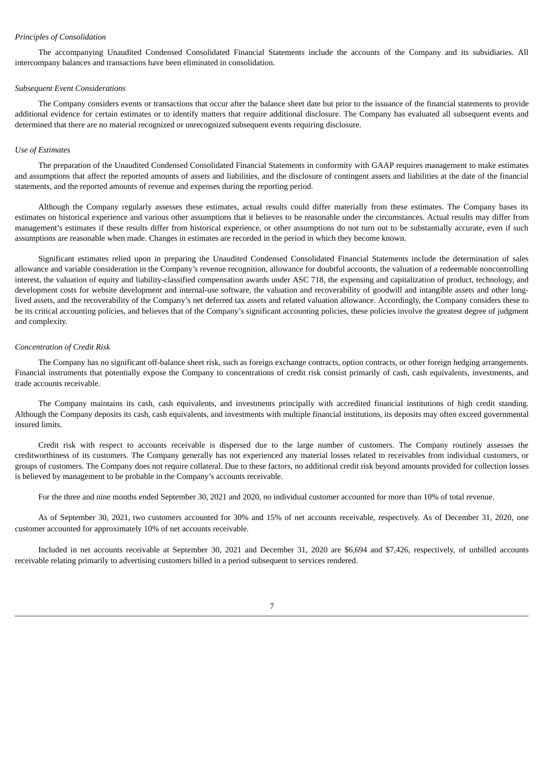#### *Principles of Consolidation*

The accompanying Unaudited Condensed Consolidated Financial Statements include the accounts of the Company and its subsidiaries. All intercompany balances and transactions have been eliminated in consolidation.

#### *Subsequent Event Considerations*

The Company considers events or transactions that occur after the balance sheet date but prior to the issuance of the financial statements to provide additional evidence for certain estimates or to identify matters that require additional disclosure. The Company has evaluated all subsequent events and determined that there are no material recognized or unrecognized subsequent events requiring disclosure.

#### *Use of Estimates*

The preparation of the Unaudited Condensed Consolidated Financial Statements in conformity with GAAP requires management to make estimates and assumptions that affect the reported amounts of assets and liabilities, and the disclosure of contingent assets and liabilities at the date of the financial statements, and the reported amounts of revenue and expenses during the reporting period.

Although the Company regularly assesses these estimates, actual results could differ materially from these estimates. The Company bases its estimates on historical experience and various other assumptions that it believes to be reasonable under the circumstances. Actual results may differ from management's estimates if these results differ from historical experience, or other assumptions do not turn out to be substantially accurate, even if such assumptions are reasonable when made. Changes in estimates are recorded in the period in which they become known.

Significant estimates relied upon in preparing the Unaudited Condensed Consolidated Financial Statements include the determination of sales allowance and variable consideration in the Company's revenue recognition, allowance for doubtful accounts, the valuation of a redeemable noncontrolling interest, the valuation of equity and liability-classified compensation awards under ASC 718, the expensing and capitalization of product, technology, and development costs for website development and internal-use software, the valuation and recoverability of goodwill and intangible assets and other longlived assets, and the recoverability of the Company's net deferred tax assets and related valuation allowance. Accordingly, the Company considers these to be its critical accounting policies, and believes that of the Company's significant accounting policies, these policies involve the greatest degree of judgment and complexity.

#### *Concentration of Credit Risk*

The Company has no significant off-balance sheet risk, such as foreign exchange contracts, option contracts, or other foreign hedging arrangements. Financial instruments that potentially expose the Company to concentrations of credit risk consist primarily of cash, cash equivalents, investments, and trade accounts receivable.

The Company maintains its cash, cash equivalents, and investments principally with accredited financial institutions of high credit standing. Although the Company deposits its cash, cash equivalents, and investments with multiple financial institutions, its deposits may often exceed governmental insured limits.

Credit risk with respect to accounts receivable is dispersed due to the large number of customers. The Company routinely assesses the creditworthiness of its customers. The Company generally has not experienced any material losses related to receivables from individual customers, or groups of customers. The Company does not require collateral. Due to these factors, no additional credit risk beyond amounts provided for collection losses is believed by management to be probable in the Company's accounts receivable.

For the three and nine months ended September 30, 2021 and 2020, no individual customer accounted for more than 10% of total revenue.

As of September 30, 2021, two customers accounted for 30% and 15% of net accounts receivable, respectively. As of December 31, 2020, one customer accounted for approximately 10% of net accounts receivable.

Included in net accounts receivable at September 30, 2021 and December 31, 2020 are \$6,694 and \$7,426, respectively, of unbilled accounts receivable relating primarily to advertising customers billed in a period subsequent to services rendered.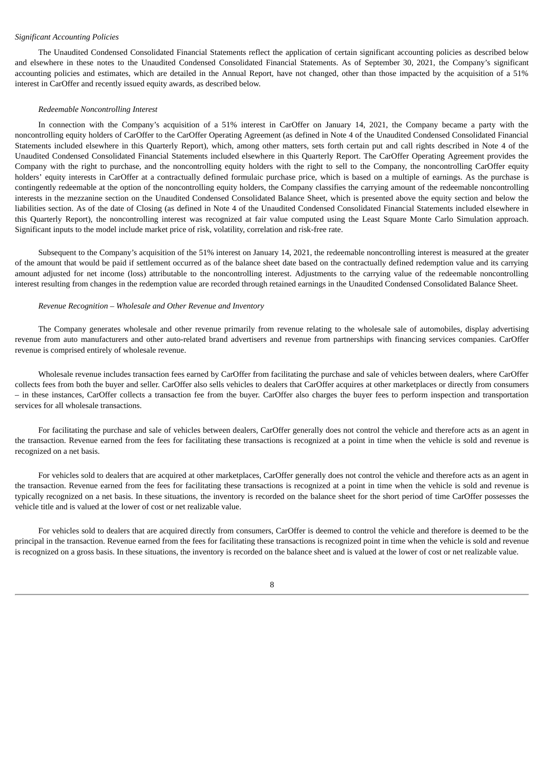### *Significant Accounting Policies*

The Unaudited Condensed Consolidated Financial Statements reflect the application of certain significant accounting policies as described below and elsewhere in these notes to the Unaudited Condensed Consolidated Financial Statements. As of September 30, 2021, the Company's significant accounting policies and estimates, which are detailed in the Annual Report, have not changed, other than those impacted by the acquisition of a 51% interest in CarOffer and recently issued equity awards, as described below.

#### *Redeemable Noncontrolling Interest*

In connection with the Company's acquisition of a 51% interest in CarOffer on January 14, 2021, the Company became a party with the noncontrolling equity holders of CarOffer to the CarOffer Operating Agreement (as defined in Note 4 of the Unaudited Condensed Consolidated Financial Statements included elsewhere in this Quarterly Report), which, among other matters, sets forth certain put and call rights described in Note 4 of the Unaudited Condensed Consolidated Financial Statements included elsewhere in this Quarterly Report. The CarOffer Operating Agreement provides the Company with the right to purchase, and the noncontrolling equity holders with the right to sell to the Company, the noncontrolling CarOffer equity holders' equity interests in CarOffer at a contractually defined formulaic purchase price, which is based on a multiple of earnings. As the purchase is contingently redeemable at the option of the noncontrolling equity holders, the Company classifies the carrying amount of the redeemable noncontrolling interests in the mezzanine section on the Unaudited Condensed Consolidated Balance Sheet, which is presented above the equity section and below the liabilities section. As of the date of Closing (as defined in Note 4 of the Unaudited Condensed Consolidated Financial Statements included elsewhere in this Quarterly Report), the noncontrolling interest was recognized at fair value computed using the Least Square Monte Carlo Simulation approach. Significant inputs to the model include market price of risk, volatility, correlation and risk-free rate.

Subsequent to the Company's acquisition of the 51% interest on January 14, 2021, the redeemable noncontrolling interest is measured at the greater of the amount that would be paid if settlement occurred as of the balance sheet date based on the contractually defined redemption value and its carrying amount adjusted for net income (loss) attributable to the noncontrolling interest. Adjustments to the carrying value of the redeemable noncontrolling interest resulting from changes in the redemption value are recorded through retained earnings in the Unaudited Condensed Consolidated Balance Sheet.

#### *Revenue Recognition – Wholesale and Other Revenue and Inventory*

The Company generates wholesale and other revenue primarily from revenue relating to the wholesale sale of automobiles, display advertising revenue from auto manufacturers and other auto-related brand advertisers and revenue from partnerships with financing services companies. CarOffer revenue is comprised entirely of wholesale revenue.

Wholesale revenue includes transaction fees earned by CarOffer from facilitating the purchase and sale of vehicles between dealers, where CarOffer collects fees from both the buyer and seller. CarOffer also sells vehicles to dealers that CarOffer acquires at other marketplaces or directly from consumers – in these instances, CarOffer collects a transaction fee from the buyer. CarOffer also charges the buyer fees to perform inspection and transportation services for all wholesale transactions.

For facilitating the purchase and sale of vehicles between dealers, CarOffer generally does not control the vehicle and therefore acts as an agent in the transaction. Revenue earned from the fees for facilitating these transactions is recognized at a point in time when the vehicle is sold and revenue is recognized on a net basis.

For vehicles sold to dealers that are acquired at other marketplaces, CarOffer generally does not control the vehicle and therefore acts as an agent in the transaction. Revenue earned from the fees for facilitating these transactions is recognized at a point in time when the vehicle is sold and revenue is typically recognized on a net basis. In these situations, the inventory is recorded on the balance sheet for the short period of time CarOffer possesses the vehicle title and is valued at the lower of cost or net realizable value.

For vehicles sold to dealers that are acquired directly from consumers, CarOffer is deemed to control the vehicle and therefore is deemed to be the principal in the transaction. Revenue earned from the fees for facilitating these transactions is recognized point in time when the vehicle is sold and revenue is recognized on a gross basis. In these situations, the inventory is recorded on the balance sheet and is valued at the lower of cost or net realizable value.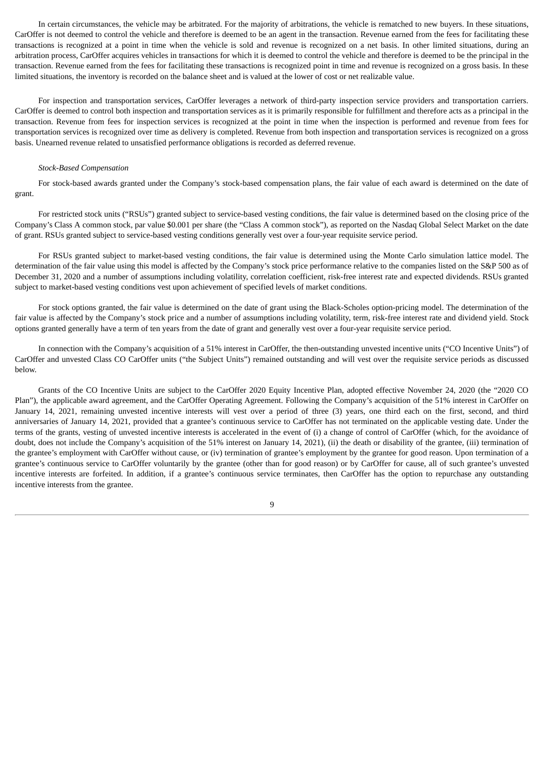In certain circumstances, the vehicle may be arbitrated. For the majority of arbitrations, the vehicle is rematched to new buyers. In these situations, CarOffer is not deemed to control the vehicle and therefore is deemed to be an agent in the transaction. Revenue earned from the fees for facilitating these transactions is recognized at a point in time when the vehicle is sold and revenue is recognized on a net basis. In other limited situations, during an arbitration process, CarOffer acquires vehicles in transactions for which it is deemed to control the vehicle and therefore is deemed to be the principal in the transaction. Revenue earned from the fees for facilitating these transactions is recognized point in time and revenue is recognized on a gross basis. In these limited situations, the inventory is recorded on the balance sheet and is valued at the lower of cost or net realizable value.

For inspection and transportation services, CarOffer leverages a network of third-party inspection service providers and transportation carriers. CarOffer is deemed to control both inspection and transportation services as it is primarily responsible for fulfillment and therefore acts as a principal in the transaction. Revenue from fees for inspection services is recognized at the point in time when the inspection is performed and revenue from fees for transportation services is recognized over time as delivery is completed. Revenue from both inspection and transportation services is recognized on a gross basis. Unearned revenue related to unsatisfied performance obligations is recorded as deferred revenue.

#### *Stock‑Based Compensation*

For stock-based awards granted under the Company's stock-based compensation plans, the fair value of each award is determined on the date of grant.

For restricted stock units ("RSUs") granted subject to service-based vesting conditions, the fair value is determined based on the closing price of the Company's Class A common stock, par value \$0.001 per share (the "Class A common stock"), as reported on the Nasdaq Global Select Market on the date of grant. RSUs granted subject to service-based vesting conditions generally vest over a four-year requisite service period.

For RSUs granted subject to market-based vesting conditions, the fair value is determined using the Monte Carlo simulation lattice model. The determination of the fair value using this model is affected by the Company's stock price performance relative to the companies listed on the S&P 500 as of December 31, 2020 and a number of assumptions including volatility, correlation coefficient, risk-free interest rate and expected dividends. RSUs granted subject to market-based vesting conditions vest upon achievement of specified levels of market conditions.

For stock options granted, the fair value is determined on the date of grant using the Black‑Scholes option‑pricing model. The determination of the fair value is affected by the Company's stock price and a number of assumptions including volatility, term, risk-free interest rate and dividend yield. Stock options granted generally have a term of ten years from the date of grant and generally vest over a four-year requisite service period.

In connection with the Company's acquisition of a 51% interest in CarOffer, the then-outstanding unvested incentive units ("CO Incentive Units") of CarOffer and unvested Class CO CarOffer units ("the Subject Units") remained outstanding and will vest over the requisite service periods as discussed below.

Grants of the CO Incentive Units are subject to the CarOffer 2020 Equity Incentive Plan, adopted effective November 24, 2020 (the "2020 CO Plan"), the applicable award agreement, and the CarOffer Operating Agreement. Following the Company's acquisition of the 51% interest in CarOffer on January 14, 2021, remaining unvested incentive interests will vest over a period of three (3) years, one third each on the first, second, and third anniversaries of January 14, 2021, provided that a grantee's continuous service to CarOffer has not terminated on the applicable vesting date. Under the terms of the grants, vesting of unvested incentive interests is accelerated in the event of (i) a change of control of CarOffer (which, for the avoidance of doubt, does not include the Company's acquisition of the 51% interest on January 14, 2021), (ii) the death or disability of the grantee, (iii) termination of the grantee's employment with CarOffer without cause, or (iv) termination of grantee's employment by the grantee for good reason. Upon termination of a grantee's continuous service to CarOffer voluntarily by the grantee (other than for good reason) or by CarOffer for cause, all of such grantee's unvested incentive interests are forfeited. In addition, if a grantee's continuous service terminates, then CarOffer has the option to repurchase any outstanding incentive interests from the grantee.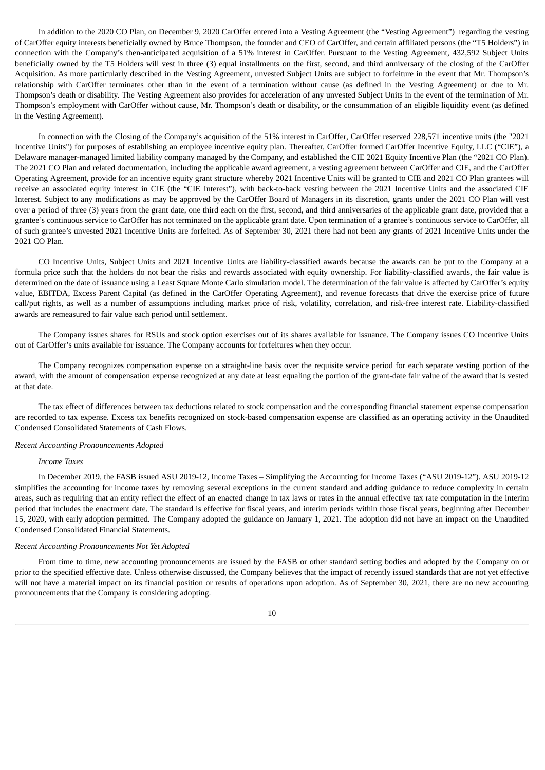In addition to the 2020 CO Plan, on December 9, 2020 CarOffer entered into a Vesting Agreement (the "Vesting Agreement") regarding the vesting of CarOffer equity interests beneficially owned by Bruce Thompson, the founder and CEO of CarOffer, and certain affiliated persons (the "T5 Holders") in connection with the Company's then-anticipated acquisition of a 51% interest in CarOffer. Pursuant to the Vesting Agreement, 432,592 Subject Units beneficially owned by the T5 Holders will vest in three (3) equal installments on the first, second, and third anniversary of the closing of the CarOffer Acquisition. As more particularly described in the Vesting Agreement, unvested Subject Units are subject to forfeiture in the event that Mr. Thompson's relationship with CarOffer terminates other than in the event of a termination without cause (as defined in the Vesting Agreement) or due to Mr. Thompson's death or disability. The Vesting Agreement also provides for acceleration of any unvested Subject Units in the event of the termination of Mr. Thompson's employment with CarOffer without cause, Mr. Thompson's death or disability, or the consummation of an eligible liquidity event (as defined in the Vesting Agreement).

In connection with the Closing of the Company's acquisition of the 51% interest in CarOffer, CarOffer reserved 228,571 incentive units (the "2021 Incentive Units") for purposes of establishing an employee incentive equity plan. Thereafter, CarOffer formed CarOffer Incentive Equity, LLC ("CIE"), a Delaware manager-managed limited liability company managed by the Company, and established the CIE 2021 Equity Incentive Plan (the "2021 CO Plan). The 2021 CO Plan and related documentation, including the applicable award agreement, a vesting agreement between CarOffer and CIE, and the CarOffer Operating Agreement, provide for an incentive equity grant structure whereby 2021 Incentive Units will be granted to CIE and 2021 CO Plan grantees will receive an associated equity interest in CIE (the "CIE Interest"), with back-to-back vesting between the 2021 Incentive Units and the associated CIE Interest. Subject to any modifications as may be approved by the CarOffer Board of Managers in its discretion, grants under the 2021 CO Plan will vest over a period of three (3) years from the grant date, one third each on the first, second, and third anniversaries of the applicable grant date, provided that a grantee's continuous service to CarOffer has not terminated on the applicable grant date. Upon termination of a grantee's continuous service to CarOffer, all of such grantee's unvested 2021 Incentive Units are forfeited. As of September 30, 2021 there had not been any grants of 2021 Incentive Units under the 2021 CO Plan.

CO Incentive Units, Subject Units and 2021 Incentive Units are liability-classified awards because the awards can be put to the Company at a formula price such that the holders do not bear the risks and rewards associated with equity ownership. For liability-classified awards, the fair value is determined on the date of issuance using a Least Square Monte Carlo simulation model. The determination of the fair value is affected by CarOffer's equity value, EBITDA, Excess Parent Capital (as defined in the CarOffer Operating Agreement), and revenue forecasts that drive the exercise price of future call/put rights, as well as a number of assumptions including market price of risk, volatility, correlation, and risk-free interest rate. Liability-classified awards are remeasured to fair value each period until settlement.

The Company issues shares for RSUs and stock option exercises out of its shares available for issuance. The Company issues CO Incentive Units out of CarOffer's units available for issuance. The Company accounts for forfeitures when they occur.

The Company recognizes compensation expense on a straight-line basis over the requisite service period for each separate vesting portion of the award, with the amount of compensation expense recognized at any date at least equaling the portion of the grant-date fair value of the award that is vested at that date.

The tax effect of differences between tax deductions related to stock compensation and the corresponding financial statement expense compensation are recorded to tax expense. Excess tax benefits recognized on stock‑based compensation expense are classified as an operating activity in the Unaudited Condensed Consolidated Statements of Cash Flows.

### *Recent Accounting Pronouncements Adopted*

#### *Income Taxes*

In December 2019, the FASB issued ASU 2019-12, Income Taxes – Simplifying the Accounting for Income Taxes ("ASU 2019-12"). ASU 2019-12 simplifies the accounting for income taxes by removing several exceptions in the current standard and adding guidance to reduce complexity in certain areas, such as requiring that an entity reflect the effect of an enacted change in tax laws or rates in the annual effective tax rate computation in the interim period that includes the enactment date. The standard is effective for fiscal years, and interim periods within those fiscal years, beginning after December 15, 2020, with early adoption permitted. The Company adopted the guidance on January 1, 2021. The adoption did not have an impact on the Unaudited Condensed Consolidated Financial Statements.

#### *Recent Accounting Pronouncements Not Yet Adopted*

From time to time, new accounting pronouncements are issued by the FASB or other standard setting bodies and adopted by the Company on or prior to the specified effective date. Unless otherwise discussed, the Company believes that the impact of recently issued standards that are not yet effective will not have a material impact on its financial position or results of operations upon adoption. As of September 30, 2021, there are no new accounting pronouncements that the Company is considering adopting.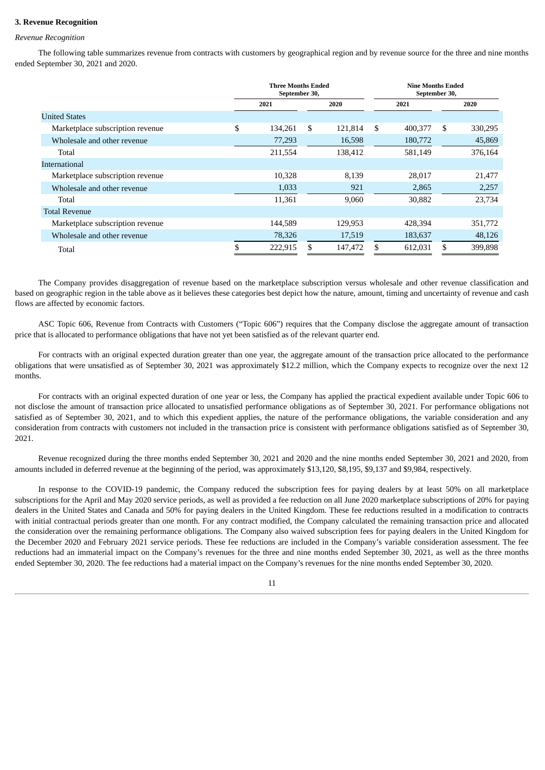#### **3. Revenue Recognition**

#### *Revenue Recognition*

The following table summarizes revenue from contracts with customers by geographical region and by revenue source for the three and nine months ended September 30, 2021 and 2020.

|                                  | <b>Three Months Ended</b><br>September 30, |         |    |         | <b>Nine Months Ended</b><br>September 30, |    |         |  |
|----------------------------------|--------------------------------------------|---------|----|---------|-------------------------------------------|----|---------|--|
|                                  |                                            | 2021    |    | 2020    | 2021                                      |    | 2020    |  |
| <b>United States</b>             |                                            |         |    |         |                                           |    |         |  |
| Marketplace subscription revenue | \$                                         | 134,261 | \$ | 121,814 | \$<br>400,377                             | \$ | 330,295 |  |
| Wholesale and other revenue      |                                            | 77,293  |    | 16,598  | 180,772                                   |    | 45,869  |  |
| Total                            |                                            | 211,554 |    | 138,412 | 581,149                                   |    | 376,164 |  |
| International                    |                                            |         |    |         |                                           |    |         |  |
| Marketplace subscription revenue |                                            | 10,328  |    | 8,139   | 28,017                                    |    | 21,477  |  |
| Wholesale and other revenue      |                                            | 1,033   |    | 921     | 2,865                                     |    | 2,257   |  |
| Total                            |                                            | 11,361  |    | 9,060   | 30,882                                    |    | 23,734  |  |
| <b>Total Revenue</b>             |                                            |         |    |         |                                           |    |         |  |
| Marketplace subscription revenue |                                            | 144,589 |    | 129,953 | 428,394                                   |    | 351,772 |  |
| Wholesale and other revenue      |                                            | 78,326  |    | 17,519  | 183,637                                   |    | 48,126  |  |
| Total                            | \$                                         | 222,915 | \$ | 147,472 | 612,031                                   | \$ | 399,898 |  |

The Company provides disaggregation of revenue based on the marketplace subscription versus wholesale and other revenue classification and based on geographic region in the table above as it believes these categories best depict how the nature, amount, timing and uncertainty of revenue and cash flows are affected by economic factors.

ASC Topic 606, Revenue from Contracts with Customers ("Topic 606") requires that the Company disclose the aggregate amount of transaction price that is allocated to performance obligations that have not yet been satisfied as of the relevant quarter end.

For contracts with an original expected duration greater than one year, the aggregate amount of the transaction price allocated to the performance obligations that were unsatisfied as of September 30, 2021 was approximately \$12.2 million, which the Company expects to recognize over the next 12 months.

For contracts with an original expected duration of one year or less, the Company has applied the practical expedient available under Topic 606 to not disclose the amount of transaction price allocated to unsatisfied performance obligations as of September 30, 2021. For performance obligations not satisfied as of September 30, 2021, and to which this expedient applies, the nature of the performance obligations, the variable consideration and any consideration from contracts with customers not included in the transaction price is consistent with performance obligations satisfied as of September 30, 2021.

Revenue recognized during the three months ended September 30, 2021 and 2020 and the nine months ended September 30, 2021 and 2020, from amounts included in deferred revenue at the beginning of the period, was approximately \$13,120, \$8,195, \$9,137 and \$9,984, respectively.

In response to the COVID-19 pandemic, the Company reduced the subscription fees for paying dealers by at least 50% on all marketplace subscriptions for the April and May 2020 service periods, as well as provided a fee reduction on all June 2020 marketplace subscriptions of 20% for paying dealers in the United States and Canada and 50% for paying dealers in the United Kingdom. These fee reductions resulted in a modification to contracts with initial contractual periods greater than one month. For any contract modified, the Company calculated the remaining transaction price and allocated the consideration over the remaining performance obligations. The Company also waived subscription fees for paying dealers in the United Kingdom for the December 2020 and February 2021 service periods. These fee reductions are included in the Company's variable consideration assessment. The fee reductions had an immaterial impact on the Company's revenues for the three and nine months ended September 30, 2021, as well as the three months ended September 30, 2020. The fee reductions had a material impact on the Company's revenues for the nine months ended September 30, 2020.

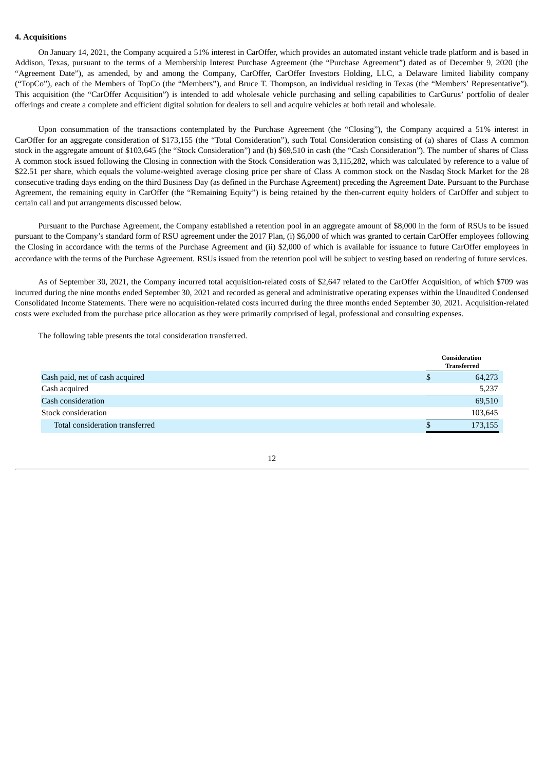### **4. Acquisitions**

On January 14, 2021, the Company acquired a 51% interest in CarOffer, which provides an automated instant vehicle trade platform and is based in Addison, Texas, pursuant to the terms of a Membership Interest Purchase Agreement (the "Purchase Agreement") dated as of December 9, 2020 (the "Agreement Date"), as amended, by and among the Company, CarOffer, CarOffer Investors Holding, LLC, a Delaware limited liability company ("TopCo"), each of the Members of TopCo (the "Members"), and Bruce T. Thompson, an individual residing in Texas (the "Members' Representative"). This acquisition (the "CarOffer Acquisition") is intended to add wholesale vehicle purchasing and selling capabilities to CarGurus' portfolio of dealer offerings and create a complete and efficient digital solution for dealers to sell and acquire vehicles at both retail and wholesale.

Upon consummation of the transactions contemplated by the Purchase Agreement (the "Closing"), the Company acquired a 51% interest in CarOffer for an aggregate consideration of \$173,155 (the "Total Consideration"), such Total Consideration consisting of (a) shares of Class A common stock in the aggregate amount of \$103,645 (the "Stock Consideration") and (b) \$69,510 in cash (the "Cash Consideration"). The number of shares of Class A common stock issued following the Closing in connection with the Stock Consideration was 3,115,282, which was calculated by reference to a value of \$22.51 per share, which equals the volume-weighted average closing price per share of Class A common stock on the Nasdaq Stock Market for the 28 consecutive trading days ending on the third Business Day (as defined in the Purchase Agreement) preceding the Agreement Date. Pursuant to the Purchase Agreement, the remaining equity in CarOffer (the "Remaining Equity") is being retained by the then-current equity holders of CarOffer and subject to certain call and put arrangements discussed below.

Pursuant to the Purchase Agreement, the Company established a retention pool in an aggregate amount of \$8,000 in the form of RSUs to be issued pursuant to the Company's standard form of RSU agreement under the 2017 Plan, (i) \$6,000 of which was granted to certain CarOffer employees following the Closing in accordance with the terms of the Purchase Agreement and (ii) \$2,000 of which is available for issuance to future CarOffer employees in accordance with the terms of the Purchase Agreement. RSUs issued from the retention pool will be subject to vesting based on rendering of future services.

As of September 30, 2021, the Company incurred total acquisition-related costs of \$2,647 related to the CarOffer Acquisition, of which \$709 was incurred during the nine months ended September 30, 2021 and recorded as general and administrative operating expenses within the Unaudited Condensed Consolidated Income Statements. There were no acquisition-related costs incurred during the three months ended September 30, 2021. Acquisition-related costs were excluded from the purchase price allocation as they were primarily comprised of legal, professional and consulting expenses.

The following table presents the total consideration transferred.

|                                 |    | Consideration<br><b>Transferred</b> |
|---------------------------------|----|-------------------------------------|
| Cash paid, net of cash acquired | JЭ | 64,273                              |
| Cash acquired                   |    | 5,237                               |
| Cash consideration              |    | 69,510                              |
| Stock consideration             |    | 103,645                             |
| Total consideration transferred |    | 173,155                             |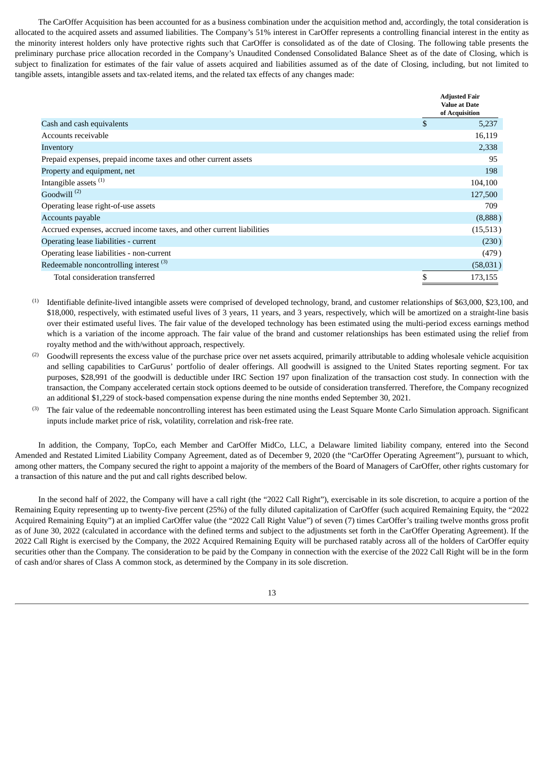The CarOffer Acquisition has been accounted for as a business combination under the acquisition method and, accordingly, the total consideration is allocated to the acquired assets and assumed liabilities. The Company's 51% interest in CarOffer represents a controlling financial interest in the entity as the minority interest holders only have protective rights such that CarOffer is consolidated as of the date of Closing. The following table presents the preliminary purchase price allocation recorded in the Company's Unaudited Condensed Consolidated Balance Sheet as of the date of Closing, which is subject to finalization for estimates of the fair value of assets acquired and liabilities assumed as of the date of Closing, including, but not limited to tangible assets, intangible assets and tax-related items, and the related tax effects of any changes made:

|                                                                       |                | <b>Adjusted Fair</b><br><b>Value at Date</b><br>of Acquisition |
|-----------------------------------------------------------------------|----------------|----------------------------------------------------------------|
| Cash and cash equivalents                                             | $\mathfrak{S}$ | 5,237                                                          |
| Accounts receivable                                                   |                | 16,119                                                         |
| Inventory                                                             |                | 2,338                                                          |
| Prepaid expenses, prepaid income taxes and other current assets       |                | 95                                                             |
| Property and equipment, net                                           |                | 198                                                            |
| Intangible assets <sup>(1)</sup>                                      |                | 104,100                                                        |
| Goodwill $(2)$                                                        |                | 127,500                                                        |
| Operating lease right-of-use assets                                   |                | 709                                                            |
| Accounts payable                                                      |                | (8,888)                                                        |
| Accrued expenses, accrued income taxes, and other current liabilities |                | (15, 513)                                                      |
| Operating lease liabilities - current                                 |                | (230)                                                          |
| Operating lease liabilities - non-current                             |                | (479)                                                          |
| Redeemable noncontrolling interest <sup>(3)</sup>                     |                | (58,031)                                                       |
| Total consideration transferred                                       | \$             | 173,155                                                        |

- Identifiable definite-lived intangible assets were comprised of developed technology, brand, and customer relationships of \$63,000, \$23,100, and \$18,000, respectively, with estimated useful lives of 3 years, 11 years, and 3 years, respectively, which will be amortized on a straight-line basis over their estimated useful lives. The fair value of the developed technology has been estimated using the multi-period excess earnings method which is a variation of the income approach. The fair value of the brand and customer relationships has been estimated using the relief from royalty method and the with/without approach, respectively. (1)
- Goodwill represents the excess value of the purchase price over net assets acquired, primarily attributable to adding wholesale vehicle acquisition and selling capabilities to CarGurus' portfolio of dealer offerings. All goodwill is assigned to the United States reporting segment. For tax purposes, \$28,991 of the goodwill is deductible under IRC Section 197 upon finalization of the transaction cost study. In connection with the transaction, the Company accelerated certain stock options deemed to be outside of consideration transferred. Therefore, the Company recognized an additional \$1,229 of stock-based compensation expense during the nine months ended September 30, 2021. (2)
- The fair value of the redeemable noncontrolling interest has been estimated using the Least Square Monte Carlo Simulation approach. Significant inputs include market price of risk, volatility, correlation and risk-free rate. (3)

In addition, the Company, TopCo, each Member and CarOffer MidCo, LLC, a Delaware limited liability company, entered into the Second Amended and Restated Limited Liability Company Agreement, dated as of December 9, 2020 (the "CarOffer Operating Agreement"), pursuant to which, among other matters, the Company secured the right to appoint a majority of the members of the Board of Managers of CarOffer, other rights customary for a transaction of this nature and the put and call rights described below.

In the second half of 2022, the Company will have a call right (the "2022 Call Right"), exercisable in its sole discretion, to acquire a portion of the Remaining Equity representing up to twenty-five percent (25%) of the fully diluted capitalization of CarOffer (such acquired Remaining Equity, the "2022 Acquired Remaining Equity") at an implied CarOffer value (the "2022 Call Right Value") of seven (7) times CarOffer's trailing twelve months gross profit as of June 30, 2022 (calculated in accordance with the defined terms and subject to the adjustments set forth in the CarOffer Operating Agreement). If the 2022 Call Right is exercised by the Company, the 2022 Acquired Remaining Equity will be purchased ratably across all of the holders of CarOffer equity securities other than the Company. The consideration to be paid by the Company in connection with the exercise of the 2022 Call Right will be in the form of cash and/or shares of Class A common stock, as determined by the Company in its sole discretion.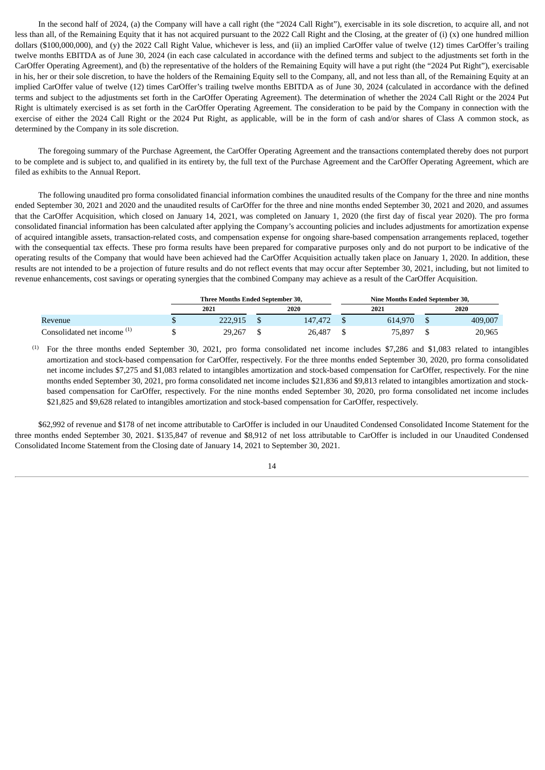In the second half of 2024, (a) the Company will have a call right (the "2024 Call Right"), exercisable in its sole discretion, to acquire all, and not less than all, of the Remaining Equity that it has not acquired pursuant to the 2022 Call Right and the Closing, at the greater of (i) (x) one hundred million dollars (\$100,000,000), and (y) the 2022 Call Right Value, whichever is less, and (ii) an implied CarOffer value of twelve (12) times CarOffer's trailing twelve months EBITDA as of June 30, 2024 (in each case calculated in accordance with the defined terms and subject to the adjustments set forth in the CarOffer Operating Agreement), and (b) the representative of the holders of the Remaining Equity will have a put right (the "2024 Put Right"), exercisable in his, her or their sole discretion, to have the holders of the Remaining Equity sell to the Company, all, and not less than all, of the Remaining Equity at an implied CarOffer value of twelve (12) times CarOffer's trailing twelve months EBITDA as of June 30, 2024 (calculated in accordance with the defined terms and subject to the adjustments set forth in the CarOffer Operating Agreement). The determination of whether the 2024 Call Right or the 2024 Put Right is ultimately exercised is as set forth in the CarOffer Operating Agreement. The consideration to be paid by the Company in connection with the exercise of either the 2024 Call Right or the 2024 Put Right, as applicable, will be in the form of cash and/or shares of Class A common stock, as determined by the Company in its sole discretion.

The foregoing summary of the Purchase Agreement, the CarOffer Operating Agreement and the transactions contemplated thereby does not purport to be complete and is subject to, and qualified in its entirety by, the full text of the Purchase Agreement and the CarOffer Operating Agreement, which are filed as exhibits to the Annual Report.

The following unaudited pro forma consolidated financial information combines the unaudited results of the Company for the three and nine months ended September 30, 2021 and 2020 and the unaudited results of CarOffer for the three and nine months ended September 30, 2021 and 2020, and assumes that the CarOffer Acquisition, which closed on January 14, 2021, was completed on January 1, 2020 (the first day of fiscal year 2020). The pro forma consolidated financial information has been calculated after applying the Company's accounting policies and includes adjustments for amortization expense of acquired intangible assets, transaction-related costs, and compensation expense for ongoing share-based compensation arrangements replaced, together with the consequential tax effects. These pro forma results have been prepared for comparative purposes only and do not purport to be indicative of the operating results of the Company that would have been achieved had the CarOffer Acquisition actually taken place on January 1, 2020. In addition, these results are not intended to be a projection of future results and do not reflect events that may occur after September 30, 2021, including, but not limited to revenue enhancements, cost savings or operating synergies that the combined Company may achieve as a result of the CarOffer Acquisition.

|                                        | Three Months Ended September 30, |  | Nine Months Ended September 30. |  |         |  |         |  |  |
|----------------------------------------|----------------------------------|--|---------------------------------|--|---------|--|---------|--|--|
|                                        | 2021                             |  | 2020                            |  | 2021    |  | 2020    |  |  |
| Revenue                                | 222.915                          |  | 147.472                         |  | 614.970 |  | 409,007 |  |  |
| Consolidated net income <sup>(1)</sup> | 29,267                           |  | 26,487                          |  | 75,897  |  | 20,965  |  |  |

For the three months ended September 30, 2021, pro forma consolidated net income includes \$7,286 and \$1,083 related to intangibles amortization and stock-based compensation for CarOffer, respectively. For the three months ended September 30, 2020, pro forma consolidated net income includes \$7,275 and \$1,083 related to intangibles amortization and stock-based compensation for CarOffer, respectively. For the nine months ended September 30, 2021, pro forma consolidated net income includes \$21,836 and \$9,813 related to intangibles amortization and stockbased compensation for CarOffer, respectively. For the nine months ended September 30, 2020, pro forma consolidated net income includes \$21,825 and \$9,628 related to intangibles amortization and stock-based compensation for CarOffer, respectively. (1)

\$62,992 of revenue and \$178 of net income attributable to CarOffer is included in our Unaudited Condensed Consolidated Income Statement for the three months ended September 30, 2021. \$135,847 of revenue and \$8,912 of net loss attributable to CarOffer is included in our Unaudited Condensed Consolidated Income Statement from the Closing date of January 14, 2021 to September 30, 2021.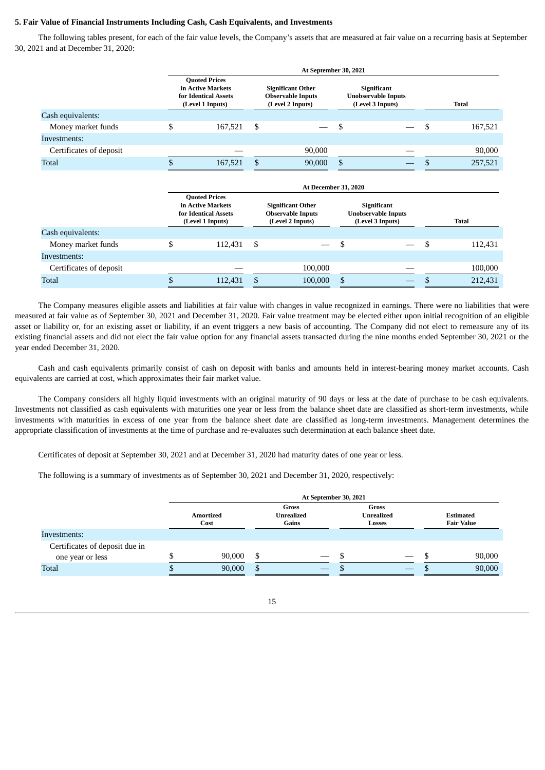### **5. Fair Value of Financial Instruments Including Cash, Cash Equivalents, and Investments**

The following tables present, for each of the fair value levels, the Company's assets that are measured at fair value on a recurring basis at September 30, 2021 and at December 31, 2020:

|                         | At September 30, 2021                                                                 |    |                                                                          |    |                                                               |  |              |  |  |
|-------------------------|---------------------------------------------------------------------------------------|----|--------------------------------------------------------------------------|----|---------------------------------------------------------------|--|--------------|--|--|
|                         | <b>Quoted Prices</b><br>in Active Markets<br>for Identical Assets<br>(Level 1 Inputs) |    | <b>Significant Other</b><br><b>Observable Inputs</b><br>(Level 2 Inputs) |    | Significant<br><b>Unobservable Inputs</b><br>(Level 3 Inputs) |  | <b>Total</b> |  |  |
| Cash equivalents:       |                                                                                       |    |                                                                          |    |                                                               |  |              |  |  |
| Money market funds      | \$<br>167,521                                                                         | \$ |                                                                          | S  |                                                               |  | 167,521      |  |  |
| Investments:            |                                                                                       |    |                                                                          |    |                                                               |  |              |  |  |
| Certificates of deposit |                                                                                       |    | 90,000                                                                   |    |                                                               |  | 90,000       |  |  |
| <b>Total</b>            | 167,521                                                                               | \$ | 90,000                                                                   | -S |                                                               |  | 257,521      |  |  |

|                         | <b>At December 31, 2020</b>                                                           |      |                                                                          |  |                                                               |   |              |  |  |  |  |  |
|-------------------------|---------------------------------------------------------------------------------------|------|--------------------------------------------------------------------------|--|---------------------------------------------------------------|---|--------------|--|--|--|--|--|
|                         | <b>Quoted Prices</b><br>in Active Markets<br>for Identical Assets<br>(Level 1 Inputs) |      | <b>Significant Other</b><br><b>Observable Inputs</b><br>(Level 2 Inputs) |  | Significant<br><b>Unobservable Inputs</b><br>(Level 3 Inputs) |   | <b>Total</b> |  |  |  |  |  |
| Cash equivalents:       |                                                                                       |      |                                                                          |  |                                                               |   |              |  |  |  |  |  |
| Money market funds      | 112,431                                                                               | - \$ |                                                                          |  |                                                               | S | 112,431      |  |  |  |  |  |
| Investments:            |                                                                                       |      |                                                                          |  |                                                               |   |              |  |  |  |  |  |
| Certificates of deposit |                                                                                       |      | 100.000                                                                  |  |                                                               |   | 100,000      |  |  |  |  |  |
| <b>Total</b>            | 112,431                                                                               |      | 100,000                                                                  |  |                                                               |   | 212,431      |  |  |  |  |  |

The Company measures eligible assets and liabilities at fair value with changes in value recognized in earnings. There were no liabilities that were measured at fair value as of September 30, 2021 and December 31, 2020. Fair value treatment may be elected either upon initial recognition of an eligible asset or liability or, for an existing asset or liability, if an event triggers a new basis of accounting. The Company did not elect to remeasure any of its existing financial assets and did not elect the fair value option for any financial assets transacted during the nine months ended September 30, 2021 or the year ended December 31, 2020.

Cash and cash equivalents primarily consist of cash on deposit with banks and amounts held in interest-bearing money market accounts. Cash equivalents are carried at cost, which approximates their fair market value.

The Company considers all highly liquid investments with an original maturity of 90 days or less at the date of purchase to be cash equivalents. Investments not classified as cash equivalents with maturities one year or less from the balance sheet date are classified as short-term investments, while investments with maturities in excess of one year from the balance sheet date are classified as long-term investments. Management determines the appropriate classification of investments at the time of purchase and re-evaluates such determination at each balance sheet date.

Certificates of deposit at September 30, 2021 and at December 31, 2020 had maturity dates of one year or less.

The following is a summary of investments as of September 30, 2021 and December 31, 2020, respectively:

|                                                    |  | At September 30, 2021    |    |                                     |     |                                      |  |                                       |  |  |
|----------------------------------------------------|--|--------------------------|----|-------------------------------------|-----|--------------------------------------|--|---------------------------------------|--|--|
|                                                    |  | <b>Amortized</b><br>Cost |    | Gross<br><b>Unrealized</b><br>Gains |     | Gross<br><b>Unrealized</b><br>Losses |  | <b>Estimated</b><br><b>Fair Value</b> |  |  |
| Investments:                                       |  |                          |    |                                     |     |                                      |  |                                       |  |  |
| Certificates of deposit due in<br>one year or less |  | 90,000                   | \$ |                                     |     |                                      |  | 90,000                                |  |  |
| <b>Total</b>                                       |  | 90,000                   | \$ | $\hspace{0.1mm}-\hspace{0.1mm}$     | - D |                                      |  | 90,000                                |  |  |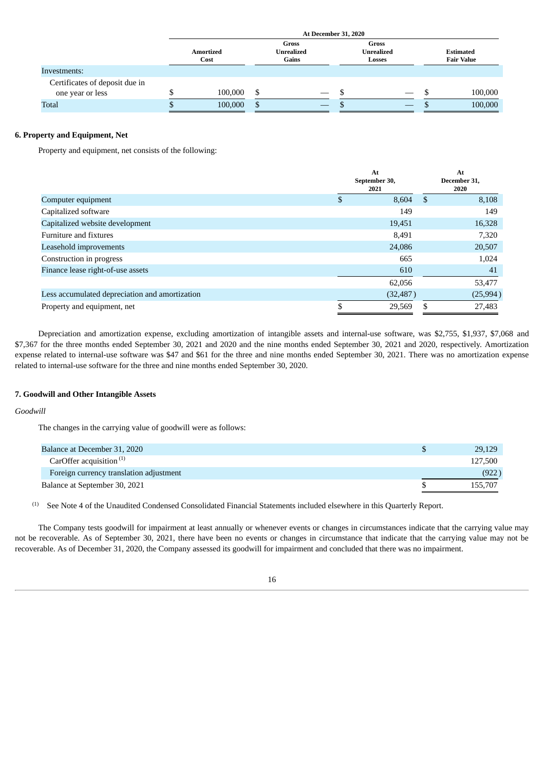|                                | <b>At December 31, 2020</b> |               |                                     |                               |                                      |  |  |                                       |         |  |
|--------------------------------|-----------------------------|---------------|-------------------------------------|-------------------------------|--------------------------------------|--|--|---------------------------------------|---------|--|
|                                | <b>Amortized</b><br>Cost    |               | Gross<br><b>Unrealized</b><br>Gains |                               | Gross<br><b>Unrealized</b><br>Losses |  |  | <b>Estimated</b><br><b>Fair Value</b> |         |  |
| Investments:                   |                             |               |                                     |                               |                                      |  |  |                                       |         |  |
| Certificates of deposit due in |                             |               |                                     |                               |                                      |  |  |                                       |         |  |
| one year or less               | 100,000                     | S             |                                     | $\overbrace{\phantom{12333}}$ |                                      |  |  | ۰D                                    | 100,000 |  |
| <b>Total</b>                   | 100,000                     | <sup>\$</sup> |                                     |                               |                                      |  |  | ۰U                                    | 100,000 |  |

### **6. Property and Equipment, Net**

Property and equipment, net consists of the following:

|                                                |    | At<br>September 30,<br>2021 |    | At<br>December 31,<br>2020 |
|------------------------------------------------|----|-----------------------------|----|----------------------------|
| Computer equipment                             | S  | 8,604                       | S  | 8,108                      |
| Capitalized software                           |    | 149                         |    | 149                        |
| Capitalized website development                |    | 19,451                      |    | 16,328                     |
| Furniture and fixtures                         |    | 8,491                       |    | 7,320                      |
| Leasehold improvements                         |    | 24,086                      |    | 20,507                     |
| Construction in progress                       |    | 665                         |    | 1,024                      |
| Finance lease right-of-use assets              |    | 610                         |    | 41                         |
|                                                |    | 62,056                      |    | 53,477                     |
| Less accumulated depreciation and amortization |    | (32, 487)                   |    | (25, 994)                  |
| Property and equipment, net                    | \$ | 29,569                      | \$ | 27,483                     |

Depreciation and amortization expense, excluding amortization of intangible assets and internal-use software, was \$2,755, \$1,937, \$7,068 and \$7,367 for the three months ended September 30, 2021 and 2020 and the nine months ended September 30, 2021 and 2020, respectively. Amortization expense related to internal-use software was \$47 and \$61 for the three and nine months ended September 30, 2021. There was no amortization expense related to internal-use software for the three and nine months ended September 30, 2020.

### **7. Goodwill and Other Intangible Assets**

#### *Goodwill*

The changes in the carrying value of goodwill were as follows:

| Balance at December 31, 2020            | 29,129  |
|-----------------------------------------|---------|
| CarOffer acquisition $(1)$              | 127,500 |
| Foreign currency translation adjustment | (922)   |
| Balance at September 30, 2021           | 155,707 |

See Note 4 of the Unaudited Condensed Consolidated Financial Statements included elsewhere in this Quarterly Report. (1)

The Company tests goodwill for impairment at least annually or whenever events or changes in circumstances indicate that the carrying value may not be recoverable. As of September 30, 2021, there have been no events or changes in circumstance that indicate that the carrying value may not be recoverable. As of December 31, 2020, the Company assessed its goodwill for impairment and concluded that there was no impairment.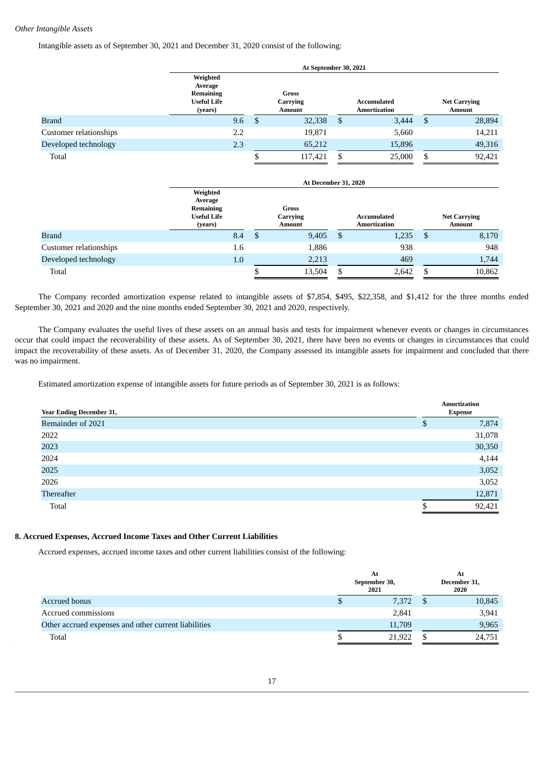### *Other Intangible Assets*

Intangible assets as of September 30, 2021 and December 31, 2020 consist of the following:

|                        |                                                                          | At September 30, 2021 |                             |    |                                    |     |                                      |  |  |  |  |
|------------------------|--------------------------------------------------------------------------|-----------------------|-----------------------------|----|------------------------------------|-----|--------------------------------------|--|--|--|--|
|                        | Weighted<br>Average<br><b>Remaining</b><br><b>Useful Life</b><br>(years) |                       | Gross<br>Carrying<br>Amount |    | Accumulated<br><b>Amortization</b> |     | <b>Net Carrying</b><br><b>Amount</b> |  |  |  |  |
| <b>Brand</b>           | 9.6                                                                      | S.                    | 32,338                      | -S | 3,444                              | -\$ | 28,894                               |  |  |  |  |
| Customer relationships | 2.2                                                                      |                       | 19,871                      |    | 5,660                              |     | 14,211                               |  |  |  |  |
| Developed technology   | 2.3                                                                      |                       | 65,212                      |    | 15,896                             |     | 49,316                               |  |  |  |  |
| Total                  |                                                                          | Φ                     | 117,421                     | \$ | 25,000                             | S   | 92,421                               |  |  |  |  |

|                        |                                                                   | <b>At December 31, 2020</b> |                                           |    |                                    |      |                                      |  |  |  |  |
|------------------------|-------------------------------------------------------------------|-----------------------------|-------------------------------------------|----|------------------------------------|------|--------------------------------------|--|--|--|--|
|                        | Weighted<br>Average<br>Remaining<br><b>Useful Life</b><br>(years) |                             | <b>Gross</b><br>Carrying<br><b>Amount</b> |    | Accumulated<br><b>Amortization</b> |      | <b>Net Carrying</b><br><b>Amount</b> |  |  |  |  |
| <b>Brand</b>           | 8.4                                                               | D                           | 9,405                                     | -S | 1,235                              | - \$ | 8,170                                |  |  |  |  |
| Customer relationships | 1.6                                                               |                             | 1,886                                     |    | 938                                |      | 948                                  |  |  |  |  |
| Developed technology   | 1.0                                                               |                             | 2,213                                     |    | 469                                |      | 1,744                                |  |  |  |  |
| Total                  |                                                                   |                             | 13,504                                    |    | 2,642                              |      | 10,862                               |  |  |  |  |

The Company recorded amortization expense related to intangible assets of \$7,854, \$495, \$22,358, and \$1,412 for the three months ended September 30, 2021 and 2020 and the nine months ended September 30, 2021 and 2020, respectively.

The Company evaluates the useful lives of these assets on an annual basis and tests for impairment whenever events or changes in circumstances occur that could impact the recoverability of these assets. As of September 30, 2021, there have been no events or changes in circumstances that could impact the recoverability of these assets. As of December 31, 2020, the Company assessed its intangible assets for impairment and concluded that there was no impairment.

Estimated amortization expense of intangible assets for future periods as of September 30, 2021 is as follows:

| <b>Year Ending December 31,</b> |   | <b>Amortization</b><br><b>Expense</b> |
|---------------------------------|---|---------------------------------------|
| Remainder of 2021               | Ф | 7,874                                 |
| 2022                            |   | 31,078                                |
| 2023                            |   | 30,350                                |
| 2024                            |   | 4,144                                 |
| 2025                            |   | 3,052                                 |
| 2026                            |   | 3,052                                 |
| Thereafter                      |   | 12,871                                |
| Total                           |   | 92,421                                |

#### **8. Accrued Expenses, Accrued Income Taxes and Other Current Liabilities**

Accrued expenses, accrued income taxes and other current liabilities consist of the following:

|                                                      | At<br>September 30,<br>2021 | At<br>December 31,<br>2020 |
|------------------------------------------------------|-----------------------------|----------------------------|
| Accrued bonus                                        | 7,372                       | 10,845                     |
| Accrued commissions                                  | 2,841                       | 3,941                      |
| Other accrued expenses and other current liabilities | 11,709                      | 9,965                      |
| Total                                                | 21,922                      | 24,751                     |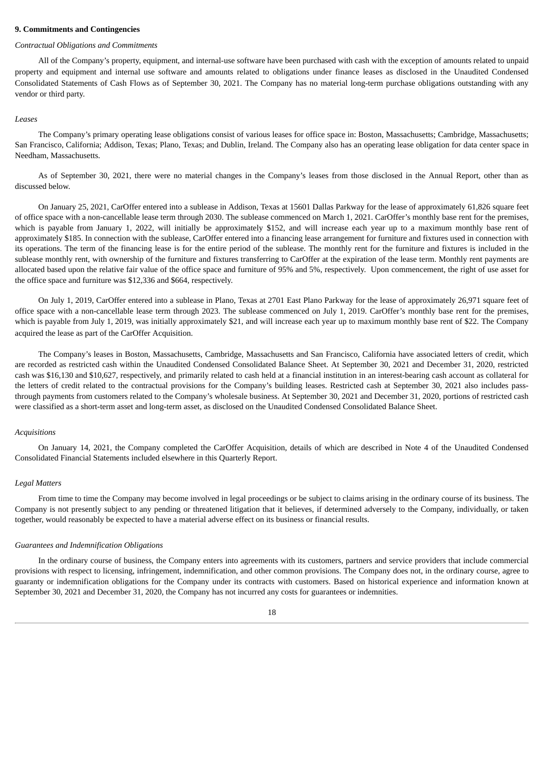#### **9. Commitments and Contingencies**

#### *Contractual Obligations and Commitments*

All of the Company's property, equipment, and internal-use software have been purchased with cash with the exception of amounts related to unpaid property and equipment and internal use software and amounts related to obligations under finance leases as disclosed in the Unaudited Condensed Consolidated Statements of Cash Flows as of September 30, 2021. The Company has no material long-term purchase obligations outstanding with any vendor or third party.

#### *Leases*

The Company's primary operating lease obligations consist of various leases for office space in: Boston, Massachusetts; Cambridge, Massachusetts; San Francisco, California; Addison, Texas; Plano, Texas; and Dublin, Ireland. The Company also has an operating lease obligation for data center space in Needham, Massachusetts.

As of September 30, 2021, there were no material changes in the Company's leases from those disclosed in the Annual Report, other than as discussed below.

On January 25, 2021, CarOffer entered into a sublease in Addison, Texas at 15601 Dallas Parkway for the lease of approximately 61,826 square feet of office space with a non-cancellable lease term through 2030. The sublease commenced on March 1, 2021. CarOffer's monthly base rent for the premises, which is payable from January 1, 2022, will initially be approximately \$152, and will increase each year up to a maximum monthly base rent of approximately \$185. In connection with the sublease, CarOffer entered into a financing lease arrangement for furniture and fixtures used in connection with its operations. The term of the financing lease is for the entire period of the sublease. The monthly rent for the furniture and fixtures is included in the sublease monthly rent, with ownership of the furniture and fixtures transferring to CarOffer at the expiration of the lease term. Monthly rent payments are allocated based upon the relative fair value of the office space and furniture of 95% and 5%, respectively. Upon commencement, the right of use asset for the office space and furniture was \$12,336 and \$664, respectively.

On July 1, 2019, CarOffer entered into a sublease in Plano, Texas at 2701 East Plano Parkway for the lease of approximately 26,971 square feet of office space with a non-cancellable lease term through 2023. The sublease commenced on July 1, 2019. CarOffer's monthly base rent for the premises, which is payable from July 1, 2019, was initially approximately \$21, and will increase each year up to maximum monthly base rent of \$22. The Company acquired the lease as part of the CarOffer Acquisition.

The Company's leases in Boston, Massachusetts, Cambridge, Massachusetts and San Francisco, California have associated letters of credit, which are recorded as restricted cash within the Unaudited Condensed Consolidated Balance Sheet. At September 30, 2021 and December 31, 2020, restricted cash was \$16,130 and \$10,627, respectively, and primarily related to cash held at a financial institution in an interest-bearing cash account as collateral for the letters of credit related to the contractual provisions for the Company's building leases. Restricted cash at September 30, 2021 also includes passthrough payments from customers related to the Company's wholesale business. At September 30, 2021 and December 31, 2020, portions of restricted cash were classified as a short-term asset and long-term asset, as disclosed on the Unaudited Condensed Consolidated Balance Sheet.

#### *Acquisitions*

On January 14, 2021, the Company completed the CarOffer Acquisition, details of which are described in Note 4 of the Unaudited Condensed Consolidated Financial Statements included elsewhere in this Quarterly Report.

#### *Legal Matters*

From time to time the Company may become involved in legal proceedings or be subject to claims arising in the ordinary course of its business. The Company is not presently subject to any pending or threatened litigation that it believes, if determined adversely to the Company, individually, or taken together, would reasonably be expected to have a material adverse effect on its business or financial results.

#### *Guarantees and Indemnification Obligations*

In the ordinary course of business, the Company enters into agreements with its customers, partners and service providers that include commercial provisions with respect to licensing, infringement, indemnification, and other common provisions. The Company does not, in the ordinary course, agree to guaranty or indemnification obligations for the Company under its contracts with customers. Based on historical experience and information known at September 30, 2021 and December 31, 2020, the Company has not incurred any costs for guarantees or indemnities.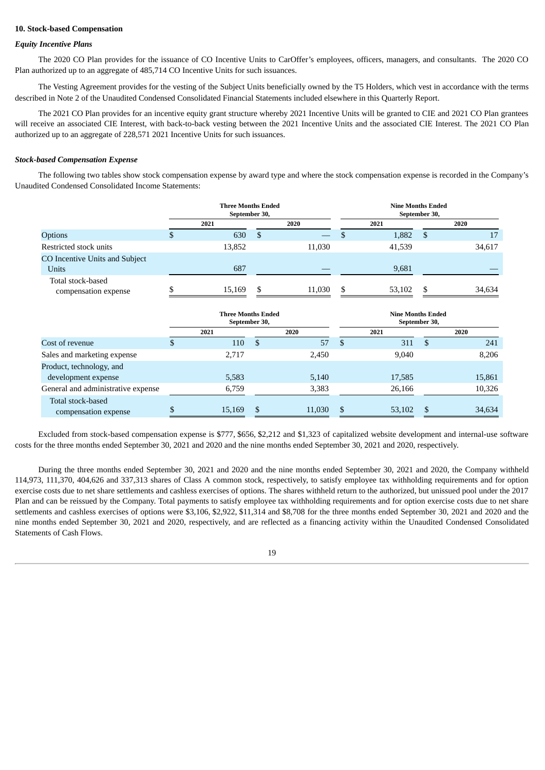#### **10. Stock-based Compensation**

#### *Equity Incentive Plans*

The 2020 CO Plan provides for the issuance of CO Incentive Units to CarOffer's employees, officers, managers, and consultants. The 2020 CO Plan authorized up to an aggregate of 485,714 CO Incentive Units for such issuances.

The Vesting Agreement provides for the vesting of the Subject Units beneficially owned by the T5 Holders, which vest in accordance with the terms described in Note 2 of the Unaudited Condensed Consolidated Financial Statements included elsewhere in this Quarterly Report.

The 2021 CO Plan provides for an incentive equity grant structure whereby 2021 Incentive Units will be granted to CIE and 2021 CO Plan grantees will receive an associated CIE Interest, with back-to-back vesting between the 2021 Incentive Units and the associated CIE Interest. The 2021 CO Plan authorized up to an aggregate of 228,571 2021 Incentive Units for such issuances.

#### *Stock-based Compensation Expense*

The following two tables show stock compensation expense by award type and where the stock compensation expense is recorded in the Company's Unaudited Condensed Consolidated Income Statements:

|                                           | <b>Three Months Ended</b><br>September 30, |    |        |     | <b>Nine Months Ended</b><br>September 30, |     |        |  |
|-------------------------------------------|--------------------------------------------|----|--------|-----|-------------------------------------------|-----|--------|--|
|                                           | 2021                                       |    | 2020   |     | 2021                                      |     | 2020   |  |
| <b>Options</b>                            | 630                                        | -S |        |     | 1,882                                     | \$  | 17     |  |
| Restricted stock units                    | 13,852                                     |    | 11,030 |     | 41,539                                    |     | 34,617 |  |
| CO Incentive Units and Subject<br>Units   | 687                                        |    |        |     | 9,681                                     |     |        |  |
| Total stock-based<br>compensation expense | 15,169                                     | \$ | 11.030 | \$. | 53,102                                    | \$. | 34,634 |  |

|                                           | <b>Three Months Ended</b><br>September 30, |    |        |    | <b>Nine Months Ended</b><br>September 30, |     |        |  |
|-------------------------------------------|--------------------------------------------|----|--------|----|-------------------------------------------|-----|--------|--|
|                                           | 2021                                       |    | 2020   |    | 2021                                      |     | 2020   |  |
| Cost of revenue                           | 110                                        | -S | 57     | S  | 311                                       | -S  | 241    |  |
| Sales and marketing expense               | 2.717                                      |    | 2,450  |    | 9,040                                     |     | 8,206  |  |
| Product, technology, and                  |                                            |    |        |    |                                           |     |        |  |
| development expense                       | 5,583                                      |    | 5,140  |    | 17,585                                    |     | 15,861 |  |
| General and administrative expense        | 6,759                                      |    | 3,383  |    | 26,166                                    |     | 10,326 |  |
| Total stock-based<br>compensation expense | 15,169                                     | -S | 11,030 | -S | 53,102                                    | \$. | 34,634 |  |

Excluded from stock-based compensation expense is \$777, \$656, \$2,212 and \$1,323 of capitalized website development and internal-use software costs for the three months ended September 30, 2021 and 2020 and the nine months ended September 30, 2021 and 2020, respectively.

During the three months ended September 30, 2021 and 2020 and the nine months ended September 30, 2021 and 2020, the Company withheld 114,973, 111,370, 404,626 and 337,313 shares of Class A common stock, respectively, to satisfy employee tax withholding requirements and for option exercise costs due to net share settlements and cashless exercises of options. The shares withheld return to the authorized, but unissued pool under the 2017 Plan and can be reissued by the Company. Total payments to satisfy employee tax withholding requirements and for option exercise costs due to net share settlements and cashless exercises of options were \$3,106, \$2,922, \$11,314 and \$8,708 for the three months ended September 30, 2021 and 2020 and the nine months ended September 30, 2021 and 2020, respectively, and are reflected as a financing activity within the Unaudited Condensed Consolidated Statements of Cash Flows.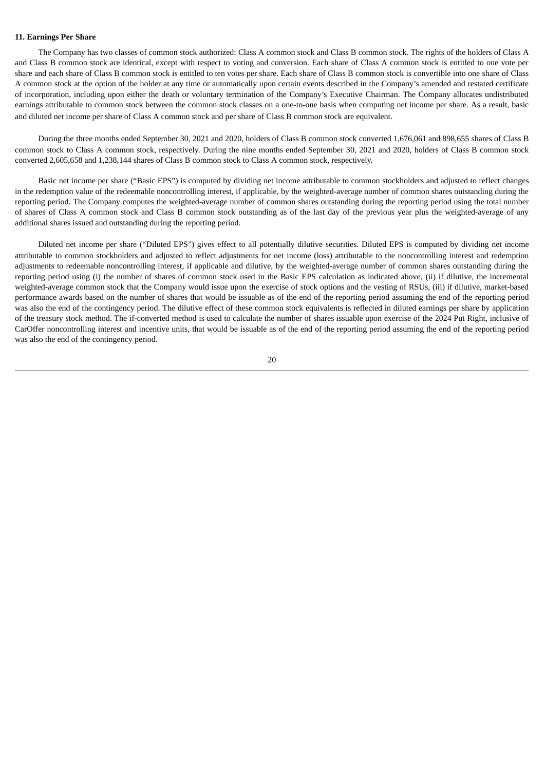### **11. Earnings Per Share**

The Company has two classes of common stock authorized: Class A common stock and Class B common stock. The rights of the holders of Class A and Class B common stock are identical, except with respect to voting and conversion. Each share of Class A common stock is entitled to one vote per share and each share of Class B common stock is entitled to ten votes per share. Each share of Class B common stock is convertible into one share of Class A common stock at the option of the holder at any time or automatically upon certain events described in the Company's amended and restated certificate of incorporation, including upon either the death or voluntary termination of the Company's Executive Chairman. The Company allocates undistributed earnings attributable to common stock between the common stock classes on a one-to-one basis when computing net income per share. As a result, basic and diluted net income per share of Class A common stock and per share of Class B common stock are equivalent.

During the three months ended September 30, 2021 and 2020, holders of Class B common stock converted 1,676,061 and 898,655 shares of Class B common stock to Class A common stock, respectively. During the nine months ended September 30, 2021 and 2020, holders of Class B common stock converted 2,605,658 and 1,238,144 shares of Class B common stock to Class A common stock, respectively.

Basic net income per share ("Basic EPS") is computed by dividing net income attributable to common stockholders and adjusted to reflect changes in the redemption value of the redeemable noncontrolling interest, if applicable, by the weighted-average number of common shares outstanding during the reporting period. The Company computes the weighted-average number of common shares outstanding during the reporting period using the total number of shares of Class A common stock and Class B common stock outstanding as of the last day of the previous year plus the weighted-average of any additional shares issued and outstanding during the reporting period.

Diluted net income per share ("Diluted EPS") gives effect to all potentially dilutive securities. Diluted EPS is computed by dividing net income attributable to common stockholders and adjusted to reflect adjustments for net income (loss) attributable to the noncontrolling interest and redemption adjustments to redeemable noncontrolling interest, if applicable and dilutive, by the weighted-average number of common shares outstanding during the reporting period using (i) the number of shares of common stock used in the Basic EPS calculation as indicated above, (ii) if dilutive, the incremental weighted-average common stock that the Company would issue upon the exercise of stock options and the vesting of RSUs, (iii) if dilutive, market-based performance awards based on the number of shares that would be issuable as of the end of the reporting period assuming the end of the reporting period was also the end of the contingency period. The dilutive effect of these common stock equivalents is reflected in diluted earnings per share by application of the treasury stock method. The if-converted method is used to calculate the number of shares issuable upon exercise of the 2024 Put Right, inclusive of CarOffer noncontrolling interest and incentive units, that would be issuable as of the end of the reporting period assuming the end of the reporting period was also the end of the contingency period.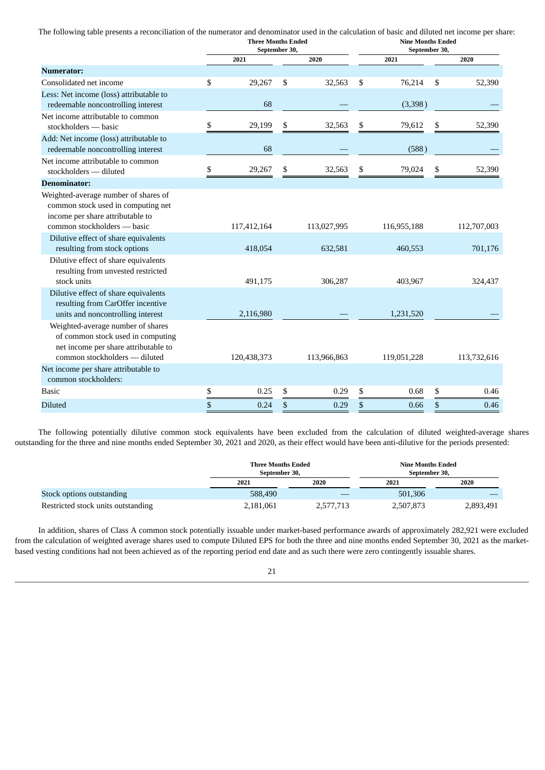The following table presents a reconciliation of the numerator and denominator used in the calculation of basic and diluted net income per share: **Three Months Ended Nine Months Ended**

|                                                                                                                                                 | September 30, |              | September 30, |    |             |  |
|-------------------------------------------------------------------------------------------------------------------------------------------------|---------------|--------------|---------------|----|-------------|--|
|                                                                                                                                                 | 2021          | 2020         | 2021          |    | 2020        |  |
| <b>Numerator:</b>                                                                                                                               |               |              |               |    |             |  |
| Consolidated net income                                                                                                                         | \$<br>29,267  | \$<br>32,563 | \$<br>76,214  | \$ | 52,390      |  |
| Less: Net income (loss) attributable to                                                                                                         |               |              |               |    |             |  |
| redeemable noncontrolling interest                                                                                                              | 68            |              | (3,398)       |    |             |  |
| Net income attributable to common                                                                                                               |               |              |               |    |             |  |
| stockholders — basic                                                                                                                            | \$<br>29,199  | \$<br>32,563 | \$<br>79,612  | \$ | 52,390      |  |
| Add: Net income (loss) attributable to                                                                                                          |               |              |               |    |             |  |
| redeemable noncontrolling interest                                                                                                              | 68            |              | (588)         |    |             |  |
| Net income attributable to common<br>stockholders - diluted                                                                                     | \$<br>29,267  | \$<br>32,563 | \$<br>79,024  | \$ | 52,390      |  |
| <b>Denominator:</b>                                                                                                                             |               |              |               |    |             |  |
| Weighted-average number of shares of<br>common stock used in computing net<br>income per share attributable to                                  |               |              |               |    |             |  |
| common stockholders - basic                                                                                                                     | 117,412,164   | 113,027,995  | 116,955,188   |    | 112,707,003 |  |
| Dilutive effect of share equivalents                                                                                                            |               |              |               |    |             |  |
| resulting from stock options                                                                                                                    | 418,054       | 632,581      | 460,553       |    | 701,176     |  |
| Dilutive effect of share equivalents<br>resulting from unvested restricted<br>stock units                                                       | 491,175       | 306,287      | 403,967       |    | 324,437     |  |
| Dilutive effect of share equivalents                                                                                                            |               |              |               |    |             |  |
| resulting from CarOffer incentive<br>units and noncontrolling interest                                                                          | 2,116,980     |              | 1,231,520     |    |             |  |
| Weighted-average number of shares<br>of common stock used in computing<br>net income per share attributable to<br>common stockholders - diluted | 120,438,373   | 113,966,863  | 119,051,228   |    | 113,732,616 |  |
| Net income per share attributable to                                                                                                            |               |              |               |    |             |  |
| common stockholders:                                                                                                                            |               |              |               |    |             |  |
| <b>Basic</b>                                                                                                                                    | \$<br>0.25    | \$<br>0.29   | \$<br>0.68    | \$ | 0.46        |  |
| <b>Diluted</b>                                                                                                                                  | \$<br>0.24    | \$<br>0.29   | \$<br>0.66    | \$ | 0.46        |  |

The following potentially dilutive common stock equivalents have been excluded from the calculation of diluted weighted-average shares outstanding for the three and nine months ended September 30, 2021 and 2020, as their effect would have been anti-dilutive for the periods presented:

|                                    | <b>Three Months Ended</b><br>September 30, |           | <b>Nine Months Ended</b><br>September 30, |           |  |
|------------------------------------|--------------------------------------------|-----------|-------------------------------------------|-----------|--|
|                                    | 2021                                       | 2020      | 2021                                      | 2020      |  |
| Stock options outstanding          | 588,490                                    |           | 501,306                                   |           |  |
| Restricted stock units outstanding | 2,181,061                                  | 2,577,713 | 2,507,873                                 | 2,893,491 |  |

In addition, shares of Class A common stock potentially issuable under market-based performance awards of approximately 282,921 were excluded from the calculation of weighted average shares used to compute Diluted EPS for both the three and nine months ended September 30, 2021 as the marketbased vesting conditions had not been achieved as of the reporting period end date and as such there were zero contingently issuable shares.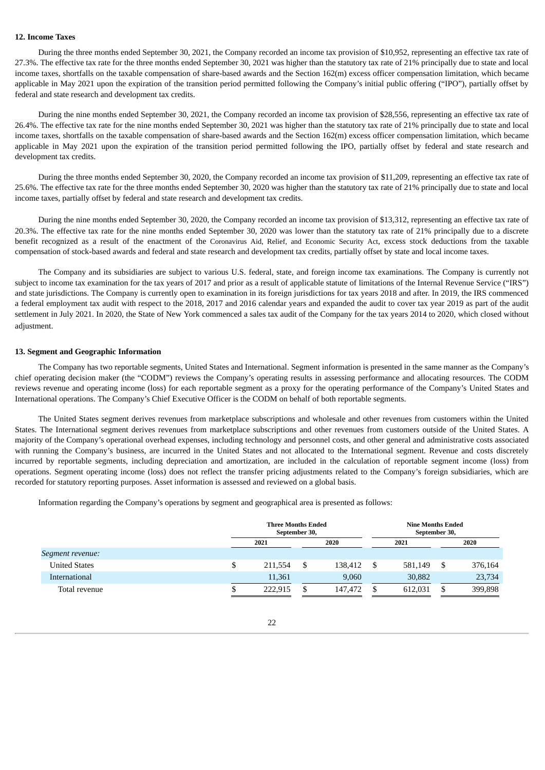### **12. Income Taxes**

During the three months ended September 30, 2021, the Company recorded an income tax provision of \$10,952, representing an effective tax rate of 27.3%. The effective tax rate for the three months ended September 30, 2021 was higher than the statutory tax rate of 21% principally due to state and local income taxes, shortfalls on the taxable compensation of share-based awards and the Section 162(m) excess officer compensation limitation, which became applicable in May 2021 upon the expiration of the transition period permitted following the Company's initial public offering ("IPO"), partially offset by federal and state research and development tax credits.

During the nine months ended September 30, 2021, the Company recorded an income tax provision of \$28,556, representing an effective tax rate of 26.4%. The effective tax rate for the nine months ended September 30, 2021 was higher than the statutory tax rate of 21% principally due to state and local income taxes, shortfalls on the taxable compensation of share-based awards and the Section 162(m) excess officer compensation limitation, which became applicable in May 2021 upon the expiration of the transition period permitted following the IPO, partially offset by federal and state research and development tax credits.

During the three months ended September 30, 2020, the Company recorded an income tax provision of \$11,209, representing an effective tax rate of 25.6%. The effective tax rate for the three months ended September 30, 2020 was higher than the statutory tax rate of 21% principally due to state and local income taxes, partially offset by federal and state research and development tax credits.

During the nine months ended September 30, 2020, the Company recorded an income tax provision of \$13,312, representing an effective tax rate of 20.3%. The effective tax rate for the nine months ended September 30, 2020 was lower than the statutory tax rate of 21% principally due to a discrete benefit recognized as a result of the enactment of the Coronavirus Aid, Relief, and Economic Security Act, excess stock deductions from the taxable compensation of stock-based awards and federal and state research and development tax credits, partially offset by state and local income taxes.

The Company and its subsidiaries are subject to various U.S. federal, state, and foreign income tax examinations. The Company is currently not subject to income tax examination for the tax years of 2017 and prior as a result of applicable statute of limitations of the Internal Revenue Service ("IRS") and state jurisdictions. The Company is currently open to examination in its foreign jurisdictions for tax years 2018 and after. In 2019, the IRS commenced a federal employment tax audit with respect to the 2018, 2017 and 2016 calendar years and expanded the audit to cover tax year 2019 as part of the audit settlement in July 2021. In 2020, the State of New York commenced a sales tax audit of the Company for the tax years 2014 to 2020, which closed without adjustment.

#### **13. Segment and Geographic Information**

The Company has two reportable segments, United States and International. Segment information is presented in the same manner as the Company's chief operating decision maker (the "CODM") reviews the Company's operating results in assessing performance and allocating resources. The CODM reviews revenue and operating income (loss) for each reportable segment as a proxy for the operating performance of the Company's United States and International operations. The Company's Chief Executive Officer is the CODM on behalf of both reportable segments.

The United States segment derives revenues from marketplace subscriptions and wholesale and other revenues from customers within the United States. The International segment derives revenues from marketplace subscriptions and other revenues from customers outside of the United States. A majority of the Company's operational overhead expenses, including technology and personnel costs, and other general and administrative costs associated with running the Company's business, are incurred in the United States and not allocated to the International segment. Revenue and costs discretely incurred by reportable segments, including depreciation and amortization, are included in the calculation of reportable segment income (loss) from operations. Segment operating income (loss) does not reflect the transfer pricing adjustments related to the Company's foreign subsidiaries, which are recorded for statutory reporting purposes. Asset information is assessed and reviewed on a global basis.

Information regarding the Company's operations by segment and geographical area is presented as follows:

|                      | <b>Three Months Ended</b><br>September 30, |    |         |      | <b>Nine Months Ended</b><br>September 30, |      |         |
|----------------------|--------------------------------------------|----|---------|------|-------------------------------------------|------|---------|
|                      | 2021                                       |    | 2020    |      | 2021                                      | 2020 |         |
| Segment revenue:     |                                            |    |         |      |                                           |      |         |
| <b>United States</b> | \$<br>211,554                              | -S | 138,412 | - \$ | 581,149                                   |      | 376,164 |
| International        | 11,361                                     |    | 9.060   |      | 30,882                                    |      | 23,734  |
| Total revenue        | 222.915                                    |    | 147,472 |      | 612.031                                   |      | 399,898 |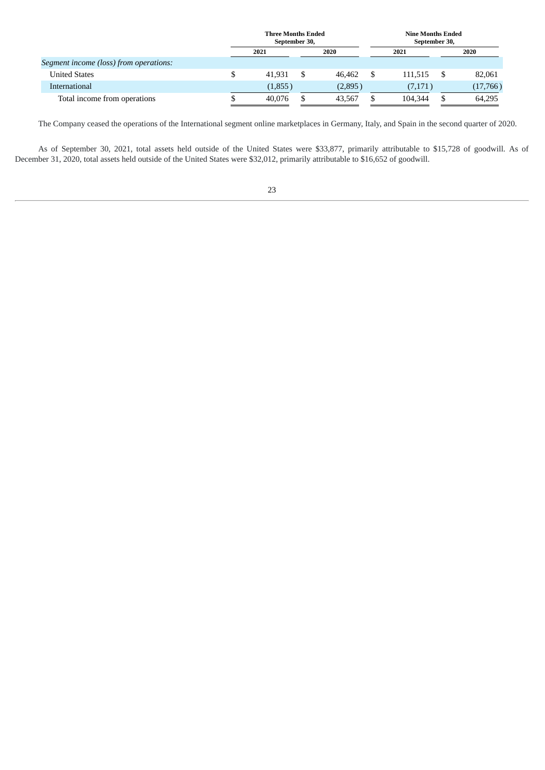|                                        | <b>Three Months Ended</b><br>September 30, |  | <b>Nine Months Ended</b><br>September 30, |         |  |          |
|----------------------------------------|--------------------------------------------|--|-------------------------------------------|---------|--|----------|
|                                        | 2021                                       |  | 2020                                      | 2021    |  | 2020     |
| Segment income (loss) from operations: |                                            |  |                                           |         |  |          |
| <b>United States</b>                   | 41.931                                     |  | 46.462                                    | 111.515 |  | 82,061   |
| International                          | (1,855)                                    |  | (2,895)                                   | (7,171) |  | (17,766) |
| Total income from operations           | 40.076                                     |  | 43,567                                    | 104.344 |  | 64,295   |

The Company ceased the operations of the International segment online marketplaces in Germany, Italy, and Spain in the second quarter of 2020.

As of September 30, 2021, total assets held outside of the United States were \$33,877, primarily attributable to \$15,728 of goodwill. As of December 31, 2020, total assets held outside of the United States were \$32,012, primarily attributable to \$16,652 of goodwill.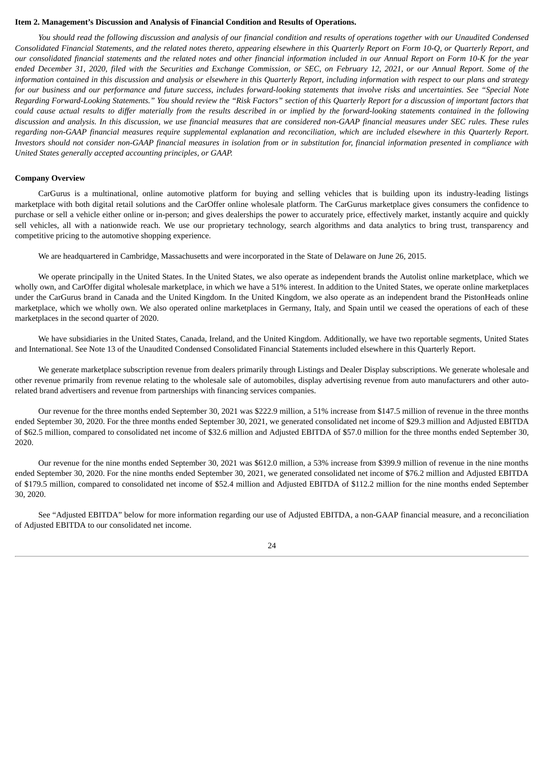#### <span id="page-27-0"></span>**Item 2. Management's Discussion and Analysis of Financial Condition and Results of Operations.**

You should read the following discussion and analysis of our financial condition and results of operations together with our Unaudited Condensed Consolidated Financial Statements, and the related notes thereto, appearing elsewhere in this Quarterly Report on Form 10-Q, or Quarterly Report, and our consolidated financial statements and the related notes and other financial information included in our Annual Report on Form 10-K for the year ended December 31, 2020, filed with the Securities and Exchange Commission, or SEC, on February 12, 2021, or our Annual Report. Some of the information contained in this discussion and analysis or elsewhere in this Quarterly Report, including information with respect to our plans and strategy for our business and our performance and future success, includes forward-looking statements that involve risks and uncertainties. See "Special Note Regarding Forward-Looking Statements." You should review the "Risk Factors" section of this Quarterly Report for a discussion of important factors that could cause actual results to differ materially from the results described in or implied by the forward-looking statements contained in the following discussion and analysis. In this discussion, we use financial measures that are considered non-GAAP financial measures under SEC rules. These rules regarding non-GAAP financial measures require supplemental explanation and reconciliation, which are included elsewhere in this Quarterly Report. Investors should not consider non-GAAP financial measures in isolation from or in substitution for, financial information presented in compliance with *United States generally accepted accounting principles, or GAAP.*

#### **Company Overview**

CarGurus is a multinational, online automotive platform for buying and selling vehicles that is building upon its industry-leading listings marketplace with both digital retail solutions and the CarOffer online wholesale platform. The CarGurus marketplace gives consumers the confidence to purchase or sell a vehicle either online or in-person; and gives dealerships the power to accurately price, effectively market, instantly acquire and quickly sell vehicles, all with a nationwide reach. We use our proprietary technology, search algorithms and data analytics to bring trust, transparency and competitive pricing to the automotive shopping experience.

We are headquartered in Cambridge, Massachusetts and were incorporated in the State of Delaware on June 26, 2015.

We operate principally in the United States. In the United States, we also operate as independent brands the Autolist online marketplace, which we wholly own, and CarOffer digital wholesale marketplace, in which we have a 51% interest. In addition to the United States, we operate online marketplaces under the CarGurus brand in Canada and the United Kingdom. In the United Kingdom, we also operate as an independent brand the PistonHeads online marketplace, which we wholly own. We also operated online marketplaces in Germany, Italy, and Spain until we ceased the operations of each of these marketplaces in the second quarter of 2020.

We have subsidiaries in the United States, Canada, Ireland, and the United Kingdom. Additionally, we have two reportable segments, United States and International. See Note 13 of the Unaudited Condensed Consolidated Financial Statements included elsewhere in this Quarterly Report.

We generate marketplace subscription revenue from dealers primarily through Listings and Dealer Display subscriptions. We generate wholesale and other revenue primarily from revenue relating to the wholesale sale of automobiles, display advertising revenue from auto manufacturers and other autorelated brand advertisers and revenue from partnerships with financing services companies.

Our revenue for the three months ended September 30, 2021 was \$222.9 million, a 51% increase from \$147.5 million of revenue in the three months ended September 30, 2020. For the three months ended September 30, 2021, we generated consolidated net income of \$29.3 million and Adjusted EBITDA of \$62.5 million, compared to consolidated net income of \$32.6 million and Adjusted EBITDA of \$57.0 million for the three months ended September 30, 2020.

Our revenue for the nine months ended September 30, 2021 was \$612.0 million, a 53% increase from \$399.9 million of revenue in the nine months ended September 30, 2020. For the nine months ended September 30, 2021, we generated consolidated net income of \$76.2 million and Adjusted EBITDA of \$179.5 million, compared to consolidated net income of \$52.4 million and Adjusted EBITDA of \$112.2 million for the nine months ended September 30, 2020.

See "Adjusted EBITDA" below for more information regarding our use of Adjusted EBITDA, a non-GAAP financial measure, and a reconciliation of Adjusted EBITDA to our consolidated net income.

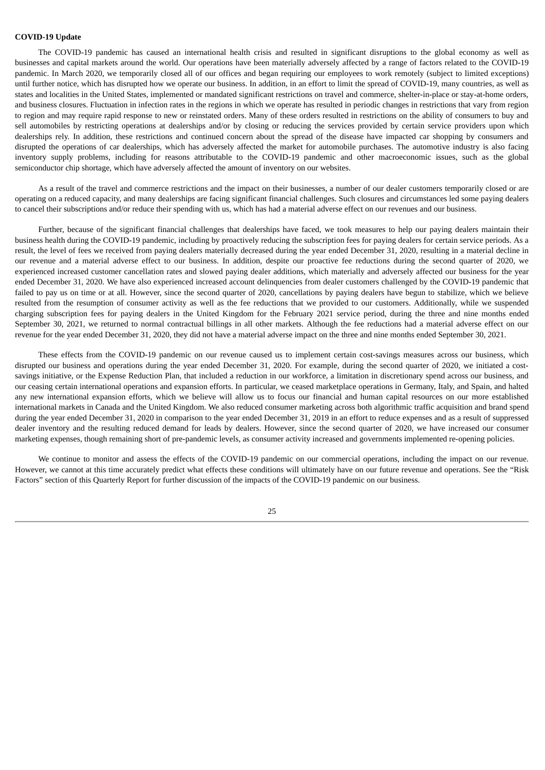#### **COVID-19 Update**

The COVID-19 pandemic has caused an international health crisis and resulted in significant disruptions to the global economy as well as businesses and capital markets around the world. Our operations have been materially adversely affected by a range of factors related to the COVID-19 pandemic. In March 2020, we temporarily closed all of our offices and began requiring our employees to work remotely (subject to limited exceptions) until further notice, which has disrupted how we operate our business. In addition, in an effort to limit the spread of COVID-19, many countries, as well as states and localities in the United States, implemented or mandated significant restrictions on travel and commerce, shelter-in-place or stay-at-home orders, and business closures. Fluctuation in infection rates in the regions in which we operate has resulted in periodic changes in restrictions that vary from region to region and may require rapid response to new or reinstated orders. Many of these orders resulted in restrictions on the ability of consumers to buy and sell automobiles by restricting operations at dealerships and/or by closing or reducing the services provided by certain service providers upon which dealerships rely. In addition, these restrictions and continued concern about the spread of the disease have impacted car shopping by consumers and disrupted the operations of car dealerships, which has adversely affected the market for automobile purchases. The automotive industry is also facing inventory supply problems, including for reasons attributable to the COVID-19 pandemic and other macroeconomic issues, such as the global semiconductor chip shortage, which have adversely affected the amount of inventory on our websites.

As a result of the travel and commerce restrictions and the impact on their businesses, a number of our dealer customers temporarily closed or are operating on a reduced capacity, and many dealerships are facing significant financial challenges. Such closures and circumstances led some paying dealers to cancel their subscriptions and/or reduce their spending with us, which has had a material adverse effect on our revenues and our business.

Further, because of the significant financial challenges that dealerships have faced, we took measures to help our paying dealers maintain their business health during the COVID-19 pandemic, including by proactively reducing the subscription fees for paying dealers for certain service periods. As a result, the level of fees we received from paying dealers materially decreased during the year ended December 31, 2020, resulting in a material decline in our revenue and a material adverse effect to our business. In addition, despite our proactive fee reductions during the second quarter of 2020, we experienced increased customer cancellation rates and slowed paying dealer additions, which materially and adversely affected our business for the year ended December 31, 2020. We have also experienced increased account delinquencies from dealer customers challenged by the COVID-19 pandemic that failed to pay us on time or at all. However, since the second quarter of 2020, cancellations by paying dealers have begun to stabilize, which we believe resulted from the resumption of consumer activity as well as the fee reductions that we provided to our customers. Additionally, while we suspended charging subscription fees for paying dealers in the United Kingdom for the February 2021 service period, during the three and nine months ended September 30, 2021, we returned to normal contractual billings in all other markets. Although the fee reductions had a material adverse effect on our revenue for the year ended December 31, 2020, they did not have a material adverse impact on the three and nine months ended September 30, 2021.

These effects from the COVID-19 pandemic on our revenue caused us to implement certain cost-savings measures across our business, which disrupted our business and operations during the year ended December 31, 2020. For example, during the second quarter of 2020, we initiated a costsavings initiative, or the Expense Reduction Plan, that included a reduction in our workforce, a limitation in discretionary spend across our business, and our ceasing certain international operations and expansion efforts. In particular, we ceased marketplace operations in Germany, Italy, and Spain, and halted any new international expansion efforts, which we believe will allow us to focus our financial and human capital resources on our more established international markets in Canada and the United Kingdom. We also reduced consumer marketing across both algorithmic traffic acquisition and brand spend during the year ended December 31, 2020 in comparison to the year ended December 31, 2019 in an effort to reduce expenses and as a result of suppressed dealer inventory and the resulting reduced demand for leads by dealers. However, since the second quarter of 2020, we have increased our consumer marketing expenses, though remaining short of pre-pandemic levels, as consumer activity increased and governments implemented re-opening policies.

We continue to monitor and assess the effects of the COVID-19 pandemic on our commercial operations, including the impact on our revenue. However, we cannot at this time accurately predict what effects these conditions will ultimately have on our future revenue and operations. See the "Risk Factors" section of this Quarterly Report for further discussion of the impacts of the COVID-19 pandemic on our business.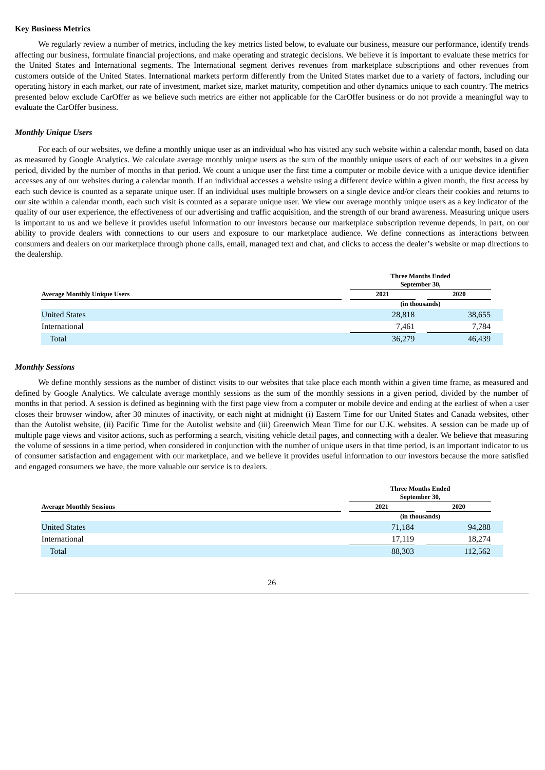#### **Key Business Metrics**

We regularly review a number of metrics, including the key metrics listed below, to evaluate our business, measure our performance, identify trends affecting our business, formulate financial projections, and make operating and strategic decisions. We believe it is important to evaluate these metrics for the United States and International segments. The International segment derives revenues from marketplace subscriptions and other revenues from customers outside of the United States. International markets perform differently from the United States market due to a variety of factors, including our operating history in each market, our rate of investment, market size, market maturity, competition and other dynamics unique to each country. The metrics presented below exclude CarOffer as we believe such metrics are either not applicable for the CarOffer business or do not provide a meaningful way to evaluate the CarOffer business.

#### *Monthly Unique Users*

For each of our websites, we define a monthly unique user as an individual who has visited any such website within a calendar month, based on data as measured by Google Analytics. We calculate average monthly unique users as the sum of the monthly unique users of each of our websites in a given period, divided by the number of months in that period. We count a unique user the first time a computer or mobile device with a unique device identifier accesses any of our websites during a calendar month. If an individual accesses a website using a different device within a given month, the first access by each such device is counted as a separate unique user. If an individual uses multiple browsers on a single device and/or clears their cookies and returns to our site within a calendar month, each such visit is counted as a separate unique user. We view our average monthly unique users as a key indicator of the quality of our user experience, the effectiveness of our advertising and traffic acquisition, and the strength of our brand awareness. Measuring unique users is important to us and we believe it provides useful information to our investors because our marketplace subscription revenue depends, in part, on our ability to provide dealers with connections to our users and exposure to our marketplace audience. We define connections as interactions between consumers and dealers on our marketplace through phone calls, email, managed text and chat, and clicks to access the dealer's website or map directions to the dealership.

|                                     | <b>Three Months Ended</b><br>September 30, |        |  |  |
|-------------------------------------|--------------------------------------------|--------|--|--|
| <b>Average Monthly Unique Users</b> | 2021                                       | 2020   |  |  |
|                                     | (in thousands)                             |        |  |  |
| <b>United States</b>                | 28,818                                     | 38,655 |  |  |
| International                       | 7,461                                      | 7,784  |  |  |
| <b>Total</b>                        | 36,279                                     | 46,439 |  |  |

#### *Monthly Sessions*

We define monthly sessions as the number of distinct visits to our websites that take place each month within a given time frame, as measured and defined by Google Analytics. We calculate average monthly sessions as the sum of the monthly sessions in a given period, divided by the number of months in that period. A session is defined as beginning with the first page view from a computer or mobile device and ending at the earliest of when a user closes their browser window, after 30 minutes of inactivity, or each night at midnight (i) Eastern Time for our United States and Canada websites, other than the Autolist website, (ii) Pacific Time for the Autolist website and (iii) Greenwich Mean Time for our U.K. websites. A session can be made up of multiple page views and visitor actions, such as performing a search, visiting vehicle detail pages, and connecting with a dealer. We believe that measuring the volume of sessions in a time period, when considered in conjunction with the number of unique users in that time period, is an important indicator to us of consumer satisfaction and engagement with our marketplace, and we believe it provides useful information to our investors because the more satisfied and engaged consumers we have, the more valuable our service is to dealers.

|                                 | <b>Three Months Ended</b><br>September 30, |         |  |
|---------------------------------|--------------------------------------------|---------|--|
| <b>Average Monthly Sessions</b> | 2021                                       | 2020    |  |
|                                 | (in thousands)                             |         |  |
| <b>United States</b>            | 71,184                                     | 94,288  |  |
| International                   | 17,119                                     | 18,274  |  |
| Total                           | 88,303                                     | 112,562 |  |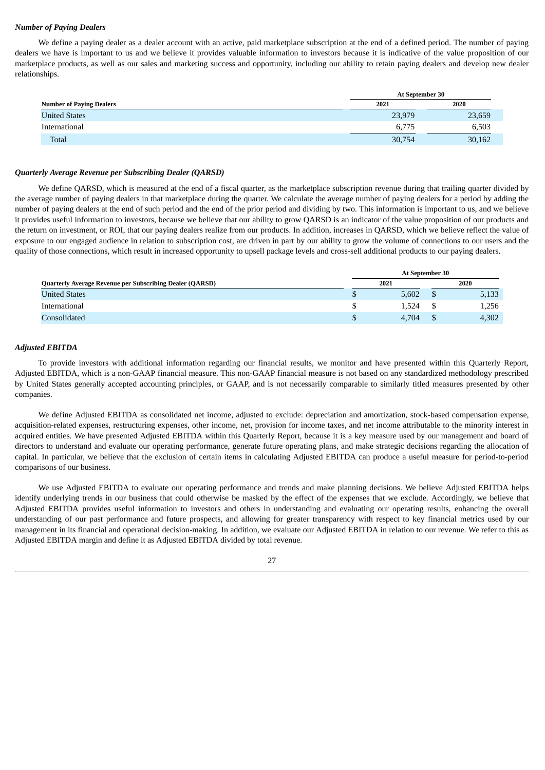#### *Number of Paying Dealers*

We define a paying dealer as a dealer account with an active, paid marketplace subscription at the end of a defined period. The number of paying dealers we have is important to us and we believe it provides valuable information to investors because it is indicative of the value proposition of our marketplace products, as well as our sales and marketing success and opportunity, including our ability to retain paying dealers and develop new dealer relationships.

|                                 |        | <b>At September 30</b> |  |  |  |  |  |  |
|---------------------------------|--------|------------------------|--|--|--|--|--|--|
| <b>Number of Paying Dealers</b> | 2021   | 2020                   |  |  |  |  |  |  |
| <b>United States</b>            | 23,979 | 23,659                 |  |  |  |  |  |  |
| International                   | 6.775  | 6,503                  |  |  |  |  |  |  |
| Total                           | 30,754 | 30,162                 |  |  |  |  |  |  |

#### *Quarterly Average Revenue per Subscribing Dealer (QARSD)*

We define QARSD, which is measured at the end of a fiscal quarter, as the marketplace subscription revenue during that trailing quarter divided by the average number of paying dealers in that marketplace during the quarter. We calculate the average number of paying dealers for a period by adding the number of paying dealers at the end of such period and the end of the prior period and dividing by two. This information is important to us, and we believe it provides useful information to investors, because we believe that our ability to grow QARSD is an indicator of the value proposition of our products and the return on investment, or ROI, that our paying dealers realize from our products. In addition, increases in QARSD, which we believe reflect the value of exposure to our engaged audience in relation to subscription cost, are driven in part by our ability to grow the volume of connections to our users and the quality of those connections, which result in increased opportunity to upsell package levels and cross-sell additional products to our paying dealers.

|                                                                 | <b>At September 30</b> |       |  |       |  |  |
|-----------------------------------------------------------------|------------------------|-------|--|-------|--|--|
| <b>Quarterly Average Revenue per Subscribing Dealer (QARSD)</b> |                        | 2021  |  | 2020  |  |  |
| <b>United States</b>                                            |                        | 5,602 |  | 5,133 |  |  |
| International                                                   |                        | 1.524 |  | 1,256 |  |  |
| Consolidated                                                    |                        | 4.704 |  | 4,302 |  |  |

#### *Adjusted EBITDA*

To provide investors with additional information regarding our financial results, we monitor and have presented within this Quarterly Report, Adjusted EBITDA, which is a non‑GAAP financial measure. This non‑GAAP financial measure is not based on any standardized methodology prescribed by United States generally accepted accounting principles, or GAAP, and is not necessarily comparable to similarly titled measures presented by other companies.

We define Adjusted EBITDA as consolidated net income, adjusted to exclude: depreciation and amortization, stock-based compensation expense, acquisition-related expenses, restructuring expenses, other income, net, provision for income taxes, and net income attributable to the minority interest in acquired entities. We have presented Adjusted EBITDA within this Quarterly Report, because it is a key measure used by our management and board of directors to understand and evaluate our operating performance, generate future operating plans, and make strategic decisions regarding the allocation of capital. In particular, we believe that the exclusion of certain items in calculating Adjusted EBITDA can produce a useful measure for period-to-period comparisons of our business.

We use Adjusted EBITDA to evaluate our operating performance and trends and make planning decisions. We believe Adjusted EBITDA helps identify underlying trends in our business that could otherwise be masked by the effect of the expenses that we exclude. Accordingly, we believe that Adjusted EBITDA provides useful information to investors and others in understanding and evaluating our operating results, enhancing the overall understanding of our past performance and future prospects, and allowing for greater transparency with respect to key financial metrics used by our management in its financial and operational decision-making. In addition, we evaluate our Adjusted EBITDA in relation to our revenue. We refer to this as Adjusted EBITDA margin and define it as Adjusted EBITDA divided by total revenue.

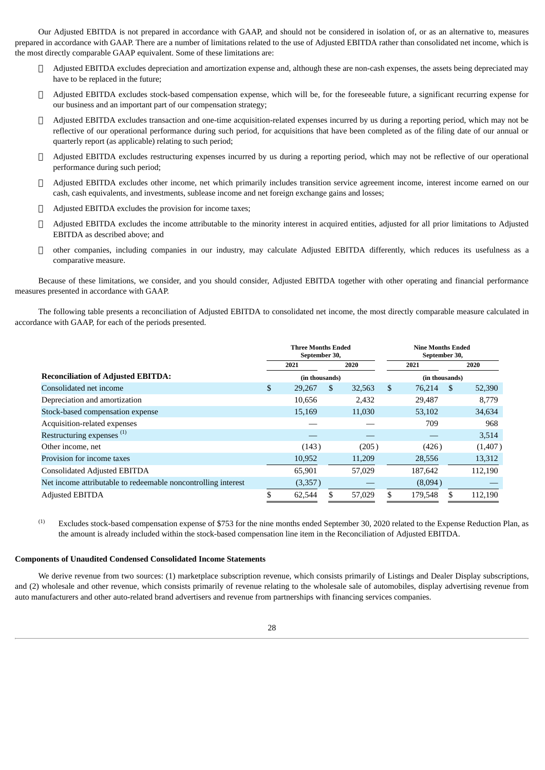Our Adjusted EBITDA is not prepared in accordance with GAAP, and should not be considered in isolation of, or as an alternative to, measures prepared in accordance with GAAP. There are a number of limitations related to the use of Adjusted EBITDA rather than consolidated net income, which is the most directly comparable GAAP equivalent. Some of these limitations are:

- □ Adjusted EBITDA excludes depreciation and amortization expense and, although these are non-cash expenses, the assets being depreciated may have to be replaced in the future;
- Adjusted EBITDA excludes stock‑based compensation expense, which will be, for the foreseeable future, a significant recurring expense for our business and an important part of our compensation strategy;
- Adjusted EBITDA excludes transaction and one-time acquisition-related expenses incurred by us during a reporting period, which may not be reflective of our operational performance during such period, for acquisitions that have been completed as of the filing date of our annual or quarterly report (as applicable) relating to such period;
- $\Box$  Adjusted EBITDA excludes restructuring expenses incurred by us during a reporting period, which may not be reflective of our operational performance during such period;
- Adjusted EBITDA excludes other income, net which primarily includes transition service agreement income, interest income earned on our cash, cash equivalents, and investments, sublease income and net foreign exchange gains and losses;
- Adjusted EBITDA excludes the provision for income taxes;
- Adjusted EBITDA excludes the income attributable to the minority interest in acquired entities, adjusted for all prior limitations to Adjusted EBITDA as described above; and
- other companies, including companies in our industry, may calculate Adjusted EBITDA differently, which reduces its usefulness as a comparative measure.

Because of these limitations, we consider, and you should consider, Adjusted EBITDA together with other operating and financial performance measures presented in accordance with GAAP.

The following table presents a reconciliation of Adjusted EBITDA to consolidated net income, the most directly comparable measure calculated in accordance with GAAP, for each of the periods presented.

|                                                               |              |                | <b>Three Months Ended</b><br>September 30, |        |      |                | <b>Nine Months Ended</b><br>September 30, |         |  |  |  |
|---------------------------------------------------------------|--------------|----------------|--------------------------------------------|--------|------|----------------|-------------------------------------------|---------|--|--|--|
|                                                               | 2020<br>2021 |                |                                            |        | 2021 |                |                                           | 2020    |  |  |  |
| <b>Reconciliation of Adjusted EBITDA:</b>                     |              | (in thousands) |                                            |        |      | (in thousands) |                                           |         |  |  |  |
| Consolidated net income                                       | \$           | 29,267         | \$                                         | 32,563 | \$   | 76,214         | \$.                                       | 52,390  |  |  |  |
| Depreciation and amortization                                 |              | 10,656         |                                            | 2,432  |      | 29,487         |                                           | 8.779   |  |  |  |
| Stock-based compensation expense                              |              | 15,169         |                                            | 11,030 |      | 53,102         |                                           | 34,634  |  |  |  |
| Acquisition-related expenses                                  |              |                |                                            |        |      | 709            |                                           | 968     |  |  |  |
| Restructuring expenses <sup>(1)</sup>                         |              |                |                                            |        |      |                |                                           | 3,514   |  |  |  |
| Other income, net                                             |              | (143)          |                                            | (205)  |      | (426)          |                                           | (1,407) |  |  |  |
| Provision for income taxes                                    |              | 10,952         |                                            | 11,209 |      | 28,556         |                                           | 13,312  |  |  |  |
| <b>Consolidated Adjusted EBITDA</b>                           |              | 65,901         |                                            | 57,029 |      | 187,642        |                                           | 112,190 |  |  |  |
| Net income attributable to redeemable noncontrolling interest |              | (3,357)        |                                            |        |      | (8,094)        |                                           |         |  |  |  |
| <b>Adjusted EBITDA</b>                                        |              | 62,544         |                                            | 57,029 | S    | 179,548        |                                           | 112,190 |  |  |  |

Excludes stock-based compensation expense of \$753 for the nine months ended September 30, 2020 related to the Expense Reduction Plan, as the amount is already included within the stock-based compensation line item in the Reconciliation of Adjusted EBITDA. (1)

### **Components of Unaudited Condensed Consolidated Income Statements**

We derive revenue from two sources: (1) marketplace subscription revenue, which consists primarily of Listings and Dealer Display subscriptions, and (2) wholesale and other revenue, which consists primarily of revenue relating to the wholesale sale of automobiles, display advertising revenue from auto manufacturers and other auto-related brand advertisers and revenue from partnerships with financing services companies.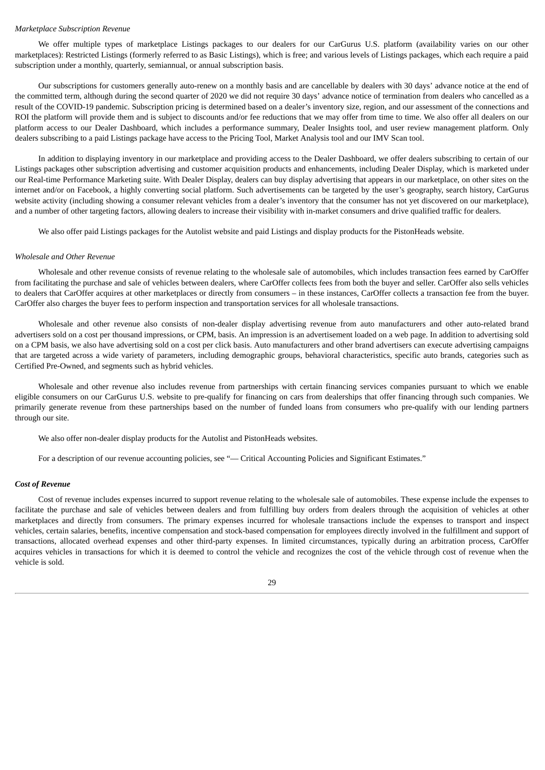#### *Marketplace Subscription Revenue*

We offer multiple types of marketplace Listings packages to our dealers for our CarGurus U.S. platform (availability varies on our other marketplaces): Restricted Listings (formerly referred to as Basic Listings), which is free; and various levels of Listings packages, which each require a paid subscription under a monthly, quarterly, semiannual, or annual subscription basis.

Our subscriptions for customers generally auto-renew on a monthly basis and are cancellable by dealers with 30 days' advance notice at the end of the committed term, although during the second quarter of 2020 we did not require 30 days' advance notice of termination from dealers who cancelled as a result of the COVID-19 pandemic. Subscription pricing is determined based on a dealer's inventory size, region, and our assessment of the connections and ROI the platform will provide them and is subject to discounts and/or fee reductions that we may offer from time to time. We also offer all dealers on our platform access to our Dealer Dashboard, which includes a performance summary, Dealer Insights tool, and user review management platform. Only dealers subscribing to a paid Listings package have access to the Pricing Tool, Market Analysis tool and our IMV Scan tool.

In addition to displaying inventory in our marketplace and providing access to the Dealer Dashboard, we offer dealers subscribing to certain of our Listings packages other subscription advertising and customer acquisition products and enhancements, including Dealer Display, which is marketed under our Real-time Performance Marketing suite. With Dealer Display, dealers can buy display advertising that appears in our marketplace, on other sites on the internet and/or on Facebook, a highly converting social platform. Such advertisements can be targeted by the user's geography, search history, CarGurus website activity (including showing a consumer relevant vehicles from a dealer's inventory that the consumer has not yet discovered on our marketplace), and a number of other targeting factors, allowing dealers to increase their visibility with in-market consumers and drive qualified traffic for dealers.

We also offer paid Listings packages for the Autolist website and paid Listings and display products for the PistonHeads website.

#### *Wholesale and Other Revenue*

Wholesale and other revenue consists of revenue relating to the wholesale sale of automobiles, which includes transaction fees earned by CarOffer from facilitating the purchase and sale of vehicles between dealers, where CarOffer collects fees from both the buyer and seller. CarOffer also sells vehicles to dealers that CarOffer acquires at other marketplaces or directly from consumers – in these instances, CarOffer collects a transaction fee from the buyer. CarOffer also charges the buyer fees to perform inspection and transportation services for all wholesale transactions.

Wholesale and other revenue also consists of non-dealer display advertising revenue from auto manufacturers and other auto-related brand advertisers sold on a cost per thousand impressions, or CPM, basis. An impression is an advertisement loaded on a web page. In addition to advertising sold on a CPM basis, we also have advertising sold on a cost per click basis. Auto manufacturers and other brand advertisers can execute advertising campaigns that are targeted across a wide variety of parameters, including demographic groups, behavioral characteristics, specific auto brands, categories such as Certified Pre-Owned, and segments such as hybrid vehicles.

Wholesale and other revenue also includes revenue from partnerships with certain financing services companies pursuant to which we enable eligible consumers on our CarGurus U.S. website to pre-qualify for financing on cars from dealerships that offer financing through such companies. We primarily generate revenue from these partnerships based on the number of funded loans from consumers who pre-qualify with our lending partners through our site.

We also offer non-dealer display products for the Autolist and PistonHeads websites.

For a description of our revenue accounting policies, see "— Critical Accounting Policies and Significant Estimates."

#### *Cost of Revenue*

Cost of revenue includes expenses incurred to support revenue relating to the wholesale sale of automobiles. These expense include the expenses to facilitate the purchase and sale of vehicles between dealers and from fulfilling buy orders from dealers through the acquisition of vehicles at other marketplaces and directly from consumers. The primary expenses incurred for wholesale transactions include the expenses to transport and inspect vehicles, certain salaries, benefits, incentive compensation and stock-based compensation for employees directly involved in the fulfillment and support of transactions, allocated overhead expenses and other third-party expenses. In limited circumstances, typically during an arbitration process, CarOffer acquires vehicles in transactions for which it is deemed to control the vehicle and recognizes the cost of the vehicle through cost of revenue when the vehicle is sold.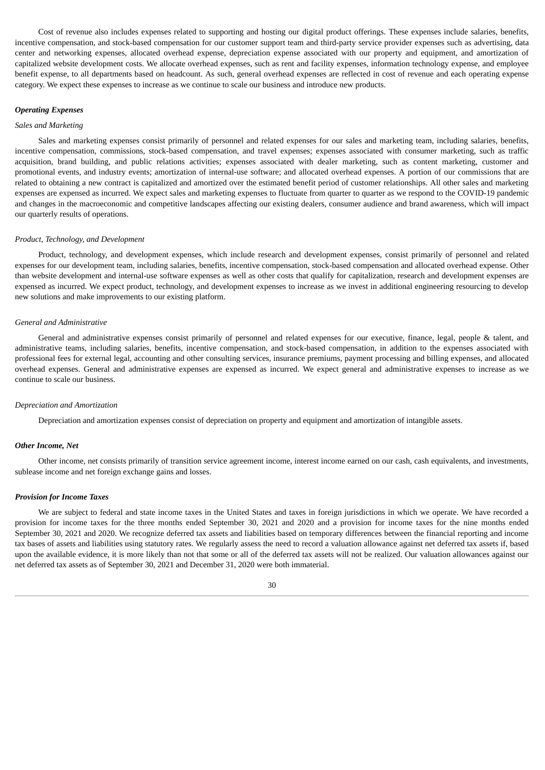Cost of revenue also includes expenses related to supporting and hosting our digital product offerings. These expenses include salaries, benefits, incentive compensation, and stock-based compensation for our customer support team and third-party service provider expenses such as advertising, data center and networking expenses, allocated overhead expense, depreciation expense associated with our property and equipment, and amortization of capitalized website development costs. We allocate overhead expenses, such as rent and facility expenses, information technology expense, and employee benefit expense, to all departments based on headcount. As such, general overhead expenses are reflected in cost of revenue and each operating expense category. We expect these expenses to increase as we continue to scale our business and introduce new products.

#### *Operating Expenses*

#### *Sales and Marketing*

Sales and marketing expenses consist primarily of personnel and related expenses for our sales and marketing team, including salaries, benefits, incentive compensation, commissions, stock-based compensation, and travel expenses; expenses associated with consumer marketing, such as traffic acquisition, brand building, and public relations activities; expenses associated with dealer marketing, such as content marketing, customer and promotional events, and industry events; amortization of internal-use software; and allocated overhead expenses. A portion of our commissions that are related to obtaining a new contract is capitalized and amortized over the estimated benefit period of customer relationships. All other sales and marketing expenses are expensed as incurred. We expect sales and marketing expenses to fluctuate from quarter to quarter as we respond to the COVID-19 pandemic and changes in the macroeconomic and competitive landscapes affecting our existing dealers, consumer audience and brand awareness, which will impact our quarterly results of operations.

#### *Product, Technology, and Development*

Product, technology, and development expenses, which include research and development expenses, consist primarily of personnel and related expenses for our development team, including salaries, benefits, incentive compensation, stock-based compensation and allocated overhead expense. Other than website development and internal-use software expenses as well as other costs that qualify for capitalization, research and development expenses are expensed as incurred. We expect product, technology, and development expenses to increase as we invest in additional engineering resourcing to develop new solutions and make improvements to our existing platform.

#### *General and Administrative*

General and administrative expenses consist primarily of personnel and related expenses for our executive, finance, legal, people & talent, and administrative teams, including salaries, benefits, incentive compensation, and stock-based compensation, in addition to the expenses associated with professional fees for external legal, accounting and other consulting services, insurance premiums, payment processing and billing expenses, and allocated overhead expenses. General and administrative expenses are expensed as incurred. We expect general and administrative expenses to increase as we continue to scale our business.

#### *Depreciation and Amortization*

Depreciation and amortization expenses consist of depreciation on property and equipment and amortization of intangible assets.

#### *Other Income, Net*

Other income, net consists primarily of transition service agreement income, interest income earned on our cash, cash equivalents, and investments, sublease income and net foreign exchange gains and losses.

#### *Provision for Income Taxes*

We are subject to federal and state income taxes in the United States and taxes in foreign jurisdictions in which we operate. We have recorded a provision for income taxes for the three months ended September 30, 2021 and 2020 and a provision for income taxes for the nine months ended September 30, 2021 and 2020. We recognize deferred tax assets and liabilities based on temporary differences between the financial reporting and income tax bases of assets and liabilities using statutory rates. We regularly assess the need to record a valuation allowance against net deferred tax assets if, based upon the available evidence, it is more likely than not that some or all of the deferred tax assets will not be realized. Our valuation allowances against our net deferred tax assets as of September 30, 2021 and December 31, 2020 were both immaterial.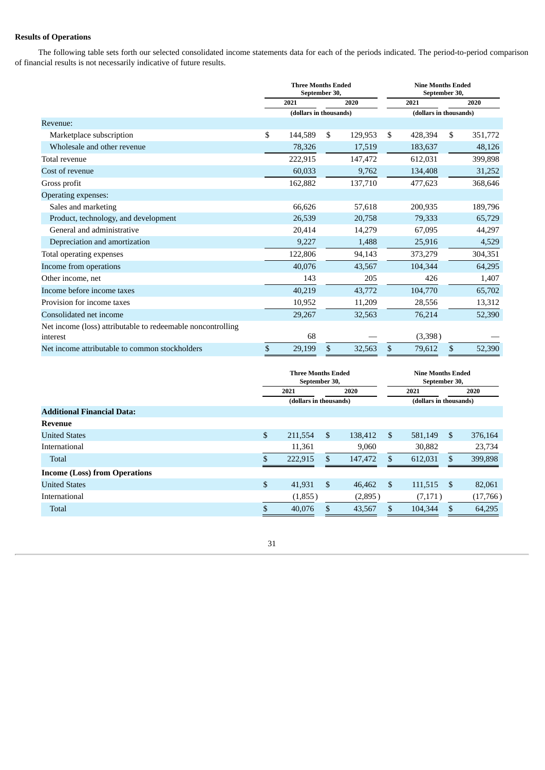### **Results of Operations**

The following table sets forth our selected consolidated income statements data for each of the periods indicated. The period-to-period comparison of financial results is not necessarily indicative of future results.

|                                                             | <b>Three Months Ended</b><br>September 30, |    |         | <b>Nine Months Ended</b><br>September 30, |                        |    |         |  |
|-------------------------------------------------------------|--------------------------------------------|----|---------|-------------------------------------------|------------------------|----|---------|--|
|                                                             | 2021                                       |    | 2020    |                                           | 2021                   |    | 2020    |  |
|                                                             | (dollars in thousands)                     |    |         |                                           | (dollars in thousands) |    |         |  |
| Revenue:                                                    |                                            |    |         |                                           |                        |    |         |  |
| Marketplace subscription                                    | \$<br>144,589                              | \$ | 129,953 | \$                                        | 428,394                | \$ | 351,772 |  |
| Wholesale and other revenue                                 | 78,326                                     |    | 17,519  |                                           | 183,637                |    | 48,126  |  |
| Total revenue                                               | 222,915                                    |    | 147,472 |                                           | 612,031                |    | 399,898 |  |
| Cost of revenue                                             | 60,033                                     |    | 9,762   |                                           | 134,408                |    | 31,252  |  |
| Gross profit                                                | 162,882                                    |    | 137,710 |                                           | 477,623                |    | 368,646 |  |
| Operating expenses:                                         |                                            |    |         |                                           |                        |    |         |  |
| Sales and marketing                                         | 66,626                                     |    | 57,618  |                                           | 200,935                |    | 189,796 |  |
| Product, technology, and development                        | 26,539                                     |    | 20,758  |                                           | 79,333                 |    | 65,729  |  |
| General and administrative                                  | 20,414                                     |    | 14,279  |                                           | 67,095                 |    | 44,297  |  |
| Depreciation and amortization                               | 9,227                                      |    | 1,488   |                                           | 25,916                 |    | 4,529   |  |
| Total operating expenses                                    | 122,806                                    |    | 94,143  |                                           | 373,279                |    | 304,351 |  |
| Income from operations                                      | 40,076                                     |    | 43,567  |                                           | 104,344                |    | 64,295  |  |
| Other income, net                                           | 143                                        |    | 205     |                                           | 426                    |    | 1,407   |  |
| Income before income taxes                                  | 40,219                                     |    | 43,772  |                                           | 104,770                |    | 65,702  |  |
| Provision for income taxes                                  | 10,952                                     |    | 11,209  |                                           | 28,556                 |    | 13,312  |  |
| Consolidated net income                                     | 29,267                                     |    | 32,563  |                                           | 76,214                 |    | 52,390  |  |
| Net income (loss) attributable to redeemable noncontrolling |                                            |    |         |                                           |                        |    |         |  |
| interest                                                    | 68                                         |    |         |                                           | (3,398)                |    |         |  |
| Net income attributable to common stockholders              | \$<br>29,199                               | \$ | 32,563  | \$                                        | 79,612                 | \$ | 52,390  |  |

|                                      | <b>Three Months Ended</b><br>September 30, |     |         | <b>Nine Months Ended</b><br>September 30, |                        |                |          |  |
|--------------------------------------|--------------------------------------------|-----|---------|-------------------------------------------|------------------------|----------------|----------|--|
|                                      | 2021                                       |     | 2020    |                                           | 2021                   |                | 2020     |  |
|                                      | (dollars in thousands)                     |     |         |                                           | (dollars in thousands) |                |          |  |
| <b>Additional Financial Data:</b>    |                                            |     |         |                                           |                        |                |          |  |
| Revenue                              |                                            |     |         |                                           |                        |                |          |  |
| <b>United States</b>                 | \$<br>211,554                              | \$  | 138,412 | \$                                        | 581,149                | $\mathfrak{S}$ | 376,164  |  |
| International                        | 11,361                                     |     | 9,060   |                                           | 30,882                 |                | 23,734   |  |
| <b>Total</b>                         | 222,915                                    | \$. | 147,472 | S                                         | 612,031                | \$.            | 399,898  |  |
| <b>Income (Loss) from Operations</b> |                                            |     |         |                                           |                        |                |          |  |
| <b>United States</b>                 | \$<br>41,931                               | \$  | 46,462  | \$                                        | 111,515                | \$             | 82,061   |  |
| <b>International</b>                 | (1,855)                                    |     | (2,895) |                                           | (7,171)                |                | (17,766) |  |
| <b>Total</b>                         | \$<br>40,076                               | \$  | 43,567  | \$                                        | 104,344                | \$.            | 64,295   |  |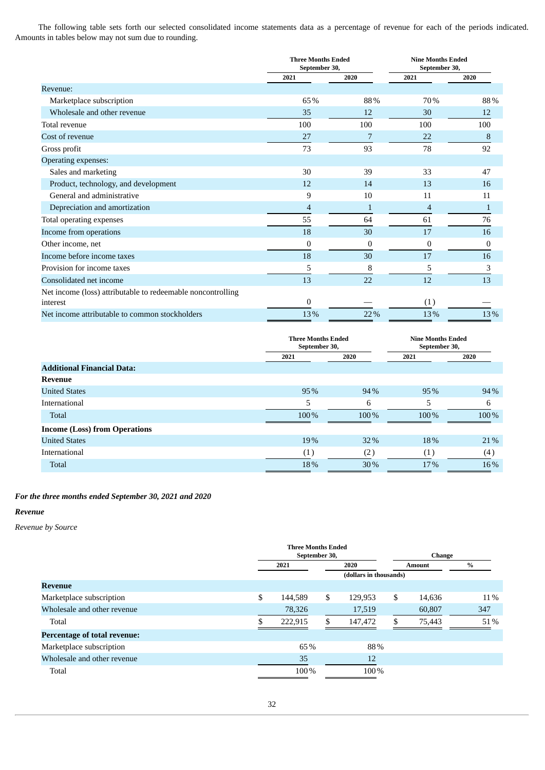The following table sets forth our selected consolidated income statements data as a percentage of revenue for each of the periods indicated. Amounts in tables below may not sum due to rounding.

|                                                             | <b>Three Months Ended</b><br>September 30, |                  | <b>Nine Months Ended</b><br>September 30, |              |
|-------------------------------------------------------------|--------------------------------------------|------------------|-------------------------------------------|--------------|
|                                                             | 2021                                       | 2020             | 2021                                      | 2020         |
| Revenue:                                                    |                                            |                  |                                           |              |
| Marketplace subscription                                    | 65%                                        | 88%              | 70%                                       | 88%          |
| Wholesale and other revenue                                 | 35                                         | 12               | 30                                        | 12           |
| Total revenue                                               | 100                                        | 100              | 100                                       | 100          |
| Cost of revenue                                             | 27                                         |                  | 22                                        | 8            |
| Gross profit                                                | 73                                         | 93               | 78                                        | 92           |
| Operating expenses:                                         |                                            |                  |                                           |              |
| Sales and marketing                                         | 30                                         | 39               | 33                                        | 47           |
| Product, technology, and development                        | 12                                         | 14               | 13                                        | 16           |
| General and administrative                                  | 9                                          | 10               | 11                                        | 11           |
| Depreciation and amortization                               | 4                                          | $\mathbf{1}$     | 4                                         | 1            |
| Total operating expenses                                    | 55                                         | 64               | 61                                        | 76           |
| Income from operations                                      | 18                                         | 30               | 17                                        | 16           |
| Other income, net                                           | 0                                          | $\boldsymbol{0}$ | $\bf{0}$                                  | $\mathbf{0}$ |
| Income before income taxes                                  | 18                                         | 30               | 17                                        | 16           |
| Provision for income taxes                                  | 5                                          | 8                | 5                                         | 3            |
| Consolidated net income                                     | 13                                         | 22               | 12                                        | 13           |
| Net income (loss) attributable to redeemable noncontrolling |                                            |                  |                                           |              |
| interest                                                    | 0                                          |                  | (1)                                       |              |
| Net income attributable to common stockholders              | 13%                                        | 22%              | 13%                                       | 13%          |

|                                      | <b>Three Months Ended</b><br>September 30, |      | <b>Nine Months Ended</b><br>September 30, |      |
|--------------------------------------|--------------------------------------------|------|-------------------------------------------|------|
|                                      | 2021                                       | 2020 | 2021                                      | 2020 |
| <b>Additional Financial Data:</b>    |                                            |      |                                           |      |
| <b>Revenue</b>                       |                                            |      |                                           |      |
| <b>United States</b>                 | 95%                                        | 94%  | 95%                                       | 94%  |
| <b>International</b>                 | 5                                          | 6    | 5                                         | 6    |
| Total                                | 100%                                       | 100% | 100%                                      | 100% |
| <b>Income (Loss) from Operations</b> |                                            |      |                                           |      |
| <b>United States</b>                 | 19%                                        | 32%  | 18%                                       | 21%  |
| International                        | (1)                                        | (2)  | (1)                                       | (4)  |
| Total                                | 18%                                        | 30%  | 17%                                       | 16%  |

### *For the three months ended September 30, 2021 and 2020*

### *Revenue*

*Revenue by Source*

|                                     |               | <b>Three Months Ended</b> |    |                        |               |        |      |
|-------------------------------------|---------------|---------------------------|----|------------------------|---------------|--------|------|
|                                     | September 30, |                           |    |                        | <b>Change</b> |        |      |
|                                     |               | 2021                      |    | 2020                   | Amount        |        | $\%$ |
|                                     |               |                           |    | (dollars in thousands) |               |        |      |
| <b>Revenue</b>                      |               |                           |    |                        |               |        |      |
| Marketplace subscription            | \$            | 144,589                   | \$ | 129,953                | \$            | 14,636 | 11%  |
| Wholesale and other revenue         |               | 78,326                    |    | 17,519                 |               | 60,807 | 347  |
| Total                               |               | 222,915                   | S. | 147,472                |               | 75,443 | 51%  |
| <b>Percentage of total revenue:</b> |               |                           |    |                        |               |        |      |
| Marketplace subscription            |               | 65%                       |    | 88%                    |               |        |      |
| Wholesale and other revenue         |               | 35                        |    | 12                     |               |        |      |
| Total                               |               | 100%                      |    | 100%                   |               |        |      |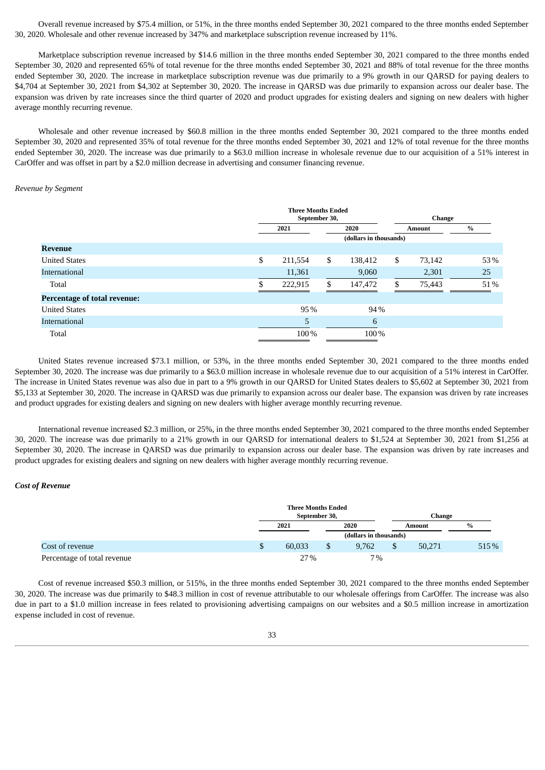Overall revenue increased by \$75.4 million, or 51%, in the three months ended September 30, 2021 compared to the three months ended September 30, 2020. Wholesale and other revenue increased by 347% and marketplace subscription revenue increased by 11%.

Marketplace subscription revenue increased by \$14.6 million in the three months ended September 30, 2021 compared to the three months ended September 30, 2020 and represented 65% of total revenue for the three months ended September 30, 2021 and 88% of total revenue for the three months ended September 30, 2020. The increase in marketplace subscription revenue was due primarily to a 9% growth in our QARSD for paying dealers to \$4,704 at September 30, 2021 from \$4,302 at September 30, 2020. The increase in QARSD was due primarily to expansion across our dealer base. The expansion was driven by rate increases since the third quarter of 2020 and product upgrades for existing dealers and signing on new dealers with higher average monthly recurring revenue.

Wholesale and other revenue increased by \$60.8 million in the three months ended September 30, 2021 compared to the three months ended September 30, 2020 and represented 35% of total revenue for the three months ended September 30, 2021 and 12% of total revenue for the three months ended September 30, 2020. The increase was due primarily to a \$63.0 million increase in wholesale revenue due to our acquisition of a 51% interest in CarOffer and was offset in part by a \$2.0 million decrease in advertising and consumer financing revenue.

### *Revenue by Segment*

|                                     |    | <b>Three Months Ended</b> | September 30, |                        | Change |        |               |  |
|-------------------------------------|----|---------------------------|---------------|------------------------|--------|--------|---------------|--|
|                                     |    | 2021                      |               | 2020                   |        | Amount | $\frac{0}{0}$ |  |
|                                     |    |                           |               | (dollars in thousands) |        |        |               |  |
| <b>Revenue</b>                      |    |                           |               |                        |        |        |               |  |
| <b>United States</b>                | \$ | 211,554                   | \$            | 138,412                | \$     | 73,142 | 53%           |  |
| International                       |    | 11,361                    |               | 9,060                  |        | 2,301  | 25            |  |
| Total                               | £. | 222,915                   | \$            | 147,472                | \$.    | 75,443 | 51%           |  |
| <b>Percentage of total revenue:</b> |    |                           |               |                        |        |        |               |  |
| <b>United States</b>                |    | 95%                       |               | 94%                    |        |        |               |  |
| International                       |    | 5                         |               | 6                      |        |        |               |  |
| Total                               |    | 100%                      |               | 100%                   |        |        |               |  |

United States revenue increased \$73.1 million, or 53%, in the three months ended September 30, 2021 compared to the three months ended September 30, 2020. The increase was due primarily to a \$63.0 million increase in wholesale revenue due to our acquisition of a 51% interest in CarOffer. The increase in United States revenue was also due in part to a 9% growth in our QARSD for United States dealers to \$5,602 at September 30, 2021 from \$5,133 at September 30, 2020. The increase in QARSD was due primarily to expansion across our dealer base. The expansion was driven by rate increases and product upgrades for existing dealers and signing on new dealers with higher average monthly recurring revenue.

International revenue increased \$2.3 million, or 25%, in the three months ended September 30, 2021 compared to the three months ended September 30, 2020. The increase was due primarily to a 21% growth in our QARSD for international dealers to \$1,524 at September 30, 2021 from \$1,256 at September 30, 2020. The increase in QARSD was due primarily to expansion across our dealer base. The expansion was driven by rate increases and product upgrades for existing dealers and signing on new dealers with higher average monthly recurring revenue.

#### *Cost of Revenue*

|                             | <b>Three Months Ended</b><br>September 30, |                        | Change |       |  |  |  |
|-----------------------------|--------------------------------------------|------------------------|--------|-------|--|--|--|
|                             | 2021                                       | 2020                   | Amount | $\%$  |  |  |  |
|                             |                                            | (dollars in thousands) |        |       |  |  |  |
| Cost of revenue             | \$<br>60.033                               | 9.762                  | 50,271 | 515 % |  |  |  |
| Percentage of total revenue | 27%                                        | 7%                     |        |       |  |  |  |

Cost of revenue increased \$50.3 million, or 515%, in the three months ended September 30, 2021 compared to the three months ended September 30, 2020. The increase was due primarily to \$48.3 million in cost of revenue attributable to our wholesale offerings from CarOffer. The increase was also due in part to a \$1.0 million increase in fees related to provisioning advertising campaigns on our websites and a \$0.5 million increase in amortization expense included in cost of revenue.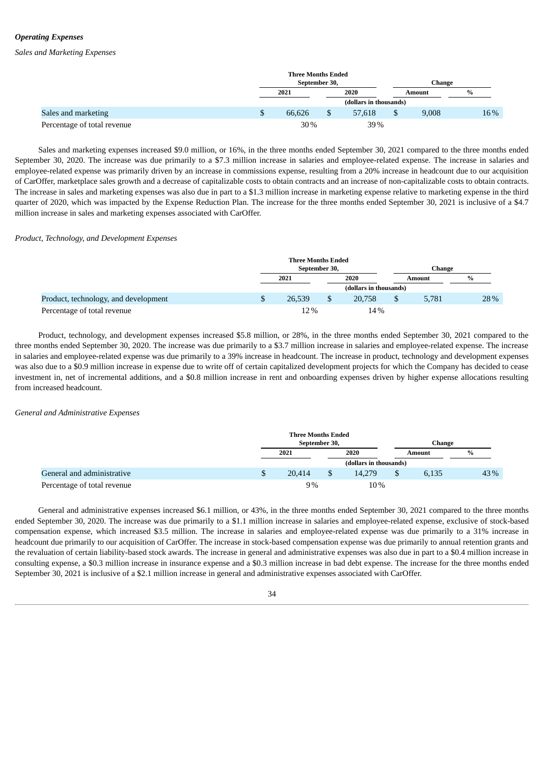### *Operating Expenses*

*Sales and Marketing Expenses*

|                             | <b>Three Months Ended</b> | September 30, |                        |  | Change |               |  |
|-----------------------------|---------------------------|---------------|------------------------|--|--------|---------------|--|
|                             | 2021                      |               | 2020<br>Amount         |  |        | $\frac{9}{6}$ |  |
|                             |                           |               | (dollars in thousands) |  |        |               |  |
| Sales and marketing         | 66.626                    |               | 57.618                 |  | 9,008  | 16%           |  |
| Percentage of total revenue | 30%                       |               | 39%                    |  |        |               |  |

Sales and marketing expenses increased \$9.0 million, or 16%, in the three months ended September 30, 2021 compared to the three months ended September 30, 2020. The increase was due primarily to a \$7.3 million increase in salaries and employee-related expense. The increase in salaries and employee-related expense was primarily driven by an increase in commissions expense, resulting from a 20% increase in headcount due to our acquisition of CarOffer, marketplace sales growth and a decrease of capitalizable costs to obtain contracts and an increase of non-capitalizable costs to obtain contracts. The increase in sales and marketing expenses was also due in part to a \$1.3 million increase in marketing expense relative to marketing expense in the third quarter of 2020, which was impacted by the Expense Reduction Plan. The increase for the three months ended September 30, 2021 is inclusive of a \$4.7 million increase in sales and marketing expenses associated with CarOffer.

#### *Product, Technology, and Development Expenses*

|                                      | <b>Three Months Ended</b><br>September 30,<br>Change |  |                        |    |        |      |
|--------------------------------------|------------------------------------------------------|--|------------------------|----|--------|------|
|                                      | 2021                                                 |  | 2020                   |    | Amount | $\%$ |
|                                      |                                                      |  | (dollars in thousands) |    |        |      |
| Product, technology, and development | \$<br>26,539                                         |  | 20,758                 | \$ | 5.781  | 28%  |
| Percentage of total revenue          | 12%                                                  |  | 14%                    |    |        |      |

Product, technology, and development expenses increased \$5.8 million, or 28%, in the three months ended September 30, 2021 compared to the three months ended September 30, 2020. The increase was due primarily to a \$3.7 million increase in salaries and employee-related expense. The increase in salaries and employee-related expense was due primarily to a 39% increase in headcount. The increase in product, technology and development expenses was also due to a \$0.9 million increase in expense due to write off of certain capitalized development projects for which the Company has decided to cease investment in, net of incremental additions, and a \$0.8 million increase in rent and onboarding expenses driven by higher expense allocations resulting from increased headcount.

#### *General and Administrative Expenses*

|                             | <b>Three Months Ended</b><br>September 30, |  |                        |  |        | Change |  |
|-----------------------------|--------------------------------------------|--|------------------------|--|--------|--------|--|
|                             | 2021                                       |  | 2020                   |  | Amount | $\%$   |  |
|                             |                                            |  | (dollars in thousands) |  |        |        |  |
| General and administrative  | 20.414                                     |  | 14,279                 |  | 6,135  | 43%    |  |
| Percentage of total revenue | 9%                                         |  | 10%                    |  |        |        |  |

General and administrative expenses increased \$6.1 million, or 43%, in the three months ended September 30, 2021 compared to the three months ended September 30, 2020. The increase was due primarily to a \$1.1 million increase in salaries and employee-related expense, exclusive of stock-based compensation expense, which increased \$3.5 million. The increase in salaries and employee-related expense was due primarily to a 31% increase in headcount due primarily to our acquisition of CarOffer. The increase in stock-based compensation expense was due primarily to annual retention grants and the revaluation of certain liability-based stock awards. The increase in general and administrative expenses was also due in part to a \$0.4 million increase in consulting expense, a \$0.3 million increase in insurance expense and a \$0.3 million increase in bad debt expense. The increase for the three months ended September 30, 2021 is inclusive of a \$2.1 million increase in general and administrative expenses associated with CarOffer.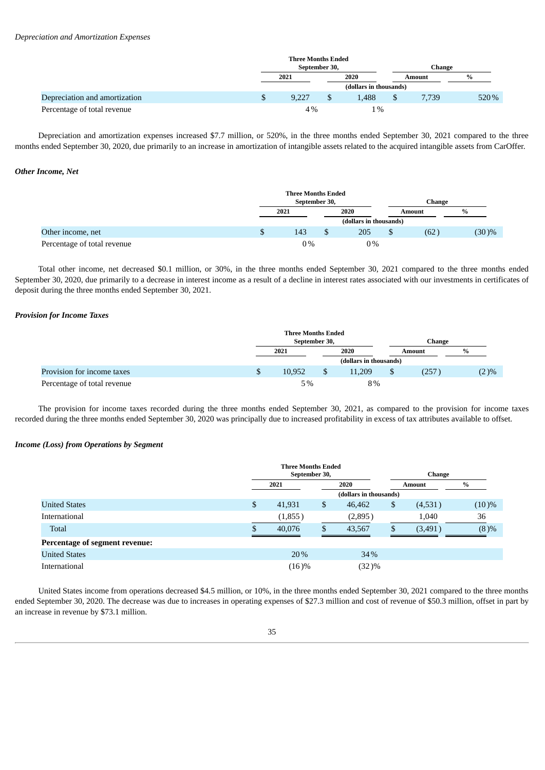|                               |   | <b>Three Months Ended</b> |  |       |  |        |               |  |  |
|-------------------------------|---|---------------------------|--|-------|--|--------|---------------|--|--|
|                               |   | September 30,             |  |       |  | Change |               |  |  |
|                               |   | 2021                      |  | 2020  |  | Amount | $\frac{9}{6}$ |  |  |
|                               |   |                           |  |       |  |        |               |  |  |
| Depreciation and amortization | P | 9.227                     |  | 1.488 |  | 7.739  | 520 %         |  |  |
| Percentage of total revenue   |   | 4%                        |  | $1\%$ |  |        |               |  |  |

Depreciation and amortization expenses increased \$7.7 million, or 520%, in the three months ended September 30, 2021 compared to the three months ended September 30, 2020, due primarily to an increase in amortization of intangible assets related to the acquired intangible assets from CarOffer.

#### *Other Income, Net*

|                             |   | <b>Three Months Ended</b><br>September 30,<br>Change |  |      |  |               |               |  |
|-----------------------------|---|------------------------------------------------------|--|------|--|---------------|---------------|--|
|                             |   | 2021                                                 |  | 2020 |  | <b>Amount</b> | $\frac{0}{0}$ |  |
|                             |   | (dollars in thousands)                               |  |      |  |               |               |  |
| Other income, net           | S | 143                                                  |  | 205  |  | (62)          | $(30)\%$      |  |
| Percentage of total revenue |   | $0\%$                                                |  | 0%   |  |               |               |  |

Total other income, net decreased \$0.1 million, or 30%, in the three months ended September 30, 2021 compared to the three months ended September 30, 2020, due primarily to a decrease in interest income as a result of a decline in interest rates associated with our investments in certificates of deposit during the three months ended September 30, 2021.

#### *Provision for Income Taxes*

|                             |    | <b>Three Months Ended</b> |   |                        |  |        |         |  |  |  |
|-----------------------------|----|---------------------------|---|------------------------|--|--------|---------|--|--|--|
|                             |    | September 30,             |   |                        |  | Change |         |  |  |  |
|                             |    | 2021                      |   | 2020<br>Amount         |  | $\%$   |         |  |  |  |
|                             |    |                           |   | (dollars in thousands) |  |        |         |  |  |  |
| Provision for income taxes  | ۵D | 10.952                    | S | 11.209                 |  | 257    | $(2)\%$ |  |  |  |
| Percentage of total revenue |    | 5%                        |   | 8%                     |  |        |         |  |  |  |

The provision for income taxes recorded during the three months ended September 30, 2021, as compared to the provision for income taxes recorded during the three months ended September 30, 2020 was principally due to increased profitability in excess of tax attributes available to offset.

### *Income (Loss) from Operations by Segment*

|                                |      | <b>Three Months Ended</b> |      |                                                                                 |               |         |               |
|--------------------------------|------|---------------------------|------|---------------------------------------------------------------------------------|---------------|---------|---------------|
|                                |      | September 30,             |      |                                                                                 | <b>Change</b> |         |               |
|                                | 2021 |                           | 2020 |                                                                                 | Amount        |         | $\frac{0}{0}$ |
|                                |      |                           |      | (dollars in thousands)<br>\$<br>46,462<br>(2,895)<br>1,040<br>43,567<br>(3,491) |               |         |               |
| <b>United States</b>           | \$   | 41,931                    | \$   |                                                                                 |               | (4,531) | $(10)\%$      |
| International                  |      | (1,855)                   |      |                                                                                 |               |         | 36            |
| <b>Total</b>                   |      | 40,076                    |      |                                                                                 |               |         | (8)%          |
| Percentage of segment revenue: |      |                           |      |                                                                                 |               |         |               |
| <b>United States</b>           |      | 20%                       |      | 34%                                                                             |               |         |               |
| International                  |      | (16)%                     |      | $(32)\%$                                                                        |               |         |               |

United States income from operations decreased \$4.5 million, or 10%, in the three months ended September 30, 2021 compared to the three months ended September 30, 2020. The decrease was due to increases in operating expenses of \$27.3 million and cost of revenue of \$50.3 million, offset in part by an increase in revenue by \$73.1 million.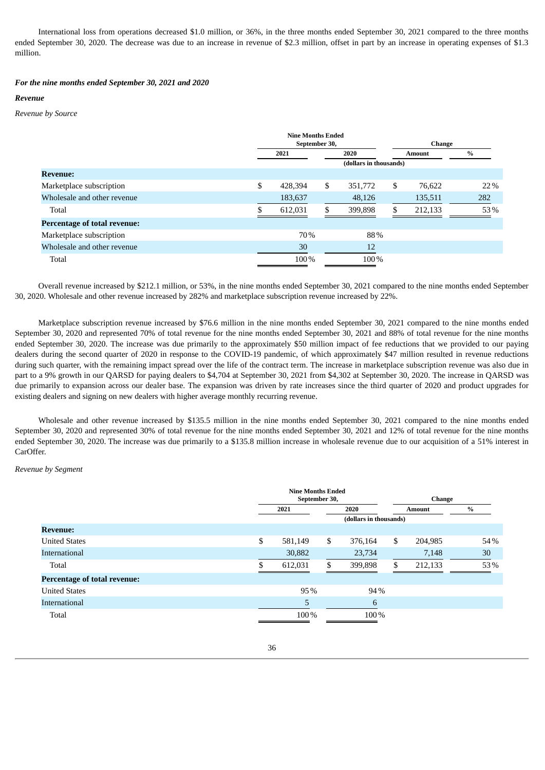International loss from operations decreased \$1.0 million, or 36%, in the three months ended September 30, 2021 compared to the three months ended September 30, 2020. The decrease was due to an increase in revenue of \$2.3 million, offset in part by an increase in operating expenses of \$1.3 million.

#### *For the nine months ended September 30, 2021 and 2020*

#### *Revenue*

### *Revenue by Source*

|                                     | <b>Nine Months Ended</b><br>September 30, |         |     |                        |    | <b>Change</b> |      |  |  |
|-------------------------------------|-------------------------------------------|---------|-----|------------------------|----|---------------|------|--|--|
|                                     | 2020<br>2021                              |         |     | Amount                 |    | $\frac{0}{0}$ |      |  |  |
|                                     |                                           |         |     | (dollars in thousands) |    |               |      |  |  |
| <b>Revenue:</b>                     |                                           |         |     |                        |    |               |      |  |  |
| Marketplace subscription            | \$                                        | 428.394 | \$  | 351,772                | \$ | 76,622        | 22 % |  |  |
| Wholesale and other revenue         |                                           | 183,637 |     | 48,126                 |    | 135,511       | 282  |  |  |
| Total                               |                                           | 612,031 | \$. | 399,898                | \$ | 212,133       | 53%  |  |  |
| <b>Percentage of total revenue:</b> |                                           |         |     |                        |    |               |      |  |  |
| Marketplace subscription            |                                           | 70%     |     | 88%                    |    |               |      |  |  |
| Wholesale and other revenue         |                                           | 30      |     | 12                     |    |               |      |  |  |
| Total                               |                                           | 100%    |     | 100%                   |    |               |      |  |  |

Overall revenue increased by \$212.1 million, or 53%, in the nine months ended September 30, 2021 compared to the nine months ended September 30, 2020. Wholesale and other revenue increased by 282% and marketplace subscription revenue increased by 22%.

Marketplace subscription revenue increased by \$76.6 million in the nine months ended September 30, 2021 compared to the nine months ended September 30, 2020 and represented 70% of total revenue for the nine months ended September 30, 2021 and 88% of total revenue for the nine months ended September 30, 2020. The increase was due primarily to the approximately \$50 million impact of fee reductions that we provided to our paying dealers during the second quarter of 2020 in response to the COVID-19 pandemic, of which approximately \$47 million resulted in revenue reductions during such quarter, with the remaining impact spread over the life of the contract term. The increase in marketplace subscription revenue was also due in part to a 9% growth in our QARSD for paying dealers to \$4,704 at September 30, 2021 from \$4,302 at September 30, 2020. The increase in QARSD was due primarily to expansion across our dealer base. The expansion was driven by rate increases since the third quarter of 2020 and product upgrades for existing dealers and signing on new dealers with higher average monthly recurring revenue.

Wholesale and other revenue increased by \$135.5 million in the nine months ended September 30, 2021 compared to the nine months ended September 30, 2020 and represented 30% of total revenue for the nine months ended September 30, 2021 and 12% of total revenue for the nine months ended September 30, 2020. The increase was due primarily to a \$135.8 million increase in wholesale revenue due to our acquisition of a 51% interest in CarOffer.

*Revenue by Segment*

|                                     | <b>Nine Months Ended</b><br>September 30, |    |                        |    | Change        |      |  |
|-------------------------------------|-------------------------------------------|----|------------------------|----|---------------|------|--|
|                                     | 2021                                      |    | 2020                   |    | <b>Amount</b> | $\%$ |  |
|                                     |                                           |    | (dollars in thousands) |    |               |      |  |
| <b>Revenue:</b>                     |                                           |    |                        |    |               |      |  |
| <b>United States</b>                | \$<br>581,149                             | \$ | 376,164                | \$ | 204,985       | 54%  |  |
| International                       | 30,882                                    |    | 23,734                 |    | 7,148         | 30   |  |
| Total                               | 612,031                                   | \$ | 399,898                | S  | 212,133       | 53%  |  |
| <b>Percentage of total revenue:</b> |                                           |    |                        |    |               |      |  |
| <b>United States</b>                | 95%                                       |    | 94%                    |    |               |      |  |
| International                       | 5                                         |    | 6                      |    |               |      |  |
| Total                               | 100%                                      |    | 100%                   |    |               |      |  |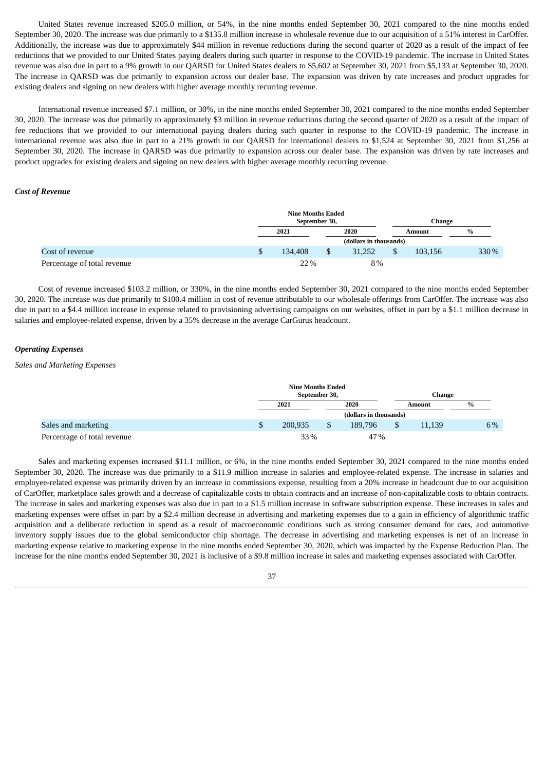United States revenue increased \$205.0 million, or 54%, in the nine months ended September 30, 2021 compared to the nine months ended September 30, 2020. The increase was due primarily to a \$135.8 million increase in wholesale revenue due to our acquisition of a 51% interest in CarOffer. Additionally, the increase was due to approximately \$44 million in revenue reductions during the second quarter of 2020 as a result of the impact of fee reductions that we provided to our United States paying dealers during such quarter in response to the COVID-19 pandemic. The increase in United States revenue was also due in part to a 9% growth in our QARSD for United States dealers to \$5,602 at September 30, 2021 from \$5,133 at September 30, 2020. The increase in QARSD was due primarily to expansion across our dealer base. The expansion was driven by rate increases and product upgrades for existing dealers and signing on new dealers with higher average monthly recurring revenue.

International revenue increased \$7.1 million, or 30%, in the nine months ended September 30, 2021 compared to the nine months ended September 30, 2020. The increase was due primarily to approximately \$3 million in revenue reductions during the second quarter of 2020 as a result of the impact of fee reductions that we provided to our international paying dealers during such quarter in response to the COVID-19 pandemic. The increase in international revenue was also due in part to a 21% growth in our QARSD for international dealers to \$1,524 at September 30, 2021 from \$1,256 at September 30, 2020. The increase in QARSD was due primarily to expansion across our dealer base. The expansion was driven by rate increases and product upgrades for existing dealers and signing on new dealers with higher average monthly recurring revenue.

#### *Cost of Revenue*

|                             | <b>Nine Months Ended</b><br>September 30, |  |                        | Change  |       |  |
|-----------------------------|-------------------------------------------|--|------------------------|---------|-------|--|
|                             | 2021                                      |  | 2020                   | Amount  | $\%$  |  |
|                             |                                           |  | (dollars in thousands) |         |       |  |
| Cost of revenue             | 134,408                                   |  | 31.252                 | 103.156 | 330 % |  |
| Percentage of total revenue | 22%                                       |  | 8%                     |         |       |  |

Cost of revenue increased \$103.2 million, or 330%, in the nine months ended September 30, 2021 compared to the nine months ended September 30, 2020. The increase was due primarily to \$100.4 million in cost of revenue attributable to our wholesale offerings from CarOffer. The increase was also due in part to a \$4.4 million increase in expense related to provisioning advertising campaigns on our websites, offset in part by a \$1.1 million decrease in salaries and employee-related expense, driven by a 35% decrease in the average CarGurus headcount.

#### *Operating Expenses*

### *Sales and Marketing Expenses*

|                             | <b>Nine Months Ended</b><br>September 30, |  |                        | Change       |      |  |
|-----------------------------|-------------------------------------------|--|------------------------|--------------|------|--|
|                             | 2021                                      |  | 2020                   | Amount       | $\%$ |  |
|                             |                                           |  | (dollars in thousands) |              |      |  |
| Sales and marketing         | \$<br>200.935                             |  | 189,796                | \$<br>11,139 | 6%   |  |
| Percentage of total revenue | 33%                                       |  | 47%                    |              |      |  |

Sales and marketing expenses increased \$11.1 million, or 6%, in the nine months ended September 30, 2021 compared to the nine months ended September 30, 2020. The increase was due primarily to a \$11.9 million increase in salaries and employee-related expense. The increase in salaries and employee-related expense was primarily driven by an increase in commissions expense, resulting from a 20% increase in headcount due to our acquisition of CarOffer, marketplace sales growth and a decrease of capitalizable costs to obtain contracts and an increase of non-capitalizable costs to obtain contracts. The increase in sales and marketing expenses was also due in part to a \$1.5 million increase in software subscription expense. These increases in sales and marketing expenses were offset in part by a \$2.4 million decrease in advertising and marketing expenses due to a gain in efficiency of algorithmic traffic acquisition and a deliberate reduction in spend as a result of macroeconomic conditions such as strong consumer demand for cars, and automotive inventory supply issues due to the global semiconductor chip shortage. The decrease in advertising and marketing expenses is net of an increase in marketing expense relative to marketing expense in the nine months ended September 30, 2020, which was impacted by the Expense Reduction Plan. The increase for the nine months ended September 30, 2021 is inclusive of a \$9.8 million increase in sales and marketing expenses associated with CarOffer.

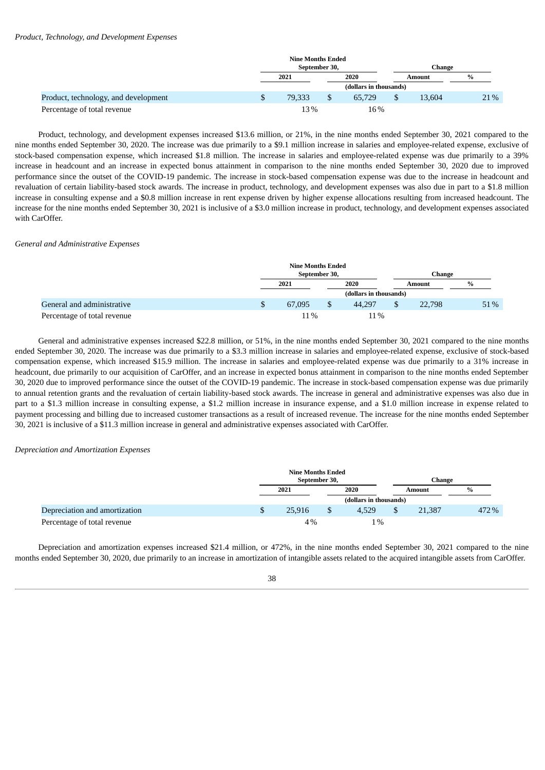|                                      |               | <b>Nine Months Ended</b> |  |                        |        |               |
|--------------------------------------|---------------|--------------------------|--|------------------------|--------|---------------|
|                                      |               | September 30,            |  |                        | Change |               |
|                                      |               | 2021                     |  | 2020                   | Amount | $\frac{9}{6}$ |
|                                      |               |                          |  | (dollars in thousands) |        |               |
| Product, technology, and development | <sup>\$</sup> | 79.333                   |  | 65.729                 | 13.604 | 21%           |
| Percentage of total revenue          |               | 13%                      |  | 16%                    |        |               |

Product, technology, and development expenses increased \$13.6 million, or 21%, in the nine months ended September 30, 2021 compared to the nine months ended September 30, 2020. The increase was due primarily to a \$9.1 million increase in salaries and employee-related expense, exclusive of stock-based compensation expense, which increased \$1.8 million. The increase in salaries and employee-related expense was due primarily to a 39% increase in headcount and an increase in expected bonus attainment in comparison to the nine months ended September 30, 2020 due to improved performance since the outset of the COVID-19 pandemic. The increase in stock-based compensation expense was due to the increase in headcount and revaluation of certain liability-based stock awards. The increase in product, technology, and development expenses was also due in part to a \$1.8 million increase in consulting expense and a \$0.8 million increase in rent expense driven by higher expense allocations resulting from increased headcount. The increase for the nine months ended September 30, 2021 is inclusive of a \$3.0 million increase in product, technology, and development expenses associated with CarOffer.

#### *General and Administrative Expenses*

|                             | <b>Nine Months Ended</b><br>September 30, |  |                        |  | Change |      |  |
|-----------------------------|-------------------------------------------|--|------------------------|--|--------|------|--|
|                             | 2021                                      |  | 2020                   |  | Amount | $\%$ |  |
|                             |                                           |  | (dollars in thousands) |  |        |      |  |
| General and administrative  | \$<br>67,095                              |  | 44.297                 |  | 22,798 | 51\% |  |
| Percentage of total revenue | 11%                                       |  | 11%                    |  |        |      |  |

General and administrative expenses increased \$22.8 million, or 51%, in the nine months ended September 30, 2021 compared to the nine months ended September 30, 2020. The increase was due primarily to a \$3.3 million increase in salaries and employee-related expense, exclusive of stock-based compensation expense, which increased \$15.9 million. The increase in salaries and employee-related expense was due primarily to a 31% increase in headcount, due primarily to our acquisition of CarOffer, and an increase in expected bonus attainment in comparison to the nine months ended September 30, 2020 due to improved performance since the outset of the COVID-19 pandemic. The increase in stock-based compensation expense was due primarily to annual retention grants and the revaluation of certain liability-based stock awards. The increase in general and administrative expenses was also due in part to a \$1.3 million increase in consulting expense, a \$1.2 million increase in insurance expense, and a \$1.0 million increase in expense related to payment processing and billing due to increased customer transactions as a result of increased revenue. The increase for the nine months ended September 30, 2021 is inclusive of a \$11.3 million increase in general and administrative expenses associated with CarOffer.

#### *Depreciation and Amortization Expenses*

|                               | <b>Nine Months Ended</b><br>September 30, |        |  | Change                 |        |               |
|-------------------------------|-------------------------------------------|--------|--|------------------------|--------|---------------|
|                               |                                           | 2021   |  | 2020                   | Amount | $\frac{0}{0}$ |
|                               |                                           |        |  | (dollars in thousands) |        |               |
| Depreciation and amortization | \$                                        | 25.916 |  | 4.529                  | 21,387 | 472 %         |
| Percentage of total revenue   |                                           | 4%     |  | $1\%$                  |        |               |

Depreciation and amortization expenses increased \$21.4 million, or 472%, in the nine months ended September 30, 2021 compared to the nine months ended September 30, 2020, due primarily to an increase in amortization of intangible assets related to the acquired intangible assets from CarOffer.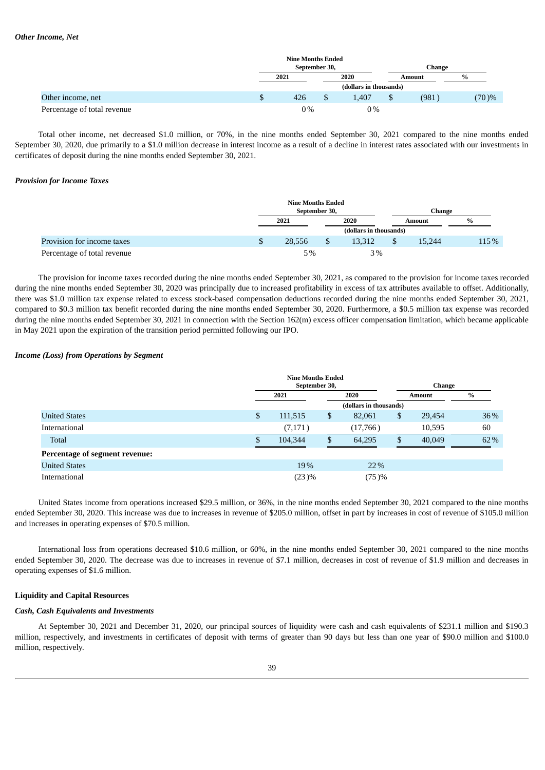|                             |   | <b>Nine Months Ended</b> |  |                        |        |               |
|-----------------------------|---|--------------------------|--|------------------------|--------|---------------|
|                             |   | September 30,            |  |                        | Change |               |
|                             |   | 2021                     |  | 2020                   | Amount | $\frac{0}{0}$ |
|                             |   |                          |  | (dollars in thousands) |        |               |
| Other income, net           | J | 426                      |  | 1.407                  | (981)  | $(70) \%$     |
| Percentage of total revenue |   | 0%                       |  | $0\%$                  |        |               |

Total other income, net decreased \$1.0 million, or 70%, in the nine months ended September 30, 2021 compared to the nine months ended September 30, 2020, due primarily to a \$1.0 million decrease in interest income as a result of a decline in interest rates associated with our investments in certificates of deposit during the nine months ended September 30, 2021.

#### *Provision for Income Taxes*

|                             | <b>Nine Months Ended</b><br>September 30, |  |                        |  | Change |      |  |
|-----------------------------|-------------------------------------------|--|------------------------|--|--------|------|--|
|                             | 2021                                      |  | 2020                   |  | Amount | $\%$ |  |
|                             |                                           |  | (dollars in thousands) |  |        |      |  |
| Provision for income taxes  | 28.556                                    |  | 13.312                 |  | 15.244 | 115% |  |
| Percentage of total revenue | 5%                                        |  | $3\%$                  |  |        |      |  |

The provision for income taxes recorded during the nine months ended September 30, 2021, as compared to the provision for income taxes recorded during the nine months ended September 30, 2020 was principally due to increased profitability in excess of tax attributes available to offset. Additionally, there was \$1.0 million tax expense related to excess stock-based compensation deductions recorded during the nine months ended September 30, 2021, compared to \$0.3 million tax benefit recorded during the nine months ended September 30, 2020. Furthermore, a \$0.5 million tax expense was recorded during the nine months ended September 30, 2021 in connection with the Section 162(m) excess officer compensation limitation, which became applicable in May 2021 upon the expiration of the transition period permitted following our IPO.

#### *Income (Loss) from Operations by Segment*

|                                | <b>Nine Months Ended</b><br>September 30, |    |                        | Change |        |      |
|--------------------------------|-------------------------------------------|----|------------------------|--------|--------|------|
|                                | 2021                                      |    | 2020                   |        | Amount | $\%$ |
|                                |                                           |    | (dollars in thousands) |        |        |      |
| <b>United States</b>           | \$<br>111,515                             | \$ | 82,061                 | \$     | 29,454 | 36%  |
| International                  | (7,171)                                   |    | (17,766)               |        | 10,595 | 60   |
| <b>Total</b>                   | 104,344                                   | \$ | 64,295                 | S      | 40,049 | 62%  |
| Percentage of segment revenue: |                                           |    |                        |        |        |      |
| <b>United States</b>           | 19%                                       |    | 22%                    |        |        |      |
| International                  | (23)%                                     |    | (75)%                  |        |        |      |

United States income from operations increased \$29.5 million, or 36%, in the nine months ended September 30, 2021 compared to the nine months ended September 30, 2020. This increase was due to increases in revenue of \$205.0 million, offset in part by increases in cost of revenue of \$105.0 million and increases in operating expenses of \$70.5 million.

International loss from operations decreased \$10.6 million, or 60%, in the nine months ended September 30, 2021 compared to the nine months ended September 30, 2020. The decrease was due to increases in revenue of \$7.1 million, decreases in cost of revenue of \$1.9 million and decreases in operating expenses of \$1.6 million.

### **Liquidity and Capital Resources**

#### *Cash, Cash Equivalents and Investments*

At September 30, 2021 and December 31, 2020, our principal sources of liquidity were cash and cash equivalents of \$231.1 million and \$190.3 million, respectively, and investments in certificates of deposit with terms of greater than 90 days but less than one year of \$90.0 million and \$100.0 million, respectively.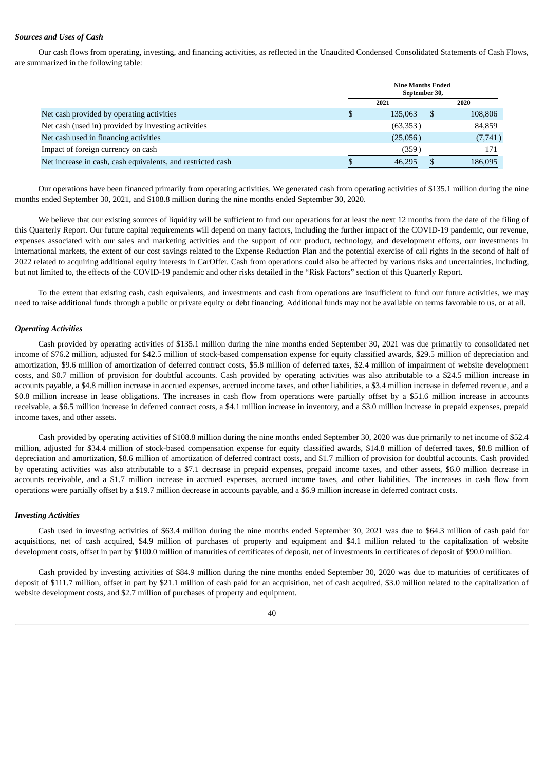### *Sources and Uses of Cash*

Our cash flows from operating, investing, and financing activities, as reflected in the Unaudited Condensed Consolidated Statements of Cash Flows, are summarized in the following table:

|                                                             |   | <b>Nine Months Ended</b><br>September 30, |   |         |  |  |
|-------------------------------------------------------------|---|-------------------------------------------|---|---------|--|--|
|                                                             |   | 2021                                      |   | 2020    |  |  |
| Net cash provided by operating activities                   | S | 135,063                                   | S | 108,806 |  |  |
| Net cash (used in) provided by investing activities         |   | (63,353)                                  |   | 84,859  |  |  |
| Net cash used in financing activities                       |   | (25,056)                                  |   | (7,741) |  |  |
| Impact of foreign currency on cash                          |   | (359)                                     |   | 171     |  |  |
| Net increase in cash, cash equivalents, and restricted cash | æ | 46.295                                    |   | 186,095 |  |  |

Our operations have been financed primarily from operating activities. We generated cash from operating activities of \$135.1 million during the nine months ended September 30, 2021, and \$108.8 million during the nine months ended September 30, 2020.

We believe that our existing sources of liquidity will be sufficient to fund our operations for at least the next 12 months from the date of the filing of this Quarterly Report. Our future capital requirements will depend on many factors, including the further impact of the COVID-19 pandemic, our revenue, expenses associated with our sales and marketing activities and the support of our product, technology, and development efforts, our investments in international markets, the extent of our cost savings related to the Expense Reduction Plan and the potential exercise of call rights in the second of half of 2022 related to acquiring additional equity interests in CarOffer. Cash from operations could also be affected by various risks and uncertainties, including, but not limited to, the effects of the COVID-19 pandemic and other risks detailed in the "Risk Factors" section of this Quarterly Report.

To the extent that existing cash, cash equivalents, and investments and cash from operations are insufficient to fund our future activities, we may need to raise additional funds through a public or private equity or debt financing. Additional funds may not be available on terms favorable to us, or at all.

#### *Operating Activities*

Cash provided by operating activities of \$135.1 million during the nine months ended September 30, 2021 was due primarily to consolidated net income of \$76.2 million, adjusted for \$42.5 million of stock-based compensation expense for equity classified awards, \$29.5 million of depreciation and amortization, \$9.6 million of amortization of deferred contract costs, \$5.8 million of deferred taxes, \$2.4 million of impairment of website development costs, and \$0.7 million of provision for doubtful accounts. Cash provided by operating activities was also attributable to a \$24.5 million increase in accounts payable, a \$4.8 million increase in accrued expenses, accrued income taxes, and other liabilities, a \$3.4 million increase in deferred revenue, and a \$0.8 million increase in lease obligations. The increases in cash flow from operations were partially offset by a \$51.6 million increase in accounts receivable, a \$6.5 million increase in deferred contract costs, a \$4.1 million increase in inventory, and a \$3.0 million increase in prepaid expenses, prepaid income taxes, and other assets.

Cash provided by operating activities of \$108.8 million during the nine months ended September 30, 2020 was due primarily to net income of \$52.4 million, adjusted for \$34.4 million of stock-based compensation expense for equity classified awards, \$14.8 million of deferred taxes, \$8.8 million of depreciation and amortization, \$8.6 million of amortization of deferred contract costs, and \$1.7 million of provision for doubtful accounts. Cash provided by operating activities was also attributable to a \$7.1 decrease in prepaid expenses, prepaid income taxes, and other assets, \$6.0 million decrease in accounts receivable, and a \$1.7 million increase in accrued expenses, accrued income taxes, and other liabilities. The increases in cash flow from operations were partially offset by a \$19.7 million decrease in accounts payable, and a \$6.9 million increase in deferred contract costs.

#### *Investing Activities*

Cash used in investing activities of \$63.4 million during the nine months ended September 30, 2021 was due to \$64.3 million of cash paid for acquisitions, net of cash acquired, \$4.9 million of purchases of property and equipment and \$4.1 million related to the capitalization of website development costs, offset in part by \$100.0 million of maturities of certificates of deposit, net of investments in certificates of deposit of \$90.0 million.

Cash provided by investing activities of \$84.9 million during the nine months ended September 30, 2020 was due to maturities of certificates of deposit of \$111.7 million, offset in part by \$21.1 million of cash paid for an acquisition, net of cash acquired, \$3.0 million related to the capitalization of website development costs, and \$2.7 million of purchases of property and equipment.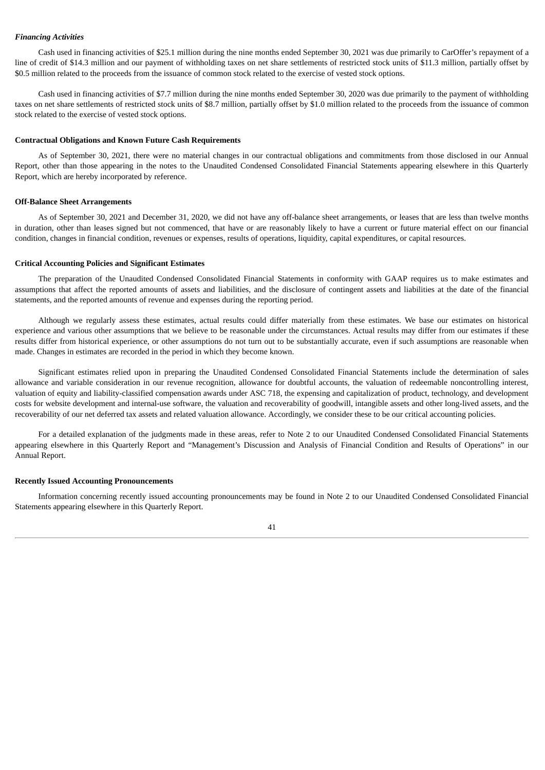#### *Financing Activities*

Cash used in financing activities of \$25.1 million during the nine months ended September 30, 2021 was due primarily to CarOffer's repayment of a line of credit of \$14.3 million and our payment of withholding taxes on net share settlements of restricted stock units of \$11.3 million, partially offset by \$0.5 million related to the proceeds from the issuance of common stock related to the exercise of vested stock options.

Cash used in financing activities of \$7.7 million during the nine months ended September 30, 2020 was due primarily to the payment of withholding taxes on net share settlements of restricted stock units of \$8.7 million, partially offset by \$1.0 million related to the proceeds from the issuance of common stock related to the exercise of vested stock options.

#### **Contractual Obligations and Known Future Cash Requirements**

As of September 30, 2021, there were no material changes in our contractual obligations and commitments from those disclosed in our Annual Report, other than those appearing in the notes to the Unaudited Condensed Consolidated Financial Statements appearing elsewhere in this Quarterly Report, which are hereby incorporated by reference.

#### **Off-Balance Sheet Arrangements**

As of September 30, 2021 and December 31, 2020, we did not have any off-balance sheet arrangements, or leases that are less than twelve months in duration, other than leases signed but not commenced, that have or are reasonably likely to have a current or future material effect on our financial condition, changes in financial condition, revenues or expenses, results of operations, liquidity, capital expenditures, or capital resources.

#### **Critical Accounting Policies and Significant Estimates**

The preparation of the Unaudited Condensed Consolidated Financial Statements in conformity with GAAP requires us to make estimates and assumptions that affect the reported amounts of assets and liabilities, and the disclosure of contingent assets and liabilities at the date of the financial statements, and the reported amounts of revenue and expenses during the reporting period.

Although we regularly assess these estimates, actual results could differ materially from these estimates. We base our estimates on historical experience and various other assumptions that we believe to be reasonable under the circumstances. Actual results may differ from our estimates if these results differ from historical experience, or other assumptions do not turn out to be substantially accurate, even if such assumptions are reasonable when made. Changes in estimates are recorded in the period in which they become known.

Significant estimates relied upon in preparing the Unaudited Condensed Consolidated Financial Statements include the determination of sales allowance and variable consideration in our revenue recognition, allowance for doubtful accounts, the valuation of redeemable noncontrolling interest, valuation of equity and liability-classified compensation awards under ASC 718, the expensing and capitalization of product, technology, and development costs for website development and internal-use software, the valuation and recoverability of goodwill, intangible assets and other long-lived assets, and the recoverability of our net deferred tax assets and related valuation allowance. Accordingly, we consider these to be our critical accounting policies.

For a detailed explanation of the judgments made in these areas, refer to Note 2 to our Unaudited Condensed Consolidated Financial Statements appearing elsewhere in this Quarterly Report and "Management's Discussion and Analysis of Financial Condition and Results of Operations" in our Annual Report.

#### **Recently Issued Accounting Pronouncements**

Information concerning recently issued accounting pronouncements may be found in Note 2 to our Unaudited Condensed Consolidated Financial Statements appearing elsewhere in this Quarterly Report.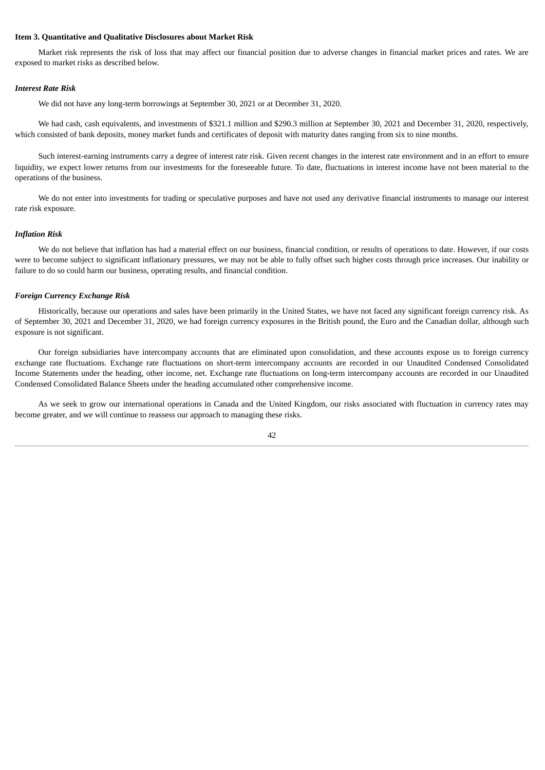#### <span id="page-45-0"></span>**Item 3. Quantitative and Qualitative Disclosures about Market Risk**

Market risk represents the risk of loss that may affect our financial position due to adverse changes in financial market prices and rates. We are exposed to market risks as described below.

#### *Interest Rate Risk*

We did not have any long-term borrowings at September 30, 2021 or at December 31, 2020.

We had cash, cash equivalents, and investments of \$321.1 million and \$290.3 million at September 30, 2021 and December 31, 2020, respectively, which consisted of bank deposits, money market funds and certificates of deposit with maturity dates ranging from six to nine months.

Such interest-earning instruments carry a degree of interest rate risk. Given recent changes in the interest rate environment and in an effort to ensure liquidity, we expect lower returns from our investments for the foreseeable future. To date, fluctuations in interest income have not been material to the operations of the business.

We do not enter into investments for trading or speculative purposes and have not used any derivative financial instruments to manage our interest rate risk exposure.

### *Inflation Risk*

We do not believe that inflation has had a material effect on our business, financial condition, or results of operations to date. However, if our costs were to become subject to significant inflationary pressures, we may not be able to fully offset such higher costs through price increases. Our inability or failure to do so could harm our business, operating results, and financial condition.

### *Foreign Currency Exchange Risk*

Historically, because our operations and sales have been primarily in the United States, we have not faced any significant foreign currency risk. As of September 30, 2021 and December 31, 2020, we had foreign currency exposures in the British pound, the Euro and the Canadian dollar, although such exposure is not significant.

Our foreign subsidiaries have intercompany accounts that are eliminated upon consolidation, and these accounts expose us to foreign currency exchange rate fluctuations. Exchange rate fluctuations on short-term intercompany accounts are recorded in our Unaudited Condensed Consolidated Income Statements under the heading, other income, net. Exchange rate fluctuations on long-term intercompany accounts are recorded in our Unaudited Condensed Consolidated Balance Sheets under the heading accumulated other comprehensive income.

As we seek to grow our international operations in Canada and the United Kingdom, our risks associated with fluctuation in currency rates may become greater, and we will continue to reassess our approach to managing these risks.

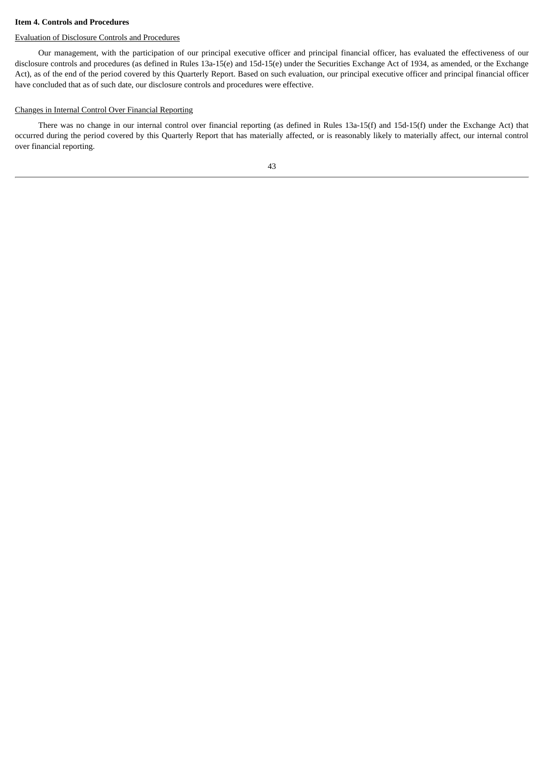#### <span id="page-46-0"></span>**Item 4. Controls and Procedures**

#### Evaluation of Disclosure Controls and Procedures

Our management, with the participation of our principal executive officer and principal financial officer, has evaluated the effectiveness of our disclosure controls and procedures (as defined in Rules 13a-15(e) and 15d-15(e) under the Securities Exchange Act of 1934, as amended, or the Exchange Act), as of the end of the period covered by this Quarterly Report. Based on such evaluation, our principal executive officer and principal financial officer have concluded that as of such date, our disclosure controls and procedures were effective.

#### Changes in Internal Control Over Financial Reporting

There was no change in our internal control over financial reporting (as defined in Rules 13a-15(f) and 15d-15(f) under the Exchange Act) that occurred during the period covered by this Quarterly Report that has materially affected, or is reasonably likely to materially affect, our internal control over financial reporting.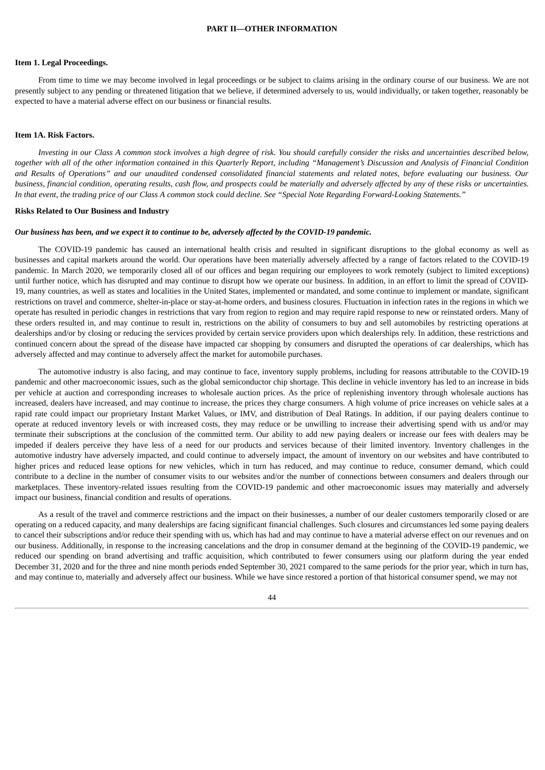#### <span id="page-47-1"></span><span id="page-47-0"></span>**Item 1. Legal Proceedings.**

From time to time we may become involved in legal proceedings or be subject to claims arising in the ordinary course of our business. We are not presently subject to any pending or threatened litigation that we believe, if determined adversely to us, would individually, or taken together, reasonably be expected to have a material adverse effect on our business or financial results.

#### <span id="page-47-2"></span>**Item 1A. Risk Factors.**

Investing in our Class A common stock involves a high degree of risk. You should carefully consider the risks and uncertainties described below, together with all of the other information contained in this Quarterly Report, including "Management's Discussion and Analysis of Financial Condition and Results of Operations" and our unaudited condensed consolidated financial statements and related notes, before evaluating our business. Our business, financial condition, operating results, cash flow, and prospects could be materially and adversely affected by any of these risks or uncertainties. In that event, the trading price of our Class A common stock could decline. See "Special Note Regarding Forward-Looking Statements."

#### **Risks Related to Our Business and Industry**

#### Our business has been, and we expect it to continue to be, adversely affected by the COVID-19 pandemic.

The COVID-19 pandemic has caused an international health crisis and resulted in significant disruptions to the global economy as well as businesses and capital markets around the world. Our operations have been materially adversely affected by a range of factors related to the COVID-19 pandemic. In March 2020, we temporarily closed all of our offices and began requiring our employees to work remotely (subject to limited exceptions) until further notice, which has disrupted and may continue to disrupt how we operate our business. In addition, in an effort to limit the spread of COVID-19, many countries, as well as states and localities in the United States, implemented or mandated, and some continue to implement or mandate, significant restrictions on travel and commerce, shelter-in-place or stay-at-home orders, and business closures. Fluctuation in infection rates in the regions in which we operate has resulted in periodic changes in restrictions that vary from region to region and may require rapid response to new or reinstated orders. Many of these orders resulted in, and may continue to result in, restrictions on the ability of consumers to buy and sell automobiles by restricting operations at dealerships and/or by closing or reducing the services provided by certain service providers upon which dealerships rely. In addition, these restrictions and continued concern about the spread of the disease have impacted car shopping by consumers and disrupted the operations of car dealerships, which has adversely affected and may continue to adversely affect the market for automobile purchases.

The automotive industry is also facing, and may continue to face, inventory supply problems, including for reasons attributable to the COVID-19 pandemic and other macroeconomic issues, such as the global semiconductor chip shortage. This decline in vehicle inventory has led to an increase in bids per vehicle at auction and corresponding increases to wholesale auction prices. As the price of replenishing inventory through wholesale auctions has increased, dealers have increased, and may continue to increase, the prices they charge consumers. A high volume of price increases on vehicle sales at a rapid rate could impact our proprietary Instant Market Values, or IMV, and distribution of Deal Ratings. In addition, if our paying dealers continue to operate at reduced inventory levels or with increased costs, they may reduce or be unwilling to increase their advertising spend with us and/or may terminate their subscriptions at the conclusion of the committed term. Our ability to add new paying dealers or increase our fees with dealers may be impeded if dealers perceive they have less of a need for our products and services because of their limited inventory. Inventory challenges in the automotive industry have adversely impacted, and could continue to adversely impact, the amount of inventory on our websites and have contributed to higher prices and reduced lease options for new vehicles, which in turn has reduced, and may continue to reduce, consumer demand, which could contribute to a decline in the number of consumer visits to our websites and/or the number of connections between consumers and dealers through our marketplaces. These inventory-related issues resulting from the COVID-19 pandemic and other macroeconomic issues may materially and adversely impact our business, financial condition and results of operations.

As a result of the travel and commerce restrictions and the impact on their businesses, a number of our dealer customers temporarily closed or are operating on a reduced capacity, and many dealerships are facing significant financial challenges. Such closures and circumstances led some paying dealers to cancel their subscriptions and/or reduce their spending with us, which has had and may continue to have a material adverse effect on our revenues and on our business. Additionally, in response to the increasing cancelations and the drop in consumer demand at the beginning of the COVID-19 pandemic, we reduced our spending on brand advertising and traffic acquisition, which contributed to fewer consumers using our platform during the year ended December 31, 2020 and for the three and nine month periods ended September 30, 2021 compared to the same periods for the prior year, which in turn has, and may continue to, materially and adversely affect our business. While we have since restored a portion of that historical consumer spend, we may not

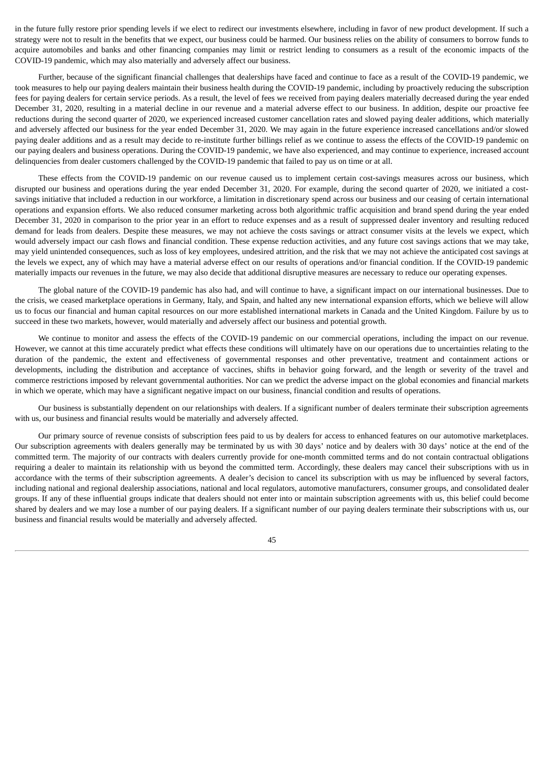in the future fully restore prior spending levels if we elect to redirect our investments elsewhere, including in favor of new product development. If such a strategy were not to result in the benefits that we expect, our business could be harmed. Our business relies on the ability of consumers to borrow funds to acquire automobiles and banks and other financing companies may limit or restrict lending to consumers as a result of the economic impacts of the COVID-19 pandemic, which may also materially and adversely affect our business.

Further, because of the significant financial challenges that dealerships have faced and continue to face as a result of the COVID-19 pandemic, we took measures to help our paying dealers maintain their business health during the COVID-19 pandemic, including by proactively reducing the subscription fees for paying dealers for certain service periods. As a result, the level of fees we received from paying dealers materially decreased during the year ended December 31, 2020, resulting in a material decline in our revenue and a material adverse effect to our business. In addition, despite our proactive fee reductions during the second quarter of 2020, we experienced increased customer cancellation rates and slowed paying dealer additions, which materially and adversely affected our business for the year ended December 31, 2020. We may again in the future experience increased cancellations and/or slowed paying dealer additions and as a result may decide to re-institute further billings relief as we continue to assess the effects of the COVID-19 pandemic on our paying dealers and business operations. During the COVID-19 pandemic, we have also experienced, and may continue to experience, increased account delinquencies from dealer customers challenged by the COVID-19 pandemic that failed to pay us on time or at all.

These effects from the COVID-19 pandemic on our revenue caused us to implement certain cost-savings measures across our business, which disrupted our business and operations during the year ended December 31, 2020. For example, during the second quarter of 2020, we initiated a costsavings initiative that included a reduction in our workforce, a limitation in discretionary spend across our business and our ceasing of certain international operations and expansion efforts. We also reduced consumer marketing across both algorithmic traffic acquisition and brand spend during the year ended December 31, 2020 in comparison to the prior year in an effort to reduce expenses and as a result of suppressed dealer inventory and resulting reduced demand for leads from dealers. Despite these measures, we may not achieve the costs savings or attract consumer visits at the levels we expect, which would adversely impact our cash flows and financial condition. These expense reduction activities, and any future cost savings actions that we may take, may yield unintended consequences, such as loss of key employees, undesired attrition, and the risk that we may not achieve the anticipated cost savings at the levels we expect, any of which may have a material adverse effect on our results of operations and/or financial condition. If the COVID-19 pandemic materially impacts our revenues in the future, we may also decide that additional disruptive measures are necessary to reduce our operating expenses.

The global nature of the COVID-19 pandemic has also had, and will continue to have, a significant impact on our international businesses. Due to the crisis, we ceased marketplace operations in Germany, Italy, and Spain, and halted any new international expansion efforts, which we believe will allow us to focus our financial and human capital resources on our more established international markets in Canada and the United Kingdom. Failure by us to succeed in these two markets, however, would materially and adversely affect our business and potential growth.

We continue to monitor and assess the effects of the COVID-19 pandemic on our commercial operations, including the impact on our revenue. However, we cannot at this time accurately predict what effects these conditions will ultimately have on our operations due to uncertainties relating to the duration of the pandemic, the extent and effectiveness of governmental responses and other preventative, treatment and containment actions or developments, including the distribution and acceptance of vaccines, shifts in behavior going forward, and the length or severity of the travel and commerce restrictions imposed by relevant governmental authorities. Nor can we predict the adverse impact on the global economies and financial markets in which we operate, which may have a significant negative impact on our business, financial condition and results of operations.

Our business is substantially dependent on our relationships with dealers. If a significant number of dealers terminate their subscription agreements with us, our business and financial results would be materially and adversely affected.

Our primary source of revenue consists of subscription fees paid to us by dealers for access to enhanced features on our automotive marketplaces. Our subscription agreements with dealers generally may be terminated by us with 30 days' notice and by dealers with 30 days' notice at the end of the committed term. The majority of our contracts with dealers currently provide for one-month committed terms and do not contain contractual obligations requiring a dealer to maintain its relationship with us beyond the committed term. Accordingly, these dealers may cancel their subscriptions with us in accordance with the terms of their subscription agreements. A dealer's decision to cancel its subscription with us may be influenced by several factors, including national and regional dealership associations, national and local regulators, automotive manufacturers, consumer groups, and consolidated dealer groups. If any of these influential groups indicate that dealers should not enter into or maintain subscription agreements with us, this belief could become shared by dealers and we may lose a number of our paying dealers. If a significant number of our paying dealers terminate their subscriptions with us, our business and financial results would be materially and adversely affected.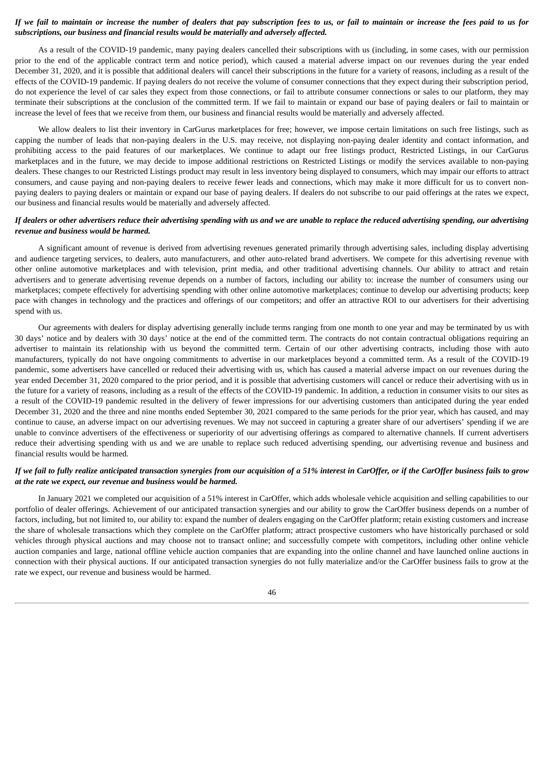### If we fail to maintain or increase the number of dealers that pay subscription fees to us, or fail to maintain or increase the fees paid to us for *subscriptions, our business and financial results would be materially and adversely affected.*

As a result of the COVID-19 pandemic, many paying dealers cancelled their subscriptions with us (including, in some cases, with our permission prior to the end of the applicable contract term and notice period), which caused a material adverse impact on our revenues during the year ended December 31, 2020, and it is possible that additional dealers will cancel their subscriptions in the future for a variety of reasons, including as a result of the effects of the COVID-19 pandemic. If paying dealers do not receive the volume of consumer connections that they expect during their subscription period, do not experience the level of car sales they expect from those connections, or fail to attribute consumer connections or sales to our platform, they may terminate their subscriptions at the conclusion of the committed term. If we fail to maintain or expand our base of paying dealers or fail to maintain or increase the level of fees that we receive from them, our business and financial results would be materially and adversely affected.

We allow dealers to list their inventory in CarGurus marketplaces for free; however, we impose certain limitations on such free listings, such as capping the number of leads that non-paying dealers in the U.S. may receive, not displaying non-paying dealer identity and contact information, and prohibiting access to the paid features of our marketplaces. We continue to adapt our free listings product, Restricted Listings, in our CarGurus marketplaces and in the future, we may decide to impose additional restrictions on Restricted Listings or modify the services available to non-paying dealers. These changes to our Restricted Listings product may result in less inventory being displayed to consumers, which may impair our efforts to attract consumers, and cause paying and non-paying dealers to receive fewer leads and connections, which may make it more difficult for us to convert nonpaying dealers to paying dealers or maintain or expand our base of paying dealers. If dealers do not subscribe to our paid offerings at the rates we expect, our business and financial results would be materially and adversely affected.

### If dealers or other advertisers reduce their advertising spending with us and we are unable to replace the reduced advertising spending, our advertising *revenue and business would be harmed.*

A significant amount of revenue is derived from advertising revenues generated primarily through advertising sales, including display advertising and audience targeting services, to dealers, auto manufacturers, and other auto-related brand advertisers. We compete for this advertising revenue with other online automotive marketplaces and with television, print media, and other traditional advertising channels. Our ability to attract and retain advertisers and to generate advertising revenue depends on a number of factors, including our ability to: increase the number of consumers using our marketplaces; compete effectively for advertising spending with other online automotive marketplaces; continue to develop our advertising products; keep pace with changes in technology and the practices and offerings of our competitors; and offer an attractive ROI to our advertisers for their advertising spend with us.

Our agreements with dealers for display advertising generally include terms ranging from one month to one year and may be terminated by us with 30 days' notice and by dealers with 30 days' notice at the end of the committed term. The contracts do not contain contractual obligations requiring an advertiser to maintain its relationship with us beyond the committed term. Certain of our other advertising contracts, including those with auto manufacturers, typically do not have ongoing commitments to advertise in our marketplaces beyond a committed term. As a result of the COVID-19 pandemic, some advertisers have cancelled or reduced their advertising with us, which has caused a material adverse impact on our revenues during the year ended December 31, 2020 compared to the prior period, and it is possible that advertising customers will cancel or reduce their advertising with us in the future for a variety of reasons, including as a result of the effects of the COVID-19 pandemic. In addition, a reduction in consumer visits to our sites as a result of the COVID-19 pandemic resulted in the delivery of fewer impressions for our advertising customers than anticipated during the year ended December 31, 2020 and the three and nine months ended September 30, 2021 compared to the same periods for the prior year, which has caused, and may continue to cause, an adverse impact on our advertising revenues. We may not succeed in capturing a greater share of our advertisers' spending if we are unable to convince advertisers of the effectiveness or superiority of our advertising offerings as compared to alternative channels. If current advertisers reduce their advertising spending with us and we are unable to replace such reduced advertising spending, our advertising revenue and business and financial results would be harmed.

### If we fail to fully realize anticipated transaction synergies from our acquisition of a 51% interest in CarOffer, or if the CarOffer business fails to grow *at the rate we expect, our revenue and business would be harmed.*

In January 2021 we completed our acquisition of a 51% interest in CarOffer, which adds wholesale vehicle acquisition and selling capabilities to our portfolio of dealer offerings. Achievement of our anticipated transaction synergies and our ability to grow the CarOffer business depends on a number of factors, including, but not limited to, our ability to: expand the number of dealers engaging on the CarOffer platform; retain existing customers and increase the share of wholesale transactions which they complete on the CarOffer platform; attract prospective customers who have historically purchased or sold vehicles through physical auctions and may choose not to transact online; and successfully compete with competitors, including other online vehicle auction companies and large, national offline vehicle auction companies that are expanding into the online channel and have launched online auctions in connection with their physical auctions. If our anticipated transaction synergies do not fully materialize and/or the CarOffer business fails to grow at the rate we expect, our revenue and business would be harmed.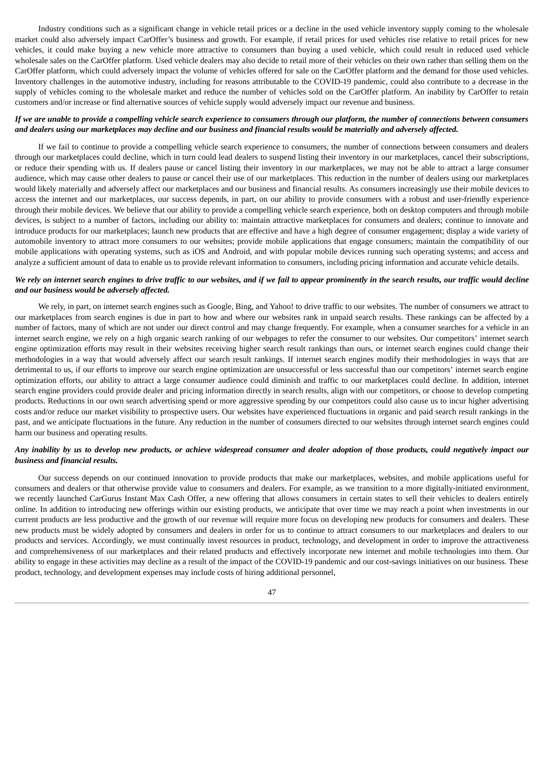Industry conditions such as a significant change in vehicle retail prices or a decline in the used vehicle inventory supply coming to the wholesale market could also adversely impact CarOffer's business and growth. For example, if retail prices for used vehicles rise relative to retail prices for new vehicles, it could make buying a new vehicle more attractive to consumers than buying a used vehicle, which could result in reduced used vehicle wholesale sales on the CarOffer platform. Used vehicle dealers may also decide to retail more of their vehicles on their own rather than selling them on the CarOffer platform, which could adversely impact the volume of vehicles offered for sale on the CarOffer platform and the demand for those used vehicles. Inventory challenges in the automotive industry, including for reasons attributable to the COVID-19 pandemic, could also contribute to a decrease in the supply of vehicles coming to the wholesale market and reduce the number of vehicles sold on the CarOffer platform. An inability by CarOffer to retain customers and/or increase or find alternative sources of vehicle supply would adversely impact our revenue and business.

#### If we are unable to provide a compelling vehicle search experience to consumers through our platform, the number of connections between consumers and dealers using our marketplaces may decline and our business and financial results would be materially and adversely affected.

If we fail to continue to provide a compelling vehicle search experience to consumers, the number of connections between consumers and dealers through our marketplaces could decline, which in turn could lead dealers to suspend listing their inventory in our marketplaces, cancel their subscriptions, or reduce their spending with us. If dealers pause or cancel listing their inventory in our marketplaces, we may not be able to attract a large consumer audience, which may cause other dealers to pause or cancel their use of our marketplaces. This reduction in the number of dealers using our marketplaces would likely materially and adversely affect our marketplaces and our business and financial results. As consumers increasingly use their mobile devices to access the internet and our marketplaces, our success depends, in part, on our ability to provide consumers with a robust and user-friendly experience through their mobile devices. We believe that our ability to provide a compelling vehicle search experience, both on desktop computers and through mobile devices, is subject to a number of factors, including our ability to: maintain attractive marketplaces for consumers and dealers; continue to innovate and introduce products for our marketplaces; launch new products that are effective and have a high degree of consumer engagement; display a wide variety of automobile inventory to attract more consumers to our websites; provide mobile applications that engage consumers; maintain the compatibility of our mobile applications with operating systems, such as iOS and Android, and with popular mobile devices running such operating systems; and access and analyze a sufficient amount of data to enable us to provide relevant information to consumers, including pricing information and accurate vehicle details.

### We rely on internet search engines to drive traffic to our websites, and if we fail to appear prominently in the search results, our traffic would decline *and our business would be adversely affected.*

We rely, in part, on internet search engines such as Google, Bing, and Yahoo! to drive traffic to our websites. The number of consumers we attract to our marketplaces from search engines is due in part to how and where our websites rank in unpaid search results. These rankings can be affected by a number of factors, many of which are not under our direct control and may change frequently. For example, when a consumer searches for a vehicle in an internet search engine, we rely on a high organic search ranking of our webpages to refer the consumer to our websites. Our competitors' internet search engine optimization efforts may result in their websites receiving higher search result rankings than ours, or internet search engines could change their methodologies in a way that would adversely affect our search result rankings. If internet search engines modify their methodologies in ways that are detrimental to us, if our efforts to improve our search engine optimization are unsuccessful or less successful than our competitors' internet search engine optimization efforts, our ability to attract a large consumer audience could diminish and traffic to our marketplaces could decline. In addition, internet search engine providers could provide dealer and pricing information directly in search results, align with our competitors, or choose to develop competing products. Reductions in our own search advertising spend or more aggressive spending by our competitors could also cause us to incur higher advertising costs and/or reduce our market visibility to prospective users. Our websites have experienced fluctuations in organic and paid search result rankings in the past, and we anticipate fluctuations in the future. Any reduction in the number of consumers directed to our websites through internet search engines could harm our business and operating results.

### Any inability by us to develop new products, or achieve widespread consumer and dealer adoption of those products, could negatively impact our *business and financial results.*

Our success depends on our continued innovation to provide products that make our marketplaces, websites, and mobile applications useful for consumers and dealers or that otherwise provide value to consumers and dealers. For example, as we transition to a more digitally-initiated environment, we recently launched CarGurus Instant Max Cash Offer, a new offering that allows consumers in certain states to sell their vehicles to dealers entirely online. In addition to introducing new offerings within our existing products, we anticipate that over time we may reach a point when investments in our current products are less productive and the growth of our revenue will require more focus on developing new products for consumers and dealers. These new products must be widely adopted by consumers and dealers in order for us to continue to attract consumers to our marketplaces and dealers to our products and services. Accordingly, we must continually invest resources in product, technology, and development in order to improve the attractiveness and comprehensiveness of our marketplaces and their related products and effectively incorporate new internet and mobile technologies into them. Our ability to engage in these activities may decline as a result of the impact of the COVID-19 pandemic and our cost-savings initiatives on our business. These product, technology, and development expenses may include costs of hiring additional personnel,

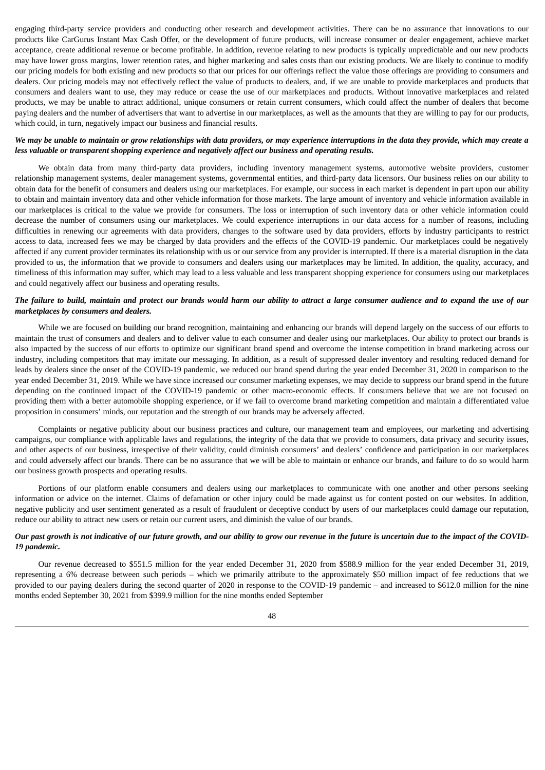engaging third-party service providers and conducting other research and development activities. There can be no assurance that innovations to our products like CarGurus Instant Max Cash Offer, or the development of future products, will increase consumer or dealer engagement, achieve market acceptance, create additional revenue or become profitable. In addition, revenue relating to new products is typically unpredictable and our new products may have lower gross margins, lower retention rates, and higher marketing and sales costs than our existing products. We are likely to continue to modify our pricing models for both existing and new products so that our prices for our offerings reflect the value those offerings are providing to consumers and dealers. Our pricing models may not effectively reflect the value of products to dealers, and, if we are unable to provide marketplaces and products that consumers and dealers want to use, they may reduce or cease the use of our marketplaces and products. Without innovative marketplaces and related products, we may be unable to attract additional, unique consumers or retain current consumers, which could affect the number of dealers that become paying dealers and the number of advertisers that want to advertise in our marketplaces, as well as the amounts that they are willing to pay for our products, which could, in turn, negatively impact our business and financial results.

### We may be unable to maintain or grow relationships with data providers, or may experience interruptions in the data they provide, which may create a *less valuable or transparent shopping experience and negatively affect our business and operating results.*

We obtain data from many third-party data providers, including inventory management systems, automotive website providers, customer relationship management systems, dealer management systems, governmental entities, and third-party data licensors. Our business relies on our ability to obtain data for the benefit of consumers and dealers using our marketplaces. For example, our success in each market is dependent in part upon our ability to obtain and maintain inventory data and other vehicle information for those markets. The large amount of inventory and vehicle information available in our marketplaces is critical to the value we provide for consumers. The loss or interruption of such inventory data or other vehicle information could decrease the number of consumers using our marketplaces. We could experience interruptions in our data access for a number of reasons, including difficulties in renewing our agreements with data providers, changes to the software used by data providers, efforts by industry participants to restrict access to data, increased fees we may be charged by data providers and the effects of the COVID-19 pandemic. Our marketplaces could be negatively affected if any current provider terminates its relationship with us or our service from any provider is interrupted. If there is a material disruption in the data provided to us, the information that we provide to consumers and dealers using our marketplaces may be limited. In addition, the quality, accuracy, and timeliness of this information may suffer, which may lead to a less valuable and less transparent shopping experience for consumers using our marketplaces and could negatively affect our business and operating results.

### The failure to build, maintain and protect our brands would harm our ability to attract a large consumer audience and to expand the use of our *marketplaces by consumers and dealers.*

While we are focused on building our brand recognition, maintaining and enhancing our brands will depend largely on the success of our efforts to maintain the trust of consumers and dealers and to deliver value to each consumer and dealer using our marketplaces. Our ability to protect our brands is also impacted by the success of our efforts to optimize our significant brand spend and overcome the intense competition in brand marketing across our industry, including competitors that may imitate our messaging. In addition, as a result of suppressed dealer inventory and resulting reduced demand for leads by dealers since the onset of the COVID-19 pandemic, we reduced our brand spend during the year ended December 31, 2020 in comparison to the year ended December 31, 2019. While we have since increased our consumer marketing expenses, we may decide to suppress our brand spend in the future depending on the continued impact of the COVID-19 pandemic or other macro-economic effects. If consumers believe that we are not focused on providing them with a better automobile shopping experience, or if we fail to overcome brand marketing competition and maintain a differentiated value proposition in consumers' minds, our reputation and the strength of our brands may be adversely affected.

Complaints or negative publicity about our business practices and culture, our management team and employees, our marketing and advertising campaigns, our compliance with applicable laws and regulations, the integrity of the data that we provide to consumers, data privacy and security issues, and other aspects of our business, irrespective of their validity, could diminish consumers' and dealers' confidence and participation in our marketplaces and could adversely affect our brands. There can be no assurance that we will be able to maintain or enhance our brands, and failure to do so would harm our business growth prospects and operating results.

Portions of our platform enable consumers and dealers using our marketplaces to communicate with one another and other persons seeking information or advice on the internet. Claims of defamation or other injury could be made against us for content posted on our websites. In addition, negative publicity and user sentiment generated as a result of fraudulent or deceptive conduct by users of our marketplaces could damage our reputation, reduce our ability to attract new users or retain our current users, and diminish the value of our brands.

### Our past arowth is not indicative of our future arowth, and our ability to arow our revenue in the future is uncertain due to the impact of the COVID-*19 pandemic.*

Our revenue decreased to \$551.5 million for the year ended December 31, 2020 from \$588.9 million for the year ended December 31, 2019, representing a 6% decrease between such periods – which we primarily attribute to the approximately \$50 million impact of fee reductions that we provided to our paying dealers during the second quarter of 2020 in response to the COVID-19 pandemic – and increased to \$612.0 million for the nine months ended September 30, 2021 from \$399.9 million for the nine months ended September

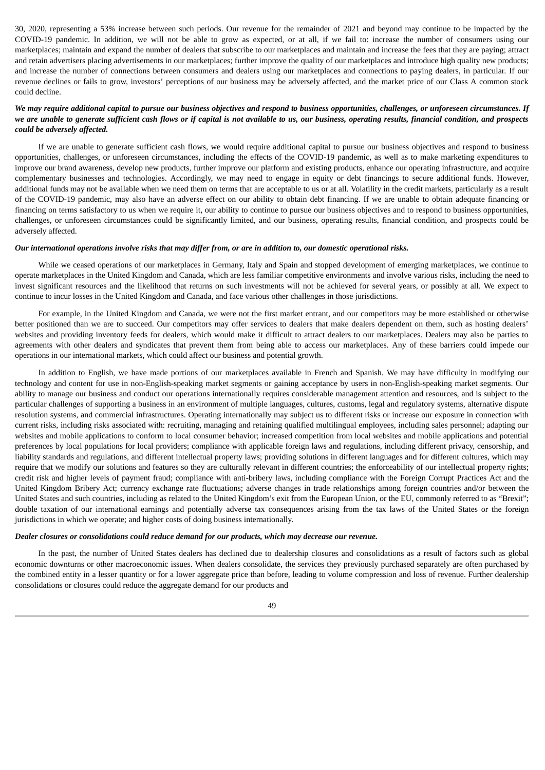30, 2020, representing a 53% increase between such periods. Our revenue for the remainder of 2021 and beyond may continue to be impacted by the COVID-19 pandemic. In addition, we will not be able to grow as expected, or at all, if we fail to: increase the number of consumers using our marketplaces; maintain and expand the number of dealers that subscribe to our marketplaces and maintain and increase the fees that they are paying; attract and retain advertisers placing advertisements in our marketplaces; further improve the quality of our marketplaces and introduce high quality new products; and increase the number of connections between consumers and dealers using our marketplaces and connections to paying dealers, in particular. If our revenue declines or fails to grow, investors' perceptions of our business may be adversely affected, and the market price of our Class A common stock could decline.

### We may require additional capital to pursue our business objectives and respond to business opportunities, challenges, or unforeseen circumstances. If we are unable to generate sufficient cash flows or if capital is not available to us, our business, operating results, financial condition, and prospects *could be adversely affected.*

If we are unable to generate sufficient cash flows, we would require additional capital to pursue our business objectives and respond to business opportunities, challenges, or unforeseen circumstances, including the effects of the COVID-19 pandemic, as well as to make marketing expenditures to improve our brand awareness, develop new products, further improve our platform and existing products, enhance our operating infrastructure, and acquire complementary businesses and technologies. Accordingly, we may need to engage in equity or debt financings to secure additional funds. However, additional funds may not be available when we need them on terms that are acceptable to us or at all. Volatility in the credit markets, particularly as a result of the COVID-19 pandemic, may also have an adverse effect on our ability to obtain debt financing. If we are unable to obtain adequate financing or financing on terms satisfactory to us when we require it, our ability to continue to pursue our business objectives and to respond to business opportunities, challenges, or unforeseen circumstances could be significantly limited, and our business, operating results, financial condition, and prospects could be adversely affected.

#### Our international operations involve risks that may differ from, or are in addition to, our domestic operational risks.

While we ceased operations of our marketplaces in Germany, Italy and Spain and stopped development of emerging marketplaces, we continue to operate marketplaces in the United Kingdom and Canada, which are less familiar competitive environments and involve various risks, including the need to invest significant resources and the likelihood that returns on such investments will not be achieved for several years, or possibly at all. We expect to continue to incur losses in the United Kingdom and Canada, and face various other challenges in those jurisdictions.

For example, in the United Kingdom and Canada, we were not the first market entrant, and our competitors may be more established or otherwise better positioned than we are to succeed. Our competitors may offer services to dealers that make dealers dependent on them, such as hosting dealers' websites and providing inventory feeds for dealers, which would make it difficult to attract dealers to our marketplaces. Dealers may also be parties to agreements with other dealers and syndicates that prevent them from being able to access our marketplaces. Any of these barriers could impede our operations in our international markets, which could affect our business and potential growth.

In addition to English, we have made portions of our marketplaces available in French and Spanish. We may have difficulty in modifying our technology and content for use in non-English-speaking market segments or gaining acceptance by users in non-English-speaking market segments. Our ability to manage our business and conduct our operations internationally requires considerable management attention and resources, and is subject to the particular challenges of supporting a business in an environment of multiple languages, cultures, customs, legal and regulatory systems, alternative dispute resolution systems, and commercial infrastructures. Operating internationally may subject us to different risks or increase our exposure in connection with current risks, including risks associated with: recruiting, managing and retaining qualified multilingual employees, including sales personnel; adapting our websites and mobile applications to conform to local consumer behavior; increased competition from local websites and mobile applications and potential preferences by local populations for local providers; compliance with applicable foreign laws and regulations, including different privacy, censorship, and liability standards and regulations, and different intellectual property laws; providing solutions in different languages and for different cultures, which may require that we modify our solutions and features so they are culturally relevant in different countries; the enforceability of our intellectual property rights; credit risk and higher levels of payment fraud; compliance with anti-bribery laws, including compliance with the Foreign Corrupt Practices Act and the United Kingdom Bribery Act; currency exchange rate fluctuations; adverse changes in trade relationships among foreign countries and/or between the United States and such countries, including as related to the United Kingdom's exit from the European Union, or the EU, commonly referred to as "Brexit"; double taxation of our international earnings and potentially adverse tax consequences arising from the tax laws of the United States or the foreign jurisdictions in which we operate; and higher costs of doing business internationally.

#### *Dealer closures or consolidations could reduce demand for our products, which may decrease our revenue.*

In the past, the number of United States dealers has declined due to dealership closures and consolidations as a result of factors such as global economic downturns or other macroeconomic issues. When dealers consolidate, the services they previously purchased separately are often purchased by the combined entity in a lesser quantity or for a lower aggregate price than before, leading to volume compression and loss of revenue. Further dealership consolidations or closures could reduce the aggregate demand for our products and

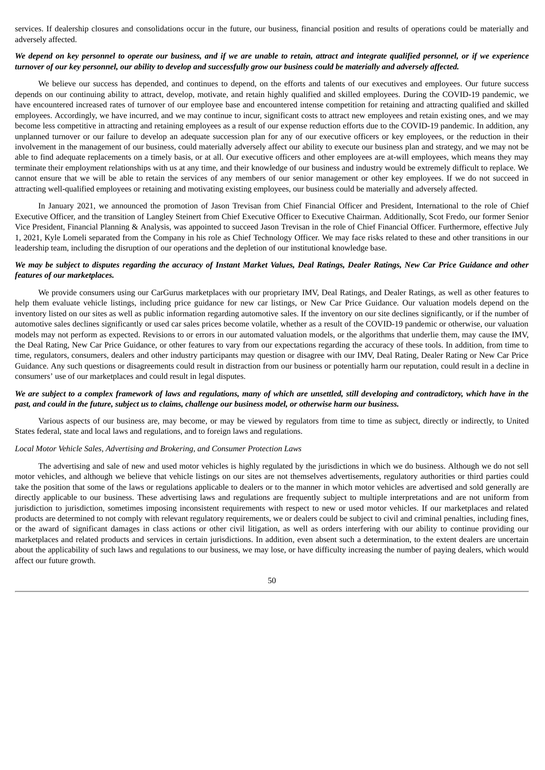services. If dealership closures and consolidations occur in the future, our business, financial position and results of operations could be materially and adversely affected.

### We depend on key personnel to operate our business, and if we are unable to retain, attract and integrate qualified personnel, or if we experience turnover of our key personnel, our ability to develop and successfully grow our business could be materially and adversely affected.

We believe our success has depended, and continues to depend, on the efforts and talents of our executives and employees. Our future success depends on our continuing ability to attract, develop, motivate, and retain highly qualified and skilled employees. During the COVID-19 pandemic, we have encountered increased rates of turnover of our employee base and encountered intense competition for retaining and attracting qualified and skilled employees. Accordingly, we have incurred, and we may continue to incur, significant costs to attract new employees and retain existing ones, and we may become less competitive in attracting and retaining employees as a result of our expense reduction efforts due to the COVID-19 pandemic. In addition, any unplanned turnover or our failure to develop an adequate succession plan for any of our executive officers or key employees, or the reduction in their involvement in the management of our business, could materially adversely affect our ability to execute our business plan and strategy, and we may not be able to find adequate replacements on a timely basis, or at all. Our executive officers and other employees are at-will employees, which means they may terminate their employment relationships with us at any time, and their knowledge of our business and industry would be extremely difficult to replace. We cannot ensure that we will be able to retain the services of any members of our senior management or other key employees. If we do not succeed in attracting well-qualified employees or retaining and motivating existing employees, our business could be materially and adversely affected.

In January 2021, we announced the promotion of Jason Trevisan from Chief Financial Officer and President, International to the role of Chief Executive Officer, and the transition of Langley Steinert from Chief Executive Officer to Executive Chairman. Additionally, Scot Fredo, our former Senior Vice President, Financial Planning & Analysis, was appointed to succeed Jason Trevisan in the role of Chief Financial Officer. Furthermore, effective July 1, 2021, Kyle Lomeli separated from the Company in his role as Chief Technology Officer. We may face risks related to these and other transitions in our leadership team, including the disruption of our operations and the depletion of our institutional knowledge base.

### We may be subject to disputes regarding the accuracy of Instant Market Values, Deal Ratings, Dealer Ratings, New Car Price Guidance and other *features of our marketplaces.*

We provide consumers using our CarGurus marketplaces with our proprietary IMV, Deal Ratings, and Dealer Ratings, as well as other features to help them evaluate vehicle listings, including price guidance for new car listings, or New Car Price Guidance. Our valuation models depend on the inventory listed on our sites as well as public information regarding automotive sales. If the inventory on our site declines significantly, or if the number of automotive sales declines significantly or used car sales prices become volatile, whether as a result of the COVID-19 pandemic or otherwise, our valuation models may not perform as expected. Revisions to or errors in our automated valuation models, or the algorithms that underlie them, may cause the IMV, the Deal Rating, New Car Price Guidance, or other features to vary from our expectations regarding the accuracy of these tools. In addition, from time to time, regulators, consumers, dealers and other industry participants may question or disagree with our IMV, Deal Rating, Dealer Rating or New Car Price Guidance. Any such questions or disagreements could result in distraction from our business or potentially harm our reputation, could result in a decline in consumers' use of our marketplaces and could result in legal disputes.

### We are subject to a complex framework of laws and regulations, many of which are unsettled, still developing and contradictory, which have in the past, and could in the future, subject us to claims, challenge our business model, or otherwise harm our business.

Various aspects of our business are, may become, or may be viewed by regulators from time to time as subject, directly or indirectly, to United States federal, state and local laws and regulations, and to foreign laws and regulations.

#### *Local Motor Vehicle Sales, Advertising and Brokering, and Consumer Protection Laws*

The advertising and sale of new and used motor vehicles is highly regulated by the jurisdictions in which we do business. Although we do not sell motor vehicles, and although we believe that vehicle listings on our sites are not themselves advertisements, regulatory authorities or third parties could take the position that some of the laws or regulations applicable to dealers or to the manner in which motor vehicles are advertised and sold generally are directly applicable to our business. These advertising laws and regulations are frequently subject to multiple interpretations and are not uniform from jurisdiction to jurisdiction, sometimes imposing inconsistent requirements with respect to new or used motor vehicles. If our marketplaces and related products are determined to not comply with relevant regulatory requirements, we or dealers could be subject to civil and criminal penalties, including fines, or the award of significant damages in class actions or other civil litigation, as well as orders interfering with our ability to continue providing our marketplaces and related products and services in certain jurisdictions. In addition, even absent such a determination, to the extent dealers are uncertain about the applicability of such laws and regulations to our business, we may lose, or have difficulty increasing the number of paying dealers, which would affect our future growth.

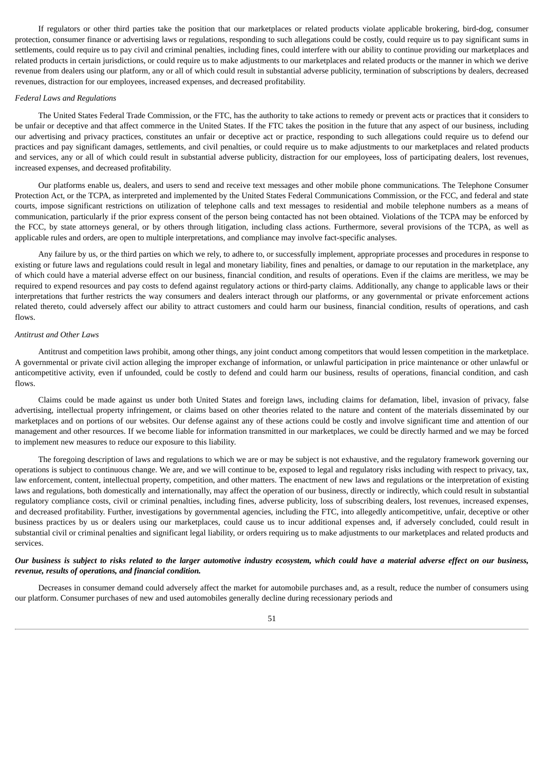If regulators or other third parties take the position that our marketplaces or related products violate applicable brokering, bird-dog, consumer protection, consumer finance or advertising laws or regulations, responding to such allegations could be costly, could require us to pay significant sums in settlements, could require us to pay civil and criminal penalties, including fines, could interfere with our ability to continue providing our marketplaces and related products in certain jurisdictions, or could require us to make adjustments to our marketplaces and related products or the manner in which we derive revenue from dealers using our platform, any or all of which could result in substantial adverse publicity, termination of subscriptions by dealers, decreased revenues, distraction for our employees, increased expenses, and decreased profitability.

#### *Federal Laws and Regulations*

The United States Federal Trade Commission, or the FTC, has the authority to take actions to remedy or prevent acts or practices that it considers to be unfair or deceptive and that affect commerce in the United States. If the FTC takes the position in the future that any aspect of our business, including our advertising and privacy practices, constitutes an unfair or deceptive act or practice, responding to such allegations could require us to defend our practices and pay significant damages, settlements, and civil penalties, or could require us to make adjustments to our marketplaces and related products and services, any or all of which could result in substantial adverse publicity, distraction for our employees, loss of participating dealers, lost revenues, increased expenses, and decreased profitability.

Our platforms enable us, dealers, and users to send and receive text messages and other mobile phone communications. The Telephone Consumer Protection Act, or the TCPA, as interpreted and implemented by the United States Federal Communications Commission, or the FCC, and federal and state courts, impose significant restrictions on utilization of telephone calls and text messages to residential and mobile telephone numbers as a means of communication, particularly if the prior express consent of the person being contacted has not been obtained. Violations of the TCPA may be enforced by the FCC, by state attorneys general, or by others through litigation, including class actions. Furthermore, several provisions of the TCPA, as well as applicable rules and orders, are open to multiple interpretations, and compliance may involve fact-specific analyses.

Any failure by us, or the third parties on which we rely, to adhere to, or successfully implement, appropriate processes and procedures in response to existing or future laws and regulations could result in legal and monetary liability, fines and penalties, or damage to our reputation in the marketplace, any of which could have a material adverse effect on our business, financial condition, and results of operations. Even if the claims are meritless, we may be required to expend resources and pay costs to defend against regulatory actions or third-party claims. Additionally, any change to applicable laws or their interpretations that further restricts the way consumers and dealers interact through our platforms, or any governmental or private enforcement actions related thereto, could adversely affect our ability to attract customers and could harm our business, financial condition, results of operations, and cash flows.

#### *Antitrust and Other Laws*

Antitrust and competition laws prohibit, among other things, any joint conduct among competitors that would lessen competition in the marketplace. A governmental or private civil action alleging the improper exchange of information, or unlawful participation in price maintenance or other unlawful or anticompetitive activity, even if unfounded, could be costly to defend and could harm our business, results of operations, financial condition, and cash flows.

Claims could be made against us under both United States and foreign laws, including claims for defamation, libel, invasion of privacy, false advertising, intellectual property infringement, or claims based on other theories related to the nature and content of the materials disseminated by our marketplaces and on portions of our websites. Our defense against any of these actions could be costly and involve significant time and attention of our management and other resources. If we become liable for information transmitted in our marketplaces, we could be directly harmed and we may be forced to implement new measures to reduce our exposure to this liability.

The foregoing description of laws and regulations to which we are or may be subject is not exhaustive, and the regulatory framework governing our operations is subject to continuous change. We are, and we will continue to be, exposed to legal and regulatory risks including with respect to privacy, tax, law enforcement, content, intellectual property, competition, and other matters. The enactment of new laws and regulations or the interpretation of existing laws and regulations, both domestically and internationally, may affect the operation of our business, directly or indirectly, which could result in substantial regulatory compliance costs, civil or criminal penalties, including fines, adverse publicity, loss of subscribing dealers, lost revenues, increased expenses, and decreased profitability. Further, investigations by governmental agencies, including the FTC, into allegedly anticompetitive, unfair, deceptive or other business practices by us or dealers using our marketplaces, could cause us to incur additional expenses and, if adversely concluded, could result in substantial civil or criminal penalties and significant legal liability, or orders requiring us to make adjustments to our marketplaces and related products and services.

### Our business is subject to risks related to the larger automotive industry ecosystem, which could have a material adverse effect on our business, *revenue, results of operations, and financial condition.*

Decreases in consumer demand could adversely affect the market for automobile purchases and, as a result, reduce the number of consumers using our platform. Consumer purchases of new and used automobiles generally decline during recessionary periods and

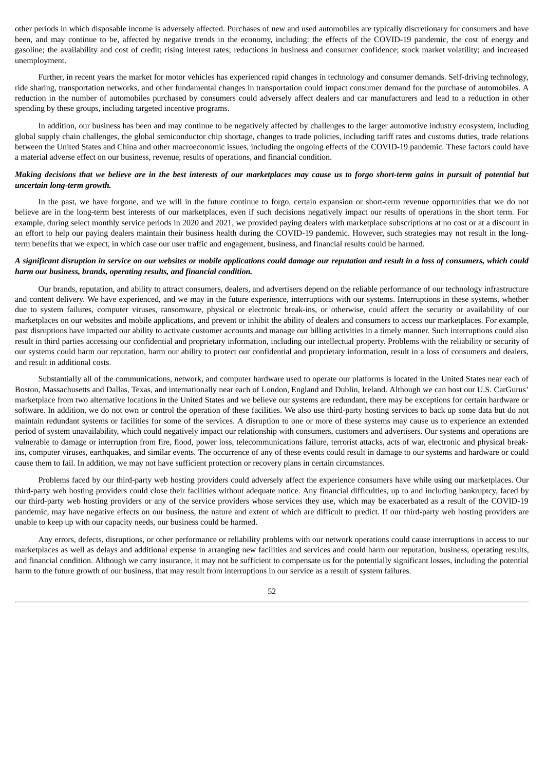other periods in which disposable income is adversely affected. Purchases of new and used automobiles are typically discretionary for consumers and have been, and may continue to be, affected by negative trends in the economy, including: the effects of the COVID-19 pandemic, the cost of energy and gasoline; the availability and cost of credit; rising interest rates; reductions in business and consumer confidence; stock market volatility; and increased unemployment.

Further, in recent years the market for motor vehicles has experienced rapid changes in technology and consumer demands. Self-driving technology, ride sharing, transportation networks, and other fundamental changes in transportation could impact consumer demand for the purchase of automobiles. A reduction in the number of automobiles purchased by consumers could adversely affect dealers and car manufacturers and lead to a reduction in other spending by these groups, including targeted incentive programs.

In addition, our business has been and may continue to be negatively affected by challenges to the larger automotive industry ecosystem, including global supply chain challenges, the global semiconductor chip shortage, changes to trade policies, including tariff rates and customs duties, trade relations between the United States and China and other macroeconomic issues, including the ongoing effects of the COVID-19 pandemic. These factors could have a material adverse effect on our business, revenue, results of operations, and financial condition.

### Making decisions that we believe are in the best interests of our marketplaces may cause us to forgo short-term gains in pursuit of potential but *uncertain long-term growth.*

In the past, we have forgone, and we will in the future continue to forgo, certain expansion or short-term revenue opportunities that we do not believe are in the long-term best interests of our marketplaces, even if such decisions negatively impact our results of operations in the short term. For example, during select monthly service periods in 2020 and 2021, we provided paying dealers with marketplace subscriptions at no cost or at a discount in an effort to help our paying dealers maintain their business health during the COVID-19 pandemic. However, such strategies may not result in the longterm benefits that we expect, in which case our user traffic and engagement, business, and financial results could be harmed.

### A significant disruption in service on our websites or mobile applications could damage our reputation and result in a loss of consumers, which could *harm our business, brands, operating results, and financial condition.*

Our brands, reputation, and ability to attract consumers, dealers, and advertisers depend on the reliable performance of our technology infrastructure and content delivery. We have experienced, and we may in the future experience, interruptions with our systems. Interruptions in these systems, whether due to system failures, computer viruses, ransomware, physical or electronic break-ins, or otherwise, could affect the security or availability of our marketplaces on our websites and mobile applications, and prevent or inhibit the ability of dealers and consumers to access our marketplaces. For example, past disruptions have impacted our ability to activate customer accounts and manage our billing activities in a timely manner. Such interruptions could also result in third parties accessing our confidential and proprietary information, including our intellectual property. Problems with the reliability or security of our systems could harm our reputation, harm our ability to protect our confidential and proprietary information, result in a loss of consumers and dealers, and result in additional costs.

Substantially all of the communications, network, and computer hardware used to operate our platforms is located in the United States near each of Boston, Massachusetts and Dallas, Texas, and internationally near each of London, England and Dublin, Ireland. Although we can host our U.S. CarGurus' marketplace from two alternative locations in the United States and we believe our systems are redundant, there may be exceptions for certain hardware or software. In addition, we do not own or control the operation of these facilities. We also use third-party hosting services to back up some data but do not maintain redundant systems or facilities for some of the services. A disruption to one or more of these systems may cause us to experience an extended period of system unavailability, which could negatively impact our relationship with consumers, customers and advertisers. Our systems and operations are vulnerable to damage or interruption from fire, flood, power loss, telecommunications failure, terrorist attacks, acts of war, electronic and physical breakins, computer viruses, earthquakes, and similar events. The occurrence of any of these events could result in damage to our systems and hardware or could cause them to fail. In addition, we may not have sufficient protection or recovery plans in certain circumstances.

Problems faced by our third-party web hosting providers could adversely affect the experience consumers have while using our marketplaces. Our third-party web hosting providers could close their facilities without adequate notice. Any financial difficulties, up to and including bankruptcy, faced by our third-party web hosting providers or any of the service providers whose services they use, which may be exacerbated as a result of the COVID-19 pandemic, may have negative effects on our business, the nature and extent of which are difficult to predict. If our third-party web hosting providers are unable to keep up with our capacity needs, our business could be harmed.

Any errors, defects, disruptions, or other performance or reliability problems with our network operations could cause interruptions in access to our marketplaces as well as delays and additional expense in arranging new facilities and services and could harm our reputation, business, operating results, and financial condition. Although we carry insurance, it may not be sufficient to compensate us for the potentially significant losses, including the potential harm to the future growth of our business, that may result from interruptions in our service as a result of system failures.

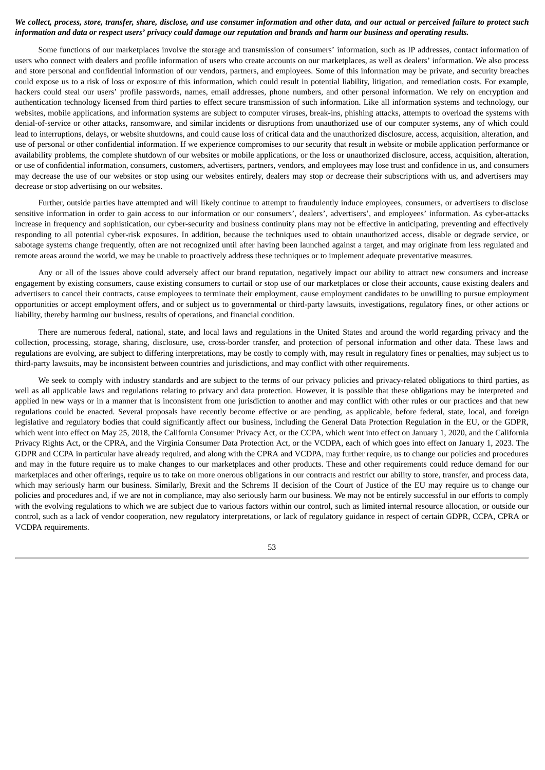### We collect, process, store, transfer, share, disclose, and use consumer information and other data, and our actual or perceived failure to protect such information and data or respect users' privacy could damage our reputation and brands and harm our business and operating results.

Some functions of our marketplaces involve the storage and transmission of consumers' information, such as IP addresses, contact information of users who connect with dealers and profile information of users who create accounts on our marketplaces, as well as dealers' information. We also process and store personal and confidential information of our vendors, partners, and employees. Some of this information may be private, and security breaches could expose us to a risk of loss or exposure of this information, which could result in potential liability, litigation, and remediation costs. For example, hackers could steal our users' profile passwords, names, email addresses, phone numbers, and other personal information. We rely on encryption and authentication technology licensed from third parties to effect secure transmission of such information. Like all information systems and technology, our websites, mobile applications, and information systems are subject to computer viruses, break-ins, phishing attacks, attempts to overload the systems with denial-of-service or other attacks, ransomware, and similar incidents or disruptions from unauthorized use of our computer systems, any of which could lead to interruptions, delays, or website shutdowns, and could cause loss of critical data and the unauthorized disclosure, access, acquisition, alteration, and use of personal or other confidential information. If we experience compromises to our security that result in website or mobile application performance or availability problems, the complete shutdown of our websites or mobile applications, or the loss or unauthorized disclosure, access, acquisition, alteration, or use of confidential information, consumers, customers, advertisers, partners, vendors, and employees may lose trust and confidence in us, and consumers may decrease the use of our websites or stop using our websites entirely, dealers may stop or decrease their subscriptions with us, and advertisers may decrease or stop advertising on our websites.

Further, outside parties have attempted and will likely continue to attempt to fraudulently induce employees, consumers, or advertisers to disclose sensitive information in order to gain access to our information or our consumers', dealers', advertisers', and employees' information. As cyber-attacks increase in frequency and sophistication, our cyber-security and business continuity plans may not be effective in anticipating, preventing and effectively responding to all potential cyber-risk exposures. In addition, because the techniques used to obtain unauthorized access, disable or degrade service, or sabotage systems change frequently, often are not recognized until after having been launched against a target, and may originate from less regulated and remote areas around the world, we may be unable to proactively address these techniques or to implement adequate preventative measures.

Any or all of the issues above could adversely affect our brand reputation, negatively impact our ability to attract new consumers and increase engagement by existing consumers, cause existing consumers to curtail or stop use of our marketplaces or close their accounts, cause existing dealers and advertisers to cancel their contracts, cause employees to terminate their employment, cause employment candidates to be unwilling to pursue employment opportunities or accept employment offers, and or subject us to governmental or third-party lawsuits, investigations, regulatory fines, or other actions or liability, thereby harming our business, results of operations, and financial condition.

There are numerous federal, national, state, and local laws and regulations in the United States and around the world regarding privacy and the collection, processing, storage, sharing, disclosure, use, cross-border transfer, and protection of personal information and other data. These laws and regulations are evolving, are subject to differing interpretations, may be costly to comply with, may result in regulatory fines or penalties, may subject us to third-party lawsuits, may be inconsistent between countries and jurisdictions, and may conflict with other requirements.

We seek to comply with industry standards and are subject to the terms of our privacy policies and privacy-related obligations to third parties, as well as all applicable laws and regulations relating to privacy and data protection. However, it is possible that these obligations may be interpreted and applied in new ways or in a manner that is inconsistent from one jurisdiction to another and may conflict with other rules or our practices and that new regulations could be enacted. Several proposals have recently become effective or are pending, as applicable, before federal, state, local, and foreign legislative and regulatory bodies that could significantly affect our business, including the General Data Protection Regulation in the EU, or the GDPR, which went into effect on May 25, 2018, the California Consumer Privacy Act, or the CCPA, which went into effect on January 1, 2020, and the California Privacy Rights Act, or the CPRA, and the Virginia Consumer Data Protection Act, or the VCDPA, each of which goes into effect on January 1, 2023. The GDPR and CCPA in particular have already required, and along with the CPRA and VCDPA, may further require, us to change our policies and procedures and may in the future require us to make changes to our marketplaces and other products. These and other requirements could reduce demand for our marketplaces and other offerings, require us to take on more onerous obligations in our contracts and restrict our ability to store, transfer, and process data, which may seriously harm our business. Similarly, Brexit and the Schrems II decision of the Court of Justice of the EU may require us to change our policies and procedures and, if we are not in compliance, may also seriously harm our business. We may not be entirely successful in our efforts to comply with the evolving regulations to which we are subject due to various factors within our control, such as limited internal resource allocation, or outside our control, such as a lack of vendor cooperation, new regulatory interpretations, or lack of regulatory guidance in respect of certain GDPR, CCPA, CPRA or VCDPA requirements.

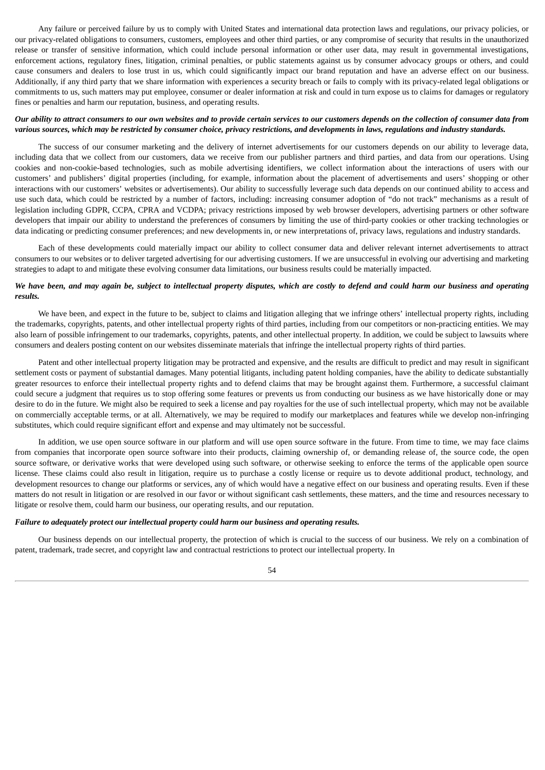Any failure or perceived failure by us to comply with United States and international data protection laws and regulations, our privacy policies, or our privacy-related obligations to consumers, customers, employees and other third parties, or any compromise of security that results in the unauthorized release or transfer of sensitive information, which could include personal information or other user data, may result in governmental investigations, enforcement actions, regulatory fines, litigation, criminal penalties, or public statements against us by consumer advocacy groups or others, and could cause consumers and dealers to lose trust in us, which could significantly impact our brand reputation and have an adverse effect on our business. Additionally, if any third party that we share information with experiences a security breach or fails to comply with its privacy-related legal obligations or commitments to us, such matters may put employee, consumer or dealer information at risk and could in turn expose us to claims for damages or regulatory fines or penalties and harm our reputation, business, and operating results.

#### Our ability to attract consumers to our own websites and to provide certain services to our customers depends on the collection of consumer data from various sources, which may be restricted by consumer choice, privacy restrictions, and developments in laws, regulations and industry standards.

The success of our consumer marketing and the delivery of internet advertisements for our customers depends on our ability to leverage data, including data that we collect from our customers, data we receive from our publisher partners and third parties, and data from our operations. Using cookies and non-cookie-based technologies, such as mobile advertising identifiers, we collect information about the interactions of users with our customers' and publishers' digital properties (including, for example, information about the placement of advertisements and users' shopping or other interactions with our customers' websites or advertisements). Our ability to successfully leverage such data depends on our continued ability to access and use such data, which could be restricted by a number of factors, including: increasing consumer adoption of "do not track" mechanisms as a result of legislation including GDPR, CCPA, CPRA and VCDPA; privacy restrictions imposed by web browser developers, advertising partners or other software developers that impair our ability to understand the preferences of consumers by limiting the use of third-party cookies or other tracking technologies or data indicating or predicting consumer preferences; and new developments in, or new interpretations of, privacy laws, regulations and industry standards.

Each of these developments could materially impact our ability to collect consumer data and deliver relevant internet advertisements to attract consumers to our websites or to deliver targeted advertising for our advertising customers. If we are unsuccessful in evolving our advertising and marketing strategies to adapt to and mitigate these evolving consumer data limitations, our business results could be materially impacted.

### We have been, and may again be, subject to intellectual property disputes, which are costly to defend and could harm our business and operating *results.*

We have been, and expect in the future to be, subject to claims and litigation alleging that we infringe others' intellectual property rights, including the trademarks, copyrights, patents, and other intellectual property rights of third parties, including from our competitors or non-practicing entities. We may also learn of possible infringement to our trademarks, copyrights, patents, and other intellectual property. In addition, we could be subject to lawsuits where consumers and dealers posting content on our websites disseminate materials that infringe the intellectual property rights of third parties.

Patent and other intellectual property litigation may be protracted and expensive, and the results are difficult to predict and may result in significant settlement costs or payment of substantial damages. Many potential litigants, including patent holding companies, have the ability to dedicate substantially greater resources to enforce their intellectual property rights and to defend claims that may be brought against them. Furthermore, a successful claimant could secure a judgment that requires us to stop offering some features or prevents us from conducting our business as we have historically done or may desire to do in the future. We might also be required to seek a license and pay royalties for the use of such intellectual property, which may not be available on commercially acceptable terms, or at all. Alternatively, we may be required to modify our marketplaces and features while we develop non-infringing substitutes, which could require significant effort and expense and may ultimately not be successful.

In addition, we use open source software in our platform and will use open source software in the future. From time to time, we may face claims from companies that incorporate open source software into their products, claiming ownership of, or demanding release of, the source code, the open source software, or derivative works that were developed using such software, or otherwise seeking to enforce the terms of the applicable open source license. These claims could also result in litigation, require us to purchase a costly license or require us to devote additional product, technology, and development resources to change our platforms or services, any of which would have a negative effect on our business and operating results. Even if these matters do not result in litigation or are resolved in our favor or without significant cash settlements, these matters, and the time and resources necessary to litigate or resolve them, could harm our business, our operating results, and our reputation.

#### *Failure to adequately protect our intellectual property could harm our business and operating results.*

Our business depends on our intellectual property, the protection of which is crucial to the success of our business. We rely on a combination of patent, trademark, trade secret, and copyright law and contractual restrictions to protect our intellectual property. In

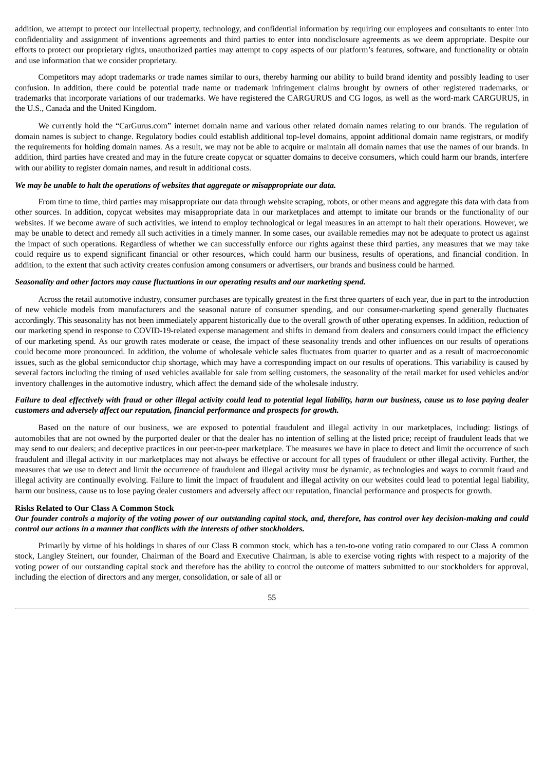addition, we attempt to protect our intellectual property, technology, and confidential information by requiring our employees and consultants to enter into confidentiality and assignment of inventions agreements and third parties to enter into nondisclosure agreements as we deem appropriate. Despite our efforts to protect our proprietary rights, unauthorized parties may attempt to copy aspects of our platform's features, software, and functionality or obtain and use information that we consider proprietary.

Competitors may adopt trademarks or trade names similar to ours, thereby harming our ability to build brand identity and possibly leading to user confusion. In addition, there could be potential trade name or trademark infringement claims brought by owners of other registered trademarks, or trademarks that incorporate variations of our trademarks. We have registered the CARGURUS and CG logos, as well as the word-mark CARGURUS, in the U.S., Canada and the United Kingdom.

We currently hold the "CarGurus.com" internet domain name and various other related domain names relating to our brands. The regulation of domain names is subject to change. Regulatory bodies could establish additional top-level domains, appoint additional domain name registrars, or modify the requirements for holding domain names. As a result, we may not be able to acquire or maintain all domain names that use the names of our brands. In addition, third parties have created and may in the future create copycat or squatter domains to deceive consumers, which could harm our brands, interfere with our ability to register domain names, and result in additional costs.

### *We may be unable to halt the operations of websites that aggregate or misappropriate our data.*

From time to time, third parties may misappropriate our data through website scraping, robots, or other means and aggregate this data with data from other sources. In addition, copycat websites may misappropriate data in our marketplaces and attempt to imitate our brands or the functionality of our websites. If we become aware of such activities, we intend to employ technological or legal measures in an attempt to halt their operations. However, we may be unable to detect and remedy all such activities in a timely manner. In some cases, our available remedies may not be adequate to protect us against the impact of such operations. Regardless of whether we can successfully enforce our rights against these third parties, any measures that we may take could require us to expend significant financial or other resources, which could harm our business, results of operations, and financial condition. In addition, to the extent that such activity creates confusion among consumers or advertisers, our brands and business could be harmed.

#### *Seasonality and other factors may cause fluctuations in our operating results and our marketing spend.*

Across the retail automotive industry, consumer purchases are typically greatest in the first three quarters of each year, due in part to the introduction of new vehicle models from manufacturers and the seasonal nature of consumer spending, and our consumer-marketing spend generally fluctuates accordingly. This seasonality has not been immediately apparent historically due to the overall growth of other operating expenses. In addition, reduction of our marketing spend in response to COVID-19-related expense management and shifts in demand from dealers and consumers could impact the efficiency of our marketing spend. As our growth rates moderate or cease, the impact of these seasonality trends and other influences on our results of operations could become more pronounced. In addition, the volume of wholesale vehicle sales fluctuates from quarter to quarter and as a result of macroeconomic issues, such as the global semiconductor chip shortage, which may have a corresponding impact on our results of operations. This variability is caused by several factors including the timing of used vehicles available for sale from selling customers, the seasonality of the retail market for used vehicles and/or inventory challenges in the automotive industry, which affect the demand side of the wholesale industry.

### Failure to deal effectively with fraud or other illegal activity could lead to potential legal liability, harm our business, cause us to lose paying dealer *customers and adversely affect our reputation, financial performance and prospects for growth.*

Based on the nature of our business, we are exposed to potential fraudulent and illegal activity in our marketplaces, including: listings of automobiles that are not owned by the purported dealer or that the dealer has no intention of selling at the listed price; receipt of fraudulent leads that we may send to our dealers; and deceptive practices in our peer-to-peer marketplace. The measures we have in place to detect and limit the occurrence of such fraudulent and illegal activity in our marketplaces may not always be effective or account for all types of fraudulent or other illegal activity. Further, the measures that we use to detect and limit the occurrence of fraudulent and illegal activity must be dynamic, as technologies and ways to commit fraud and illegal activity are continually evolving. Failure to limit the impact of fraudulent and illegal activity on our websites could lead to potential legal liability, harm our business, cause us to lose paying dealer customers and adversely affect our reputation, financial performance and prospects for growth.

#### **Risks Related to Our Class A Common Stock**

### Our founder controls a majority of the voting power of our outstanding capital stock, and, therefore, has control over key decision-making and could *control our actions in a manner that conflicts with the interests of other stockholders.*

Primarily by virtue of his holdings in shares of our Class B common stock, which has a ten-to-one voting ratio compared to our Class A common stock, Langley Steinert, our founder, Chairman of the Board and Executive Chairman, is able to exercise voting rights with respect to a majority of the voting power of our outstanding capital stock and therefore has the ability to control the outcome of matters submitted to our stockholders for approval, including the election of directors and any merger, consolidation, or sale of all or

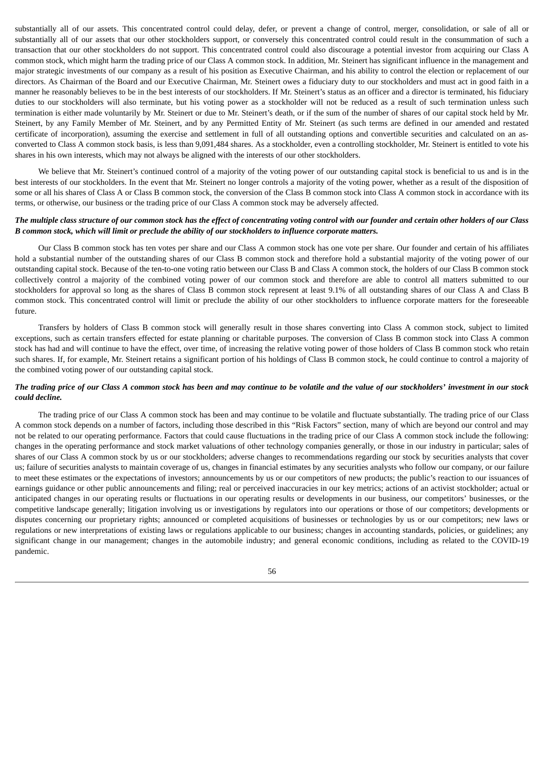substantially all of our assets. This concentrated control could delay, defer, or prevent a change of control, merger, consolidation, or sale of all or substantially all of our assets that our other stockholders support, or conversely this concentrated control could result in the consummation of such a transaction that our other stockholders do not support. This concentrated control could also discourage a potential investor from acquiring our Class A common stock, which might harm the trading price of our Class A common stock. In addition, Mr. Steinert has significant influence in the management and major strategic investments of our company as a result of his position as Executive Chairman, and his ability to control the election or replacement of our directors. As Chairman of the Board and our Executive Chairman, Mr. Steinert owes a fiduciary duty to our stockholders and must act in good faith in a manner he reasonably believes to be in the best interests of our stockholders. If Mr. Steinert's status as an officer and a director is terminated, his fiduciary duties to our stockholders will also terminate, but his voting power as a stockholder will not be reduced as a result of such termination unless such termination is either made voluntarily by Mr. Steinert or due to Mr. Steinert's death, or if the sum of the number of shares of our capital stock held by Mr. Steinert, by any Family Member of Mr. Steinert, and by any Permitted Entity of Mr. Steinert (as such terms are defined in our amended and restated certificate of incorporation), assuming the exercise and settlement in full of all outstanding options and convertible securities and calculated on an asconverted to Class A common stock basis, is less than 9,091,484 shares. As a stockholder, even a controlling stockholder, Mr. Steinert is entitled to vote his shares in his own interests, which may not always be aligned with the interests of our other stockholders.

We believe that Mr. Steinert's continued control of a majority of the voting power of our outstanding capital stock is beneficial to us and is in the best interests of our stockholders. In the event that Mr. Steinert no longer controls a majority of the voting power, whether as a result of the disposition of some or all his shares of Class A or Class B common stock, the conversion of the Class B common stock into Class A common stock in accordance with its terms, or otherwise, our business or the trading price of our Class A common stock may be adversely affected.

#### The multiple class structure of our common stock has the effect of concentrating voting control with our founder and certain other holders of our Class B common stock, which will limit or preclude the ability of our stockholders to influence corporate matters.

Our Class B common stock has ten votes per share and our Class A common stock has one vote per share. Our founder and certain of his affiliates hold a substantial number of the outstanding shares of our Class B common stock and therefore hold a substantial majority of the voting power of our outstanding capital stock. Because of the ten-to-one voting ratio between our Class B and Class A common stock, the holders of our Class B common stock collectively control a majority of the combined voting power of our common stock and therefore are able to control all matters submitted to our stockholders for approval so long as the shares of Class B common stock represent at least 9.1% of all outstanding shares of our Class A and Class B common stock. This concentrated control will limit or preclude the ability of our other stockholders to influence corporate matters for the foreseeable future.

Transfers by holders of Class B common stock will generally result in those shares converting into Class A common stock, subject to limited exceptions, such as certain transfers effected for estate planning or charitable purposes. The conversion of Class B common stock into Class A common stock has had and will continue to have the effect, over time, of increasing the relative voting power of those holders of Class B common stock who retain such shares. If, for example, Mr. Steinert retains a significant portion of his holdings of Class B common stock, he could continue to control a majority of the combined voting power of our outstanding capital stock.

### The trading price of our Class A common stock has been and may continue to be volatile and the value of our stockholders' investment in our stock *could decline.*

The trading price of our Class A common stock has been and may continue to be volatile and fluctuate substantially. The trading price of our Class A common stock depends on a number of factors, including those described in this "Risk Factors" section, many of which are beyond our control and may not be related to our operating performance. Factors that could cause fluctuations in the trading price of our Class A common stock include the following: changes in the operating performance and stock market valuations of other technology companies generally, or those in our industry in particular; sales of shares of our Class A common stock by us or our stockholders; adverse changes to recommendations regarding our stock by securities analysts that cover us; failure of securities analysts to maintain coverage of us, changes in financial estimates by any securities analysts who follow our company, or our failure to meet these estimates or the expectations of investors; announcements by us or our competitors of new products; the public's reaction to our issuances of earnings guidance or other public announcements and filing; real or perceived inaccuracies in our key metrics; actions of an activist stockholder; actual or anticipated changes in our operating results or fluctuations in our operating results or developments in our business, our competitors' businesses, or the competitive landscape generally; litigation involving us or investigations by regulators into our operations or those of our competitors; developments or disputes concerning our proprietary rights; announced or completed acquisitions of businesses or technologies by us or our competitors; new laws or regulations or new interpretations of existing laws or regulations applicable to our business; changes in accounting standards, policies, or guidelines; any significant change in our management; changes in the automobile industry; and general economic conditions, including as related to the COVID-19 pandemic.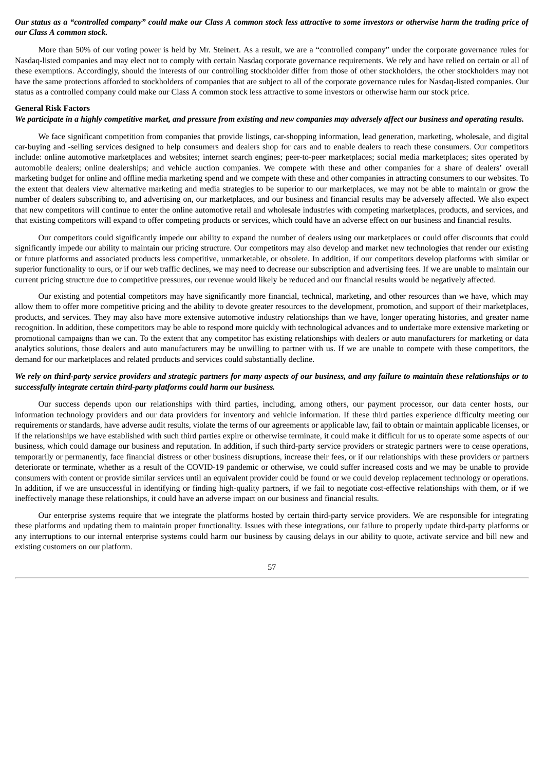### Our status as a "controlled company" could make our Class A common stock less attractive to some investors or otherwise harm the trading price of *our Class A common stock.*

More than 50% of our voting power is held by Mr. Steinert. As a result, we are a "controlled company" under the corporate governance rules for Nasdaq-listed companies and may elect not to comply with certain Nasdaq corporate governance requirements. We rely and have relied on certain or all of these exemptions. Accordingly, should the interests of our controlling stockholder differ from those of other stockholders, the other stockholders may not have the same protections afforded to stockholders of companies that are subject to all of the corporate governance rules for Nasdaq-listed companies. Our status as a controlled company could make our Class A common stock less attractive to some investors or otherwise harm our stock price.

#### **General Risk Factors**

#### We participate in a highly competitive market, and pressure from existing and new companies may adversely affect our business and operating results.

We face significant competition from companies that provide listings, car-shopping information, lead generation, marketing, wholesale, and digital car-buying and -selling services designed to help consumers and dealers shop for cars and to enable dealers to reach these consumers. Our competitors include: online automotive marketplaces and websites; internet search engines; peer-to-peer marketplaces; social media marketplaces; sites operated by automobile dealers; online dealerships; and vehicle auction companies. We compete with these and other companies for a share of dealers' overall marketing budget for online and offline media marketing spend and we compete with these and other companies in attracting consumers to our websites. To the extent that dealers view alternative marketing and media strategies to be superior to our marketplaces, we may not be able to maintain or grow the number of dealers subscribing to, and advertising on, our marketplaces, and our business and financial results may be adversely affected. We also expect that new competitors will continue to enter the online automotive retail and wholesale industries with competing marketplaces, products, and services, and that existing competitors will expand to offer competing products or services, which could have an adverse effect on our business and financial results.

Our competitors could significantly impede our ability to expand the number of dealers using our marketplaces or could offer discounts that could significantly impede our ability to maintain our pricing structure. Our competitors may also develop and market new technologies that render our existing or future platforms and associated products less competitive, unmarketable, or obsolete. In addition, if our competitors develop platforms with similar or superior functionality to ours, or if our web traffic declines, we may need to decrease our subscription and advertising fees. If we are unable to maintain our current pricing structure due to competitive pressures, our revenue would likely be reduced and our financial results would be negatively affected.

Our existing and potential competitors may have significantly more financial, technical, marketing, and other resources than we have, which may allow them to offer more competitive pricing and the ability to devote greater resources to the development, promotion, and support of their marketplaces, products, and services. They may also have more extensive automotive industry relationships than we have, longer operating histories, and greater name recognition. In addition, these competitors may be able to respond more quickly with technological advances and to undertake more extensive marketing or promotional campaigns than we can. To the extent that any competitor has existing relationships with dealers or auto manufacturers for marketing or data analytics solutions, those dealers and auto manufacturers may be unwilling to partner with us. If we are unable to compete with these competitors, the demand for our marketplaces and related products and services could substantially decline.

### We rely on third-party service providers and strategic partners for many aspects of our business, and any failure to maintain these relationships or to *successfully integrate certain third-party platforms could harm our business.*

Our success depends upon our relationships with third parties, including, among others, our payment processor, our data center hosts, our information technology providers and our data providers for inventory and vehicle information. If these third parties experience difficulty meeting our requirements or standards, have adverse audit results, violate the terms of our agreements or applicable law, fail to obtain or maintain applicable licenses, or if the relationships we have established with such third parties expire or otherwise terminate, it could make it difficult for us to operate some aspects of our business, which could damage our business and reputation. In addition, if such third-party service providers or strategic partners were to cease operations, temporarily or permanently, face financial distress or other business disruptions, increase their fees, or if our relationships with these providers or partners deteriorate or terminate, whether as a result of the COVID-19 pandemic or otherwise, we could suffer increased costs and we may be unable to provide consumers with content or provide similar services until an equivalent provider could be found or we could develop replacement technology or operations. In addition, if we are unsuccessful in identifying or finding high-quality partners, if we fail to negotiate cost-effective relationships with them, or if we ineffectively manage these relationships, it could have an adverse impact on our business and financial results.

Our enterprise systems require that we integrate the platforms hosted by certain third-party service providers. We are responsible for integrating these platforms and updating them to maintain proper functionality. Issues with these integrations, our failure to properly update third-party platforms or any interruptions to our internal enterprise systems could harm our business by causing delays in our ability to quote, activate service and bill new and existing customers on our platform.

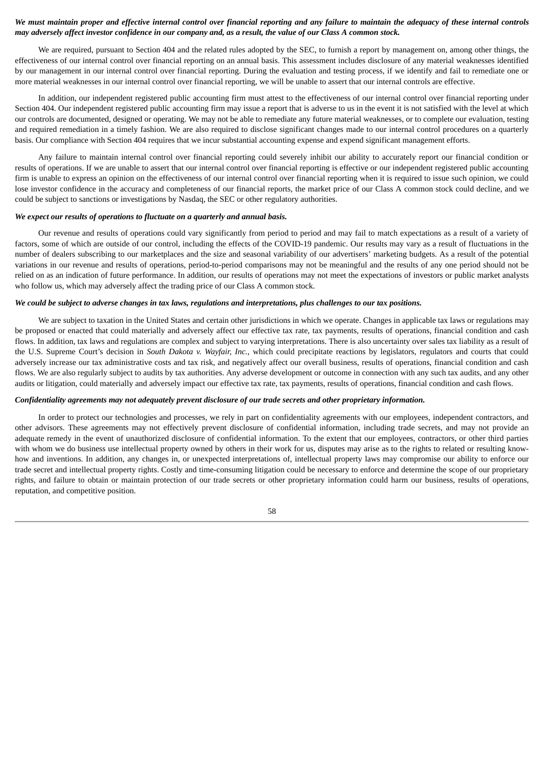### We must maintain proper and effective internal control over financial reporting and any failure to maintain the adequacy of these internal controls may adversely affect investor confidence in our company and, as a result, the value of our Class A common stock.

We are required, pursuant to Section 404 and the related rules adopted by the SEC, to furnish a report by management on, among other things, the effectiveness of our internal control over financial reporting on an annual basis. This assessment includes disclosure of any material weaknesses identified by our management in our internal control over financial reporting. During the evaluation and testing process, if we identify and fail to remediate one or more material weaknesses in our internal control over financial reporting, we will be unable to assert that our internal controls are effective.

In addition, our independent registered public accounting firm must attest to the effectiveness of our internal control over financial reporting under Section 404. Our independent registered public accounting firm may issue a report that is adverse to us in the event it is not satisfied with the level at which our controls are documented, designed or operating. We may not be able to remediate any future material weaknesses, or to complete our evaluation, testing and required remediation in a timely fashion. We are also required to disclose significant changes made to our internal control procedures on a quarterly basis. Our compliance with Section 404 requires that we incur substantial accounting expense and expend significant management efforts.

Any failure to maintain internal control over financial reporting could severely inhibit our ability to accurately report our financial condition or results of operations. If we are unable to assert that our internal control over financial reporting is effective or our independent registered public accounting firm is unable to express an opinion on the effectiveness of our internal control over financial reporting when it is required to issue such opinion, we could lose investor confidence in the accuracy and completeness of our financial reports, the market price of our Class A common stock could decline, and we could be subject to sanctions or investigations by Nasdaq, the SEC or other regulatory authorities.

#### *We expect our results of operations to fluctuate on a quarterly and annual basis.*

Our revenue and results of operations could vary significantly from period to period and may fail to match expectations as a result of a variety of factors, some of which are outside of our control, including the effects of the COVID-19 pandemic. Our results may vary as a result of fluctuations in the number of dealers subscribing to our marketplaces and the size and seasonal variability of our advertisers' marketing budgets. As a result of the potential variations in our revenue and results of operations, period-to-period comparisons may not be meaningful and the results of any one period should not be relied on as an indication of future performance. In addition, our results of operations may not meet the expectations of investors or public market analysts who follow us, which may adversely affect the trading price of our Class A common stock.

#### We could be subject to adverse changes in tax laws, regulations and interpretations, plus challenges to our tax positions.

We are subject to taxation in the United States and certain other jurisdictions in which we operate. Changes in applicable tax laws or regulations may be proposed or enacted that could materially and adversely affect our effective tax rate, tax payments, results of operations, financial condition and cash flows. In addition, tax laws and regulations are complex and subject to varying interpretations. There is also uncertainty over sales tax liability as a result of the U.S. Supreme Court's decision in *South Dakota v. Wayfair, Inc.*, which could precipitate reactions by legislators, regulators and courts that could adversely increase our tax administrative costs and tax risk, and negatively affect our overall business, results of operations, financial condition and cash flows. We are also regularly subject to audits by tax authorities. Any adverse development or outcome in connection with any such tax audits, and any other audits or litigation, could materially and adversely impact our effective tax rate, tax payments, results of operations, financial condition and cash flows.

#### Confidentiality agreements may not adequately prevent disclosure of our trade secrets and other proprietary information.

In order to protect our technologies and processes, we rely in part on confidentiality agreements with our employees, independent contractors, and other advisors. These agreements may not effectively prevent disclosure of confidential information, including trade secrets, and may not provide an adequate remedy in the event of unauthorized disclosure of confidential information. To the extent that our employees, contractors, or other third parties with whom we do business use intellectual property owned by others in their work for us, disputes may arise as to the rights to related or resulting knowhow and inventions. In addition, any changes in, or unexpected interpretations of, intellectual property laws may compromise our ability to enforce our trade secret and intellectual property rights. Costly and time-consuming litigation could be necessary to enforce and determine the scope of our proprietary rights, and failure to obtain or maintain protection of our trade secrets or other proprietary information could harm our business, results of operations, reputation, and competitive position.

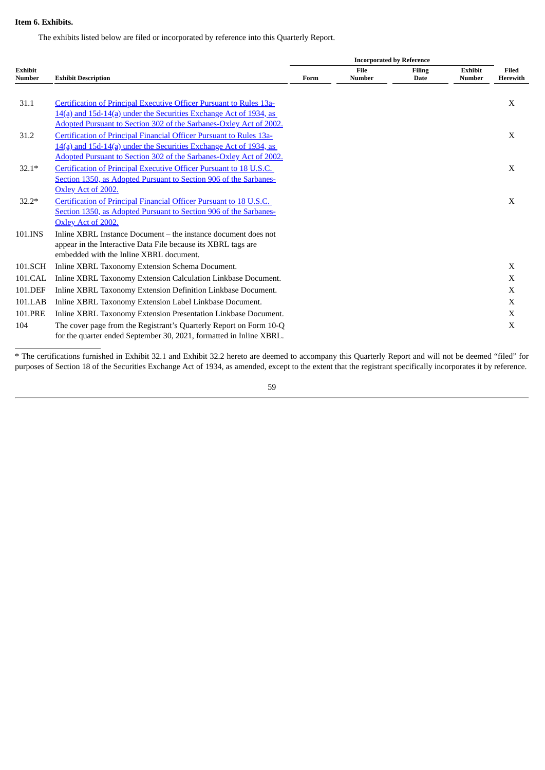### <span id="page-62-0"></span>**Item 6. Exhibits.**

The exhibits listed below are filed or incorporated by reference into this Quarterly Report.

|                          |                                                                     |      | <b>Incorporated by Reference</b> |                              |                                 |                   |  |  |
|--------------------------|---------------------------------------------------------------------|------|----------------------------------|------------------------------|---------------------------------|-------------------|--|--|
| <b>Exhibit</b><br>Number | <b>Exhibit Description</b>                                          | Form | File<br><b>Number</b>            | <b>Filing</b><br><b>Date</b> | <b>Exhibit</b><br><b>Number</b> | Filed<br>Herewith |  |  |
|                          |                                                                     |      |                                  |                              |                                 |                   |  |  |
| 31.1                     | Certification of Principal Executive Officer Pursuant to Rules 13a- |      |                                  |                              |                                 | X                 |  |  |
|                          | 14(a) and 15d-14(a) under the Securities Exchange Act of 1934, as   |      |                                  |                              |                                 |                   |  |  |
|                          | Adopted Pursuant to Section 302 of the Sarbanes-Oxley Act of 2002.  |      |                                  |                              |                                 |                   |  |  |
| 31.2                     | Certification of Principal Financial Officer Pursuant to Rules 13a- |      |                                  |                              |                                 | X                 |  |  |
|                          | 14(a) and 15d-14(a) under the Securities Exchange Act of 1934, as   |      |                                  |                              |                                 |                   |  |  |
|                          | Adopted Pursuant to Section 302 of the Sarbanes-Oxley Act of 2002.  |      |                                  |                              |                                 |                   |  |  |
| $32.1*$                  | Certification of Principal Executive Officer Pursuant to 18 U.S.C.  |      |                                  |                              |                                 | X                 |  |  |
|                          | Section 1350, as Adopted Pursuant to Section 906 of the Sarbanes-   |      |                                  |                              |                                 |                   |  |  |
|                          | Oxley Act of 2002.                                                  |      |                                  |                              |                                 |                   |  |  |
| $32.2*$                  | Certification of Principal Financial Officer Pursuant to 18 U.S.C.  |      |                                  |                              |                                 | X                 |  |  |
|                          | Section 1350, as Adopted Pursuant to Section 906 of the Sarbanes-   |      |                                  |                              |                                 |                   |  |  |
|                          | Oxley Act of 2002.                                                  |      |                                  |                              |                                 |                   |  |  |
| 101.INS                  | Inline XBRL Instance Document – the instance document does not      |      |                                  |                              |                                 |                   |  |  |
|                          | appear in the Interactive Data File because its XBRL tags are       |      |                                  |                              |                                 |                   |  |  |
|                          | embedded with the Inline XBRL document.                             |      |                                  |                              |                                 |                   |  |  |
| 101.SCH                  | Inline XBRL Taxonomy Extension Schema Document.                     |      |                                  |                              |                                 | X                 |  |  |
| 101.CAL                  | Inline XBRL Taxonomy Extension Calculation Linkbase Document.       |      |                                  |                              |                                 | X                 |  |  |
| 101.DEF                  | Inline XBRL Taxonomy Extension Definition Linkbase Document.        |      |                                  |                              |                                 | X                 |  |  |
| 101.LAB                  | Inline XBRL Taxonomy Extension Label Linkbase Document.             |      |                                  |                              |                                 | X                 |  |  |
| 101.PRE                  | Inline XBRL Taxonomy Extension Presentation Linkbase Document.      |      |                                  |                              |                                 | X                 |  |  |
| 104                      | The cover page from the Registrant's Quarterly Report on Form 10-Q  |      |                                  |                              |                                 | X                 |  |  |
|                          | for the quarter ended September 30, 2021, formatted in Inline XBRL. |      |                                  |                              |                                 |                   |  |  |
|                          |                                                                     |      |                                  |                              |                                 |                   |  |  |

\* The certifications furnished in Exhibit 32.1 and Exhibit 32.2 hereto are deemed to accompany this Quarterly Report and will not be deemed "filed" for purposes of Section 18 of the Securities Exchange Act of 1934, as amended, except to the extent that the registrant specifically incorporates it by reference.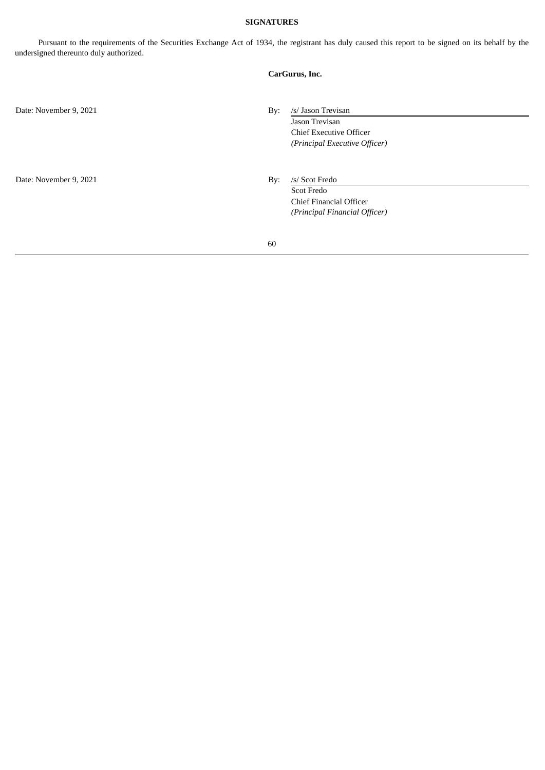### **SIGNATURES**

<span id="page-63-0"></span>Pursuant to the requirements of the Securities Exchange Act of 1934, the registrant has duly caused this report to be signed on its behalf by the undersigned thereunto duly authorized.

|                        | CarGurus, Inc.                                                                                                 |
|------------------------|----------------------------------------------------------------------------------------------------------------|
| Date: November 9, 2021 | /s/ Jason Trevisan<br>By:<br>Jason Trevisan<br><b>Chief Executive Officer</b><br>(Principal Executive Officer) |
| Date: November 9, 2021 | /s/ Scot Fredo<br>By:<br><b>Scot Fredo</b><br>Chief Financial Officer<br>(Principal Financial Officer)         |
|                        | 60                                                                                                             |
|                        |                                                                                                                |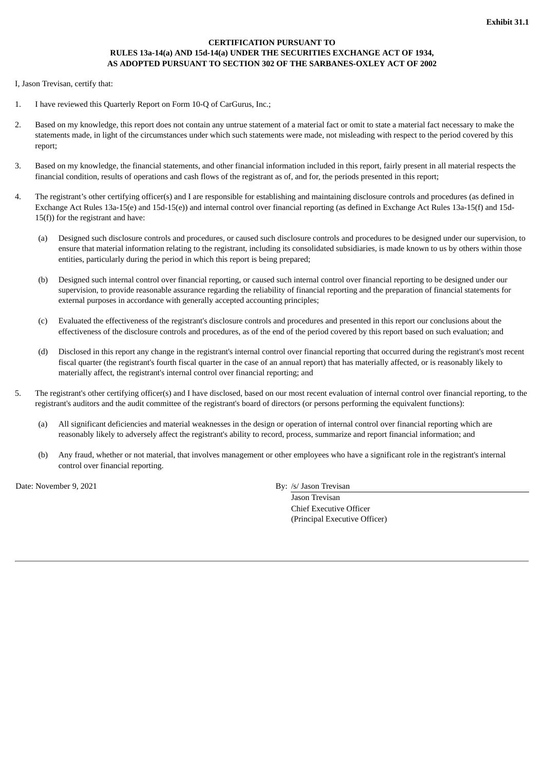### **CERTIFICATION PURSUANT TO RULES 13a-14(a) AND 15d-14(a) UNDER THE SECURITIES EXCHANGE ACT OF 1934, AS ADOPTED PURSUANT TO SECTION 302 OF THE SARBANES-OXLEY ACT OF 2002**

<span id="page-64-0"></span>I, Jason Trevisan, certify that:

- 1. I have reviewed this Quarterly Report on Form 10-Q of CarGurus, Inc.;
- 2. Based on my knowledge, this report does not contain any untrue statement of a material fact or omit to state a material fact necessary to make the statements made, in light of the circumstances under which such statements were made, not misleading with respect to the period covered by this report;
- 3. Based on my knowledge, the financial statements, and other financial information included in this report, fairly present in all material respects the financial condition, results of operations and cash flows of the registrant as of, and for, the periods presented in this report;
- 4. The registrant's other certifying officer(s) and I are responsible for establishing and maintaining disclosure controls and procedures (as defined in Exchange Act Rules 13a-15(e) and 15d-15(e)) and internal control over financial reporting (as defined in Exchange Act Rules 13a-15(f) and 15d-15(f)) for the registrant and have:
	- (a) Designed such disclosure controls and procedures, or caused such disclosure controls and procedures to be designed under our supervision, to ensure that material information relating to the registrant, including its consolidated subsidiaries, is made known to us by others within those entities, particularly during the period in which this report is being prepared;
	- (b) Designed such internal control over financial reporting, or caused such internal control over financial reporting to be designed under our supervision, to provide reasonable assurance regarding the reliability of financial reporting and the preparation of financial statements for external purposes in accordance with generally accepted accounting principles;
	- (c) Evaluated the effectiveness of the registrant's disclosure controls and procedures and presented in this report our conclusions about the effectiveness of the disclosure controls and procedures, as of the end of the period covered by this report based on such evaluation; and
	- (d) Disclosed in this report any change in the registrant's internal control over financial reporting that occurred during the registrant's most recent fiscal quarter (the registrant's fourth fiscal quarter in the case of an annual report) that has materially affected, or is reasonably likely to materially affect, the registrant's internal control over financial reporting; and
- 5. The registrant's other certifying officer(s) and I have disclosed, based on our most recent evaluation of internal control over financial reporting, to the registrant's auditors and the audit committee of the registrant's board of directors (or persons performing the equivalent functions):
	- (a) All significant deficiencies and material weaknesses in the design or operation of internal control over financial reporting which are reasonably likely to adversely affect the registrant's ability to record, process, summarize and report financial information; and
	- (b) Any fraud, whether or not material, that involves management or other employees who have a significant role in the registrant's internal control over financial reporting.

Date: November 9, 2021 By: /s/ Jason Trevisan

Jason Trevisan Chief Executive Officer (Principal Executive Officer)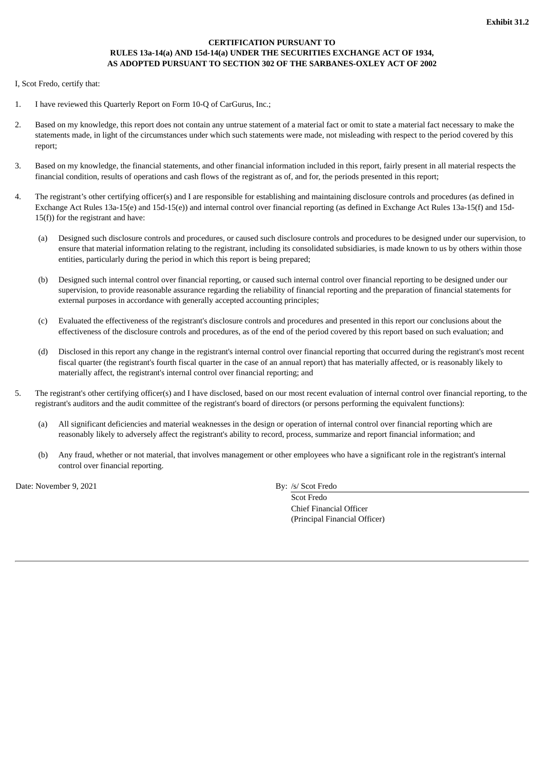### **CERTIFICATION PURSUANT TO RULES 13a-14(a) AND 15d-14(a) UNDER THE SECURITIES EXCHANGE ACT OF 1934, AS ADOPTED PURSUANT TO SECTION 302 OF THE SARBANES-OXLEY ACT OF 2002**

<span id="page-65-0"></span>I, Scot Fredo, certify that:

- 1. I have reviewed this Quarterly Report on Form 10-Q of CarGurus, Inc.;
- 2. Based on my knowledge, this report does not contain any untrue statement of a material fact or omit to state a material fact necessary to make the statements made, in light of the circumstances under which such statements were made, not misleading with respect to the period covered by this report;
- 3. Based on my knowledge, the financial statements, and other financial information included in this report, fairly present in all material respects the financial condition, results of operations and cash flows of the registrant as of, and for, the periods presented in this report;
- 4. The registrant's other certifying officer(s) and I are responsible for establishing and maintaining disclosure controls and procedures (as defined in Exchange Act Rules 13a-15(e) and 15d-15(e)) and internal control over financial reporting (as defined in Exchange Act Rules 13a-15(f) and 15d-15(f)) for the registrant and have:
	- (a) Designed such disclosure controls and procedures, or caused such disclosure controls and procedures to be designed under our supervision, to ensure that material information relating to the registrant, including its consolidated subsidiaries, is made known to us by others within those entities, particularly during the period in which this report is being prepared;
	- (b) Designed such internal control over financial reporting, or caused such internal control over financial reporting to be designed under our supervision, to provide reasonable assurance regarding the reliability of financial reporting and the preparation of financial statements for external purposes in accordance with generally accepted accounting principles;
	- (c) Evaluated the effectiveness of the registrant's disclosure controls and procedures and presented in this report our conclusions about the effectiveness of the disclosure controls and procedures, as of the end of the period covered by this report based on such evaluation; and
	- (d) Disclosed in this report any change in the registrant's internal control over financial reporting that occurred during the registrant's most recent fiscal quarter (the registrant's fourth fiscal quarter in the case of an annual report) that has materially affected, or is reasonably likely to materially affect, the registrant's internal control over financial reporting; and
- 5. The registrant's other certifying officer(s) and I have disclosed, based on our most recent evaluation of internal control over financial reporting, to the registrant's auditors and the audit committee of the registrant's board of directors (or persons performing the equivalent functions):
	- (a) All significant deficiencies and material weaknesses in the design or operation of internal control over financial reporting which are reasonably likely to adversely affect the registrant's ability to record, process, summarize and report financial information; and
	- (b) Any fraud, whether or not material, that involves management or other employees who have a significant role in the registrant's internal control over financial reporting.

Date: November 9, 2021 By: /s/ Scot Fredo

Scot Fredo Chief Financial Officer (Principal Financial Officer)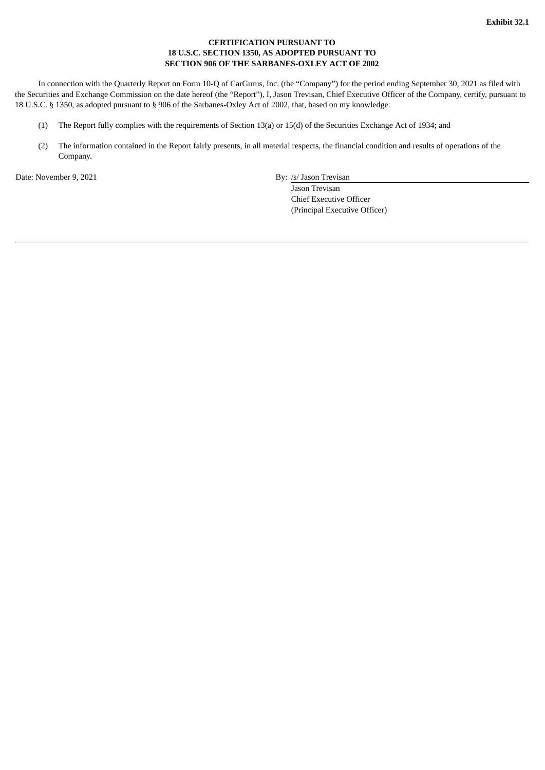### **CERTIFICATION PURSUANT TO 18 U.S.C. SECTION 1350, AS ADOPTED PURSUANT TO SECTION 906 OF THE SARBANES-OXLEY ACT OF 2002**

<span id="page-66-0"></span>In connection with the Quarterly Report on Form 10-Q of CarGurus, Inc. (the "Company") for the period ending September 30, 2021 as filed with the Securities and Exchange Commission on the date hereof (the "Report"), I, Jason Trevisan, Chief Executive Officer of the Company, certify, pursuant to 18 U.S.C. § 1350, as adopted pursuant to § 906 of the Sarbanes-Oxley Act of 2002, that, based on my knowledge:

- (1) The Report fully complies with the requirements of Section 13(a) or 15(d) of the Securities Exchange Act of 1934; and
- (2) The information contained in the Report fairly presents, in all material respects, the financial condition and results of operations of the Company.

Date: November 9, 2021 **By:** /s/ Jason Trevisan

Jason Trevisan Chief Executive Officer (Principal Executive Officer)